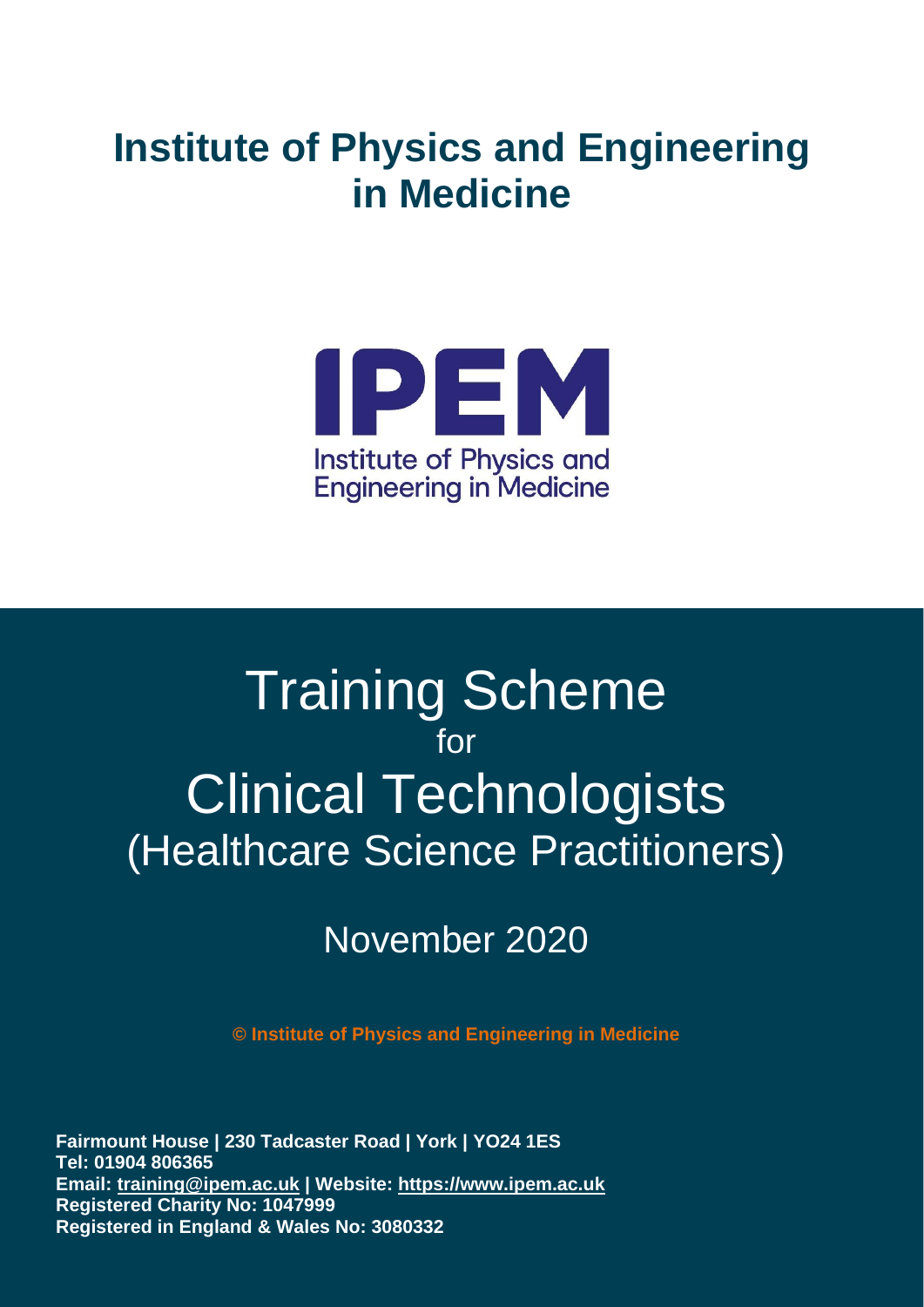# **Institute of Physics and Engineering in Medicine**



# Training Scheme for Clinical Technologists (Healthcare Science Practitioners)

## November 2020

**© Institute of Physics and Engineering in Medicine**

Document Number: 0265 Responsible Body: M&T Office **Email: [training@ipem.ac.uk](mailto:training@ipem.ac.uk) | Website: [https://www.ipem.ac.uk](https://www.ipem.ac.uk/)** Version Number: 01.00 Creation Date: 30-04-2019 **Registered Charity No: 1047999**   $\frac{1}{2}$  isterad in England & Wales No: 3080332  $\frac{1}{2}$  $\frac{1}{2}$   $\frac{1}{2}$   $\frac{1}{2}$   $\frac{1}{2}$   $\frac{1}{2}$   $\frac{1}{2}$   $\frac{1}{2}$   $\frac{1}{2}$   $\frac{1}{2}$   $\frac{1}{2}$   $\frac{1}{2}$   $\frac{1}{2}$   $\frac{1}{2}$   $\frac{1}{2}$   $\frac{1}{2}$   $\frac{1}{2}$   $\frac{1}{2}$   $\frac{1}{2}$   $\frac{1}{2}$   $\frac{1}{2}$   $\frac{1}{2}$   $\frac{1}{2}$  **Registered in England & Wales No: 3080332 Fairmount House | 230 Tadcaster Road | York | YO24 1ES Tel: 01904 806365**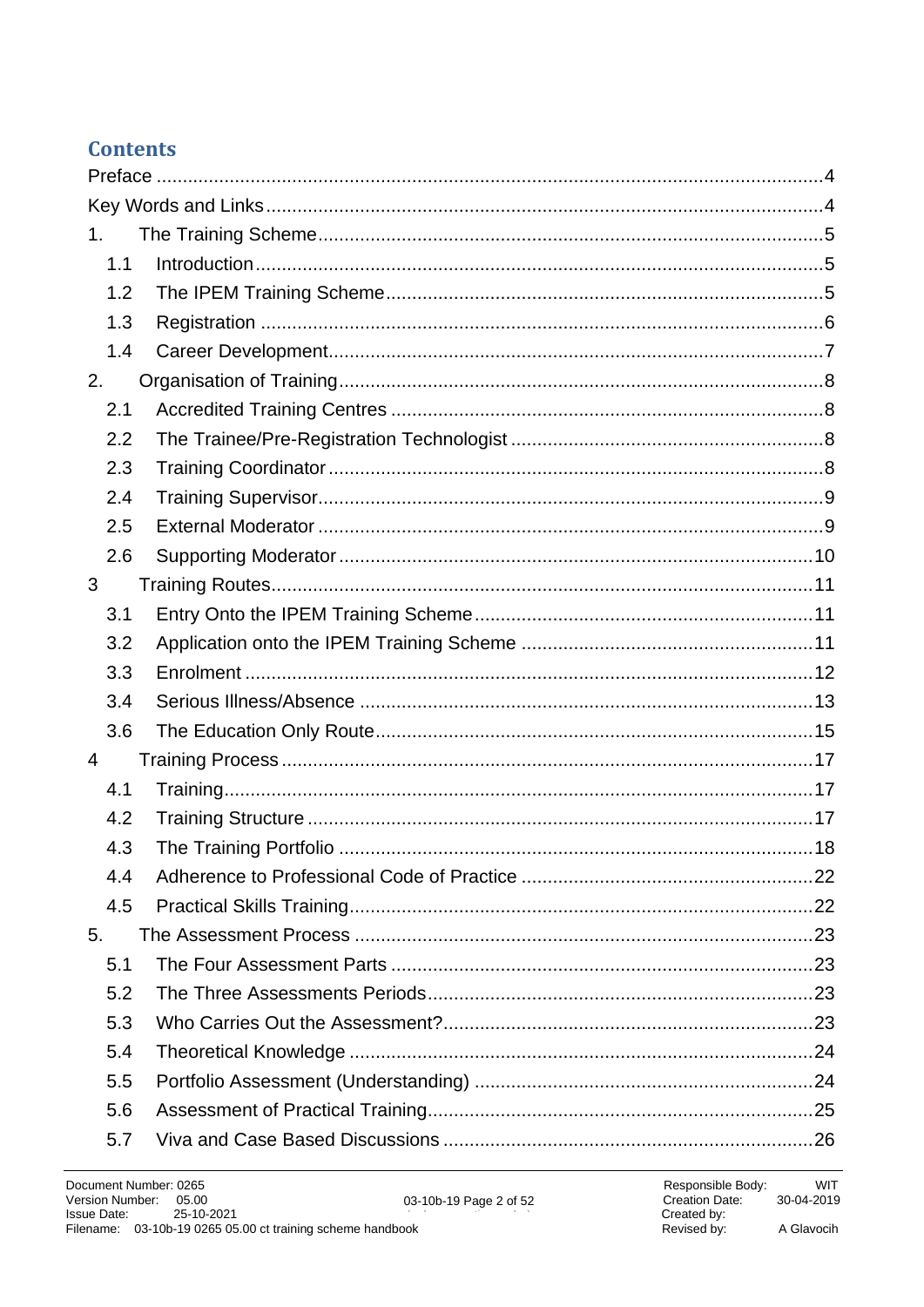### **Contents**

| 1 <sub>1</sub> |  |
|----------------|--|
| 1.1            |  |
| 1.2            |  |
| 1.3            |  |
| 1.4            |  |
| 2.             |  |
| 2.1            |  |
| 2.2            |  |
| 2.3            |  |
| 2.4            |  |
| 2.5            |  |
| 2.6            |  |
| 3              |  |
| 3.1            |  |
| 3.2            |  |
| 3.3            |  |
| 3.4            |  |
| 3.6            |  |
| $\overline{4}$ |  |
| 4.1            |  |
| 4.2            |  |
| 4.3            |  |
| 4.4            |  |
| 4.5            |  |
| 5.             |  |
| 5.1            |  |
| 5.2            |  |
| 5.3            |  |
| 5.4            |  |
| 5.5            |  |
| 5.6            |  |
| 5.7            |  |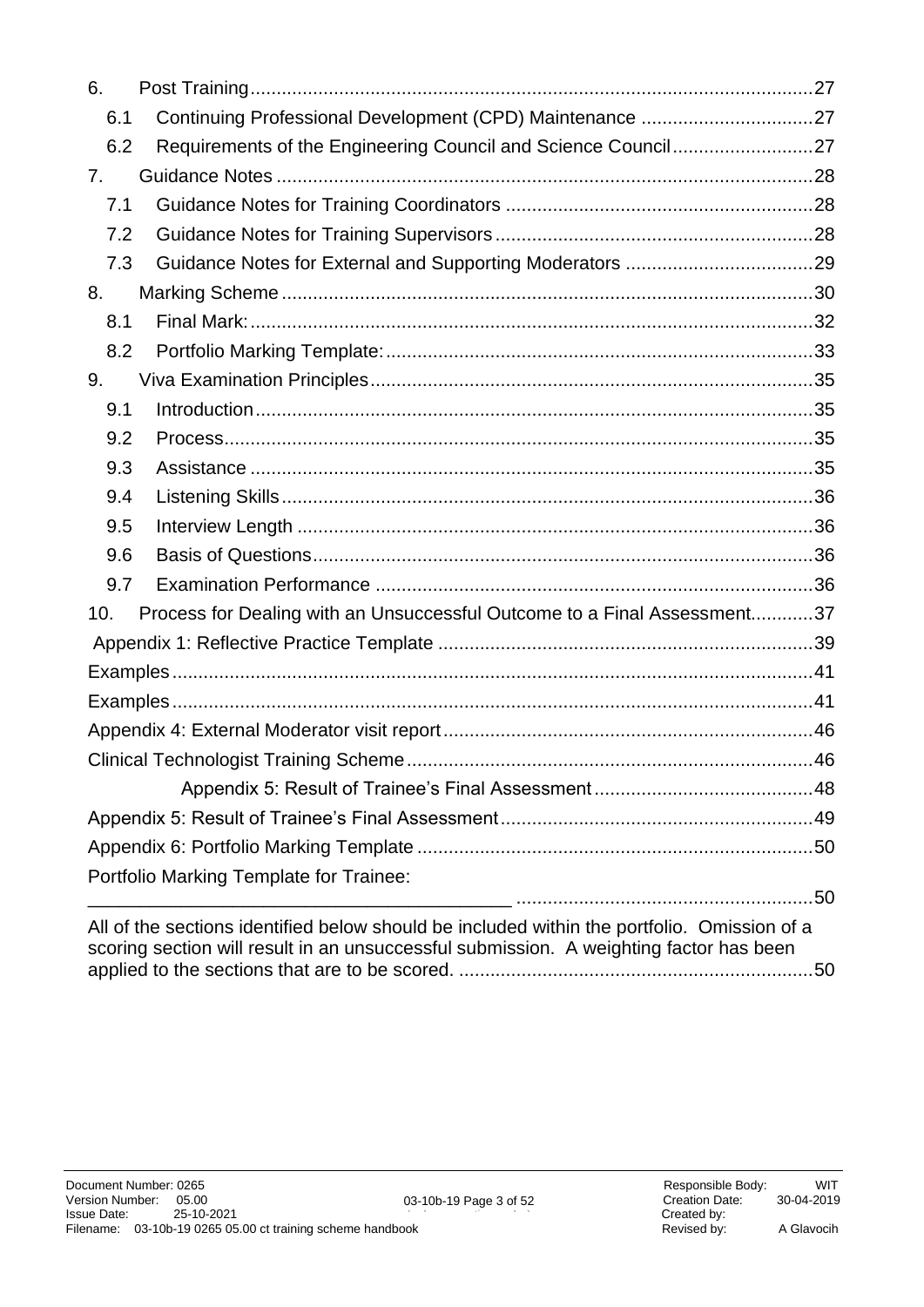| 6.  |                                                                                                                                                                                       |  |
|-----|---------------------------------------------------------------------------------------------------------------------------------------------------------------------------------------|--|
| 6.1 | Continuing Professional Development (CPD) Maintenance 27                                                                                                                              |  |
| 6.2 | Requirements of the Engineering Council and Science Council27                                                                                                                         |  |
| 7.  |                                                                                                                                                                                       |  |
| 7.1 |                                                                                                                                                                                       |  |
| 7.2 |                                                                                                                                                                                       |  |
| 7.3 |                                                                                                                                                                                       |  |
| 8.  |                                                                                                                                                                                       |  |
| 8.1 |                                                                                                                                                                                       |  |
| 8.2 |                                                                                                                                                                                       |  |
| 9.  |                                                                                                                                                                                       |  |
| 9.1 |                                                                                                                                                                                       |  |
| 9.2 |                                                                                                                                                                                       |  |
| 9.3 |                                                                                                                                                                                       |  |
| 9.4 |                                                                                                                                                                                       |  |
| 9.5 |                                                                                                                                                                                       |  |
| 9.6 |                                                                                                                                                                                       |  |
| 9.7 |                                                                                                                                                                                       |  |
| 10. | Process for Dealing with an Unsuccessful Outcome to a Final Assessment37                                                                                                              |  |
|     |                                                                                                                                                                                       |  |
|     |                                                                                                                                                                                       |  |
|     |                                                                                                                                                                                       |  |
|     |                                                                                                                                                                                       |  |
|     |                                                                                                                                                                                       |  |
|     |                                                                                                                                                                                       |  |
|     |                                                                                                                                                                                       |  |
|     |                                                                                                                                                                                       |  |
|     | Portfolio Marking Template for Trainee:                                                                                                                                               |  |
|     | ____________ ………………………………………………50                                                                                                                                                     |  |
|     | All of the sections identified below should be included within the portfolio. Omission of a<br>scoring section will result in an unsuccessful submission. A weighting factor has been |  |

applied to the sections that are to be scored. [....................................................................50](#page-49-2)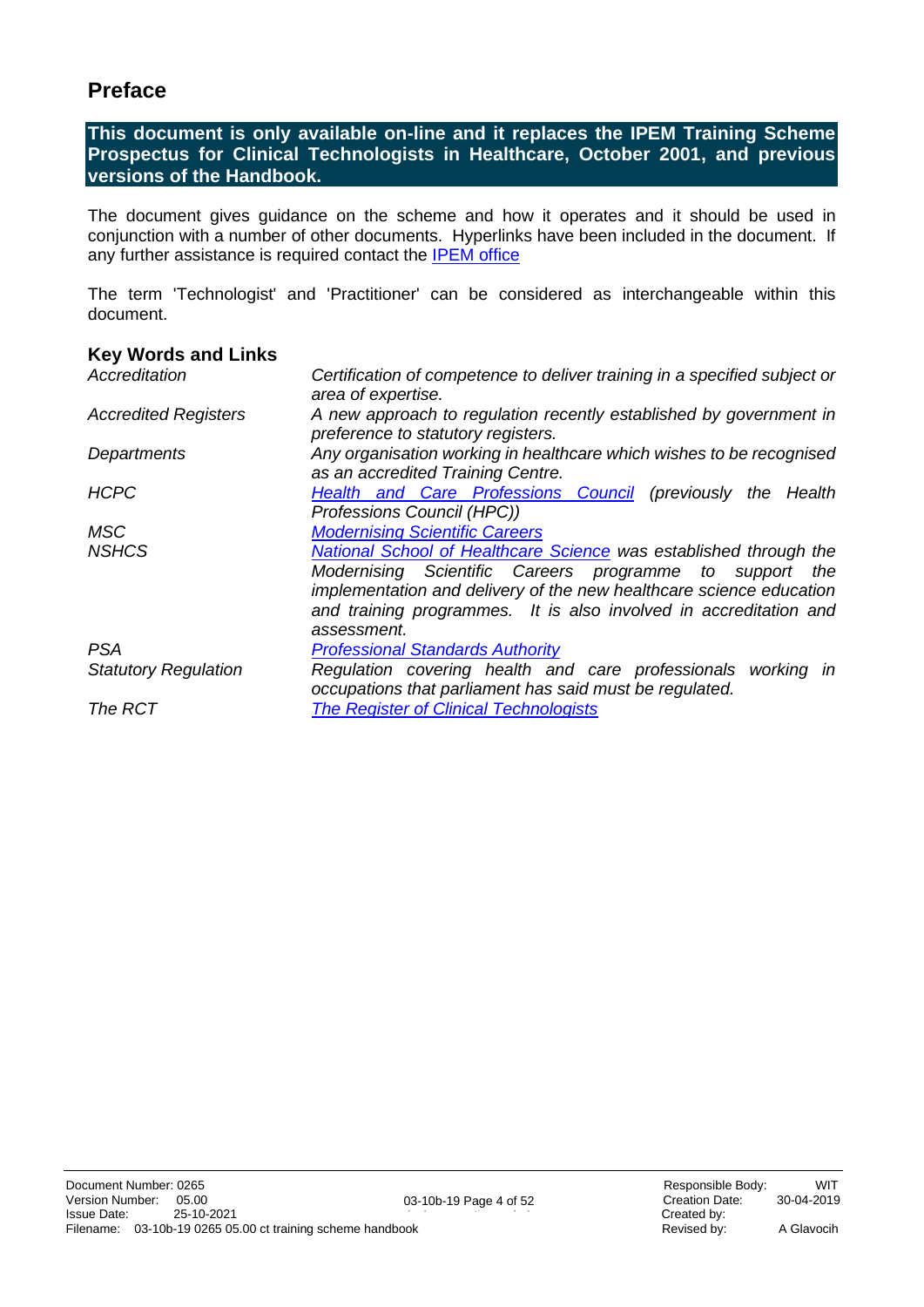### <span id="page-3-0"></span>**Preface**

**This document is only available on-line and it replaces the IPEM Training Scheme Prospectus for Clinical Technologists in Healthcare, October 2001, and previous versions of the Handbook.**

The document gives guidance on the scheme and how it operates and it should be used in conjunction with a number of other documents. Hyperlinks have been included in the document. If any further assistance is required contact the [IPEM office](mailto:training@ipem.ac.uk)

The term 'Technologist' and 'Practitioner' can be considered as interchangeable within this document.

#### <span id="page-3-1"></span>**Key Words and Links**

| Accreditation               | Certification of competence to deliver training in a specified subject or<br>area of expertise.                                                                                                                                                                                                |  |  |
|-----------------------------|------------------------------------------------------------------------------------------------------------------------------------------------------------------------------------------------------------------------------------------------------------------------------------------------|--|--|
| <b>Accredited Registers</b> | A new approach to regulation recently established by government in<br>preference to statutory registers.                                                                                                                                                                                       |  |  |
| Departments                 | Any organisation working in healthcare which wishes to be recognised<br>as an accredited Training Centre.                                                                                                                                                                                      |  |  |
| <b>HCPC</b>                 | <b>Health and Care Professions Council</b> (previously the Health<br>Professions Council (HPC))                                                                                                                                                                                                |  |  |
| MSC                         | <b>Modernising Scientific Careers</b>                                                                                                                                                                                                                                                          |  |  |
| <b>NSHCS</b>                | <b>National School of Healthcare Science was established through the</b><br>Modernising Scientific Careers programme to support the<br>implementation and delivery of the new healthcare science education<br>and training programmes. It is also involved in accreditation and<br>assessment. |  |  |
| <b>PSA</b>                  | <b>Professional Standards Authority</b>                                                                                                                                                                                                                                                        |  |  |
| <b>Statutory Regulation</b> | Regulation covering health and care professionals working in<br>occupations that parliament has said must be regulated.                                                                                                                                                                        |  |  |
| The RCT                     | <b>The Register of Clinical Technologists</b>                                                                                                                                                                                                                                                  |  |  |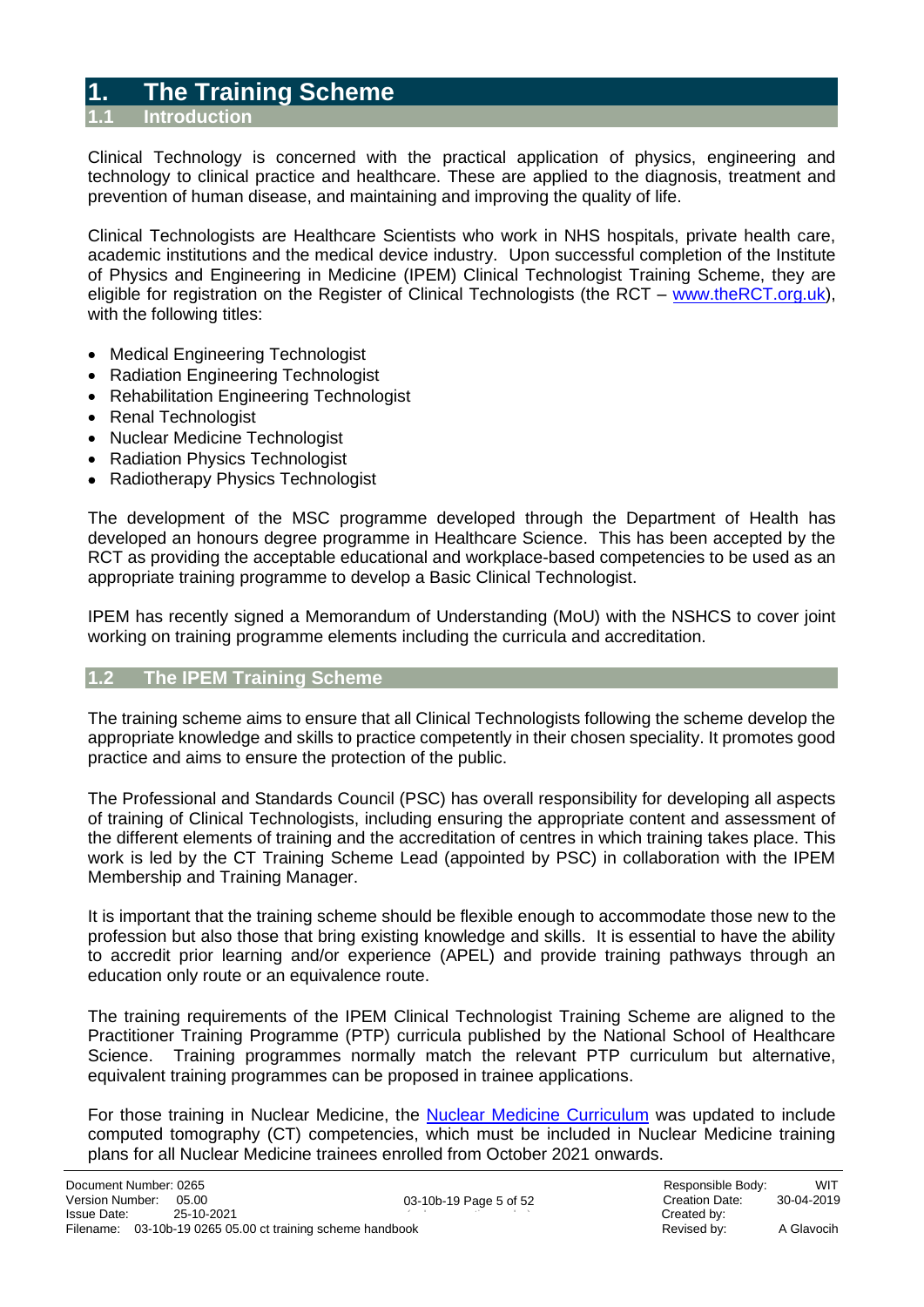### <span id="page-4-0"></span>**1. The Training Scheme**

#### <span id="page-4-1"></span>**1.1 Introduction**

Clinical Technology is concerned with the practical application of physics, engineering and technology to clinical practice and healthcare. These are applied to the diagnosis, treatment and prevention of human disease, and maintaining and improving the quality of life.

Clinical Technologists are Healthcare Scientists who work in NHS hospitals, private health care, academic institutions and the medical device industry. Upon successful completion of the Institute of Physics and Engineering in Medicine (IPEM) Clinical Technologist Training Scheme, they are eligible for registration on the Register of Clinical Technologists (the RCT – [www.theRCT.org.uk\)](http://therct.org.uk/), with the following titles:

- Medical Engineering Technologist
- Radiation Engineering Technologist
- Rehabilitation Engineering Technologist
- Renal Technologist
- Nuclear Medicine Technologist
- Radiation Physics Technologist
- Radiotherapy Physics Technologist

The development of the MSC programme developed through the Department of Health has developed an honours degree programme in Healthcare Science. This has been accepted by the RCT as providing the acceptable educational and workplace-based competencies to be used as an appropriate training programme to develop a Basic Clinical Technologist.

IPEM has recently signed a Memorandum of Understanding (MoU) with the NSHCS to cover joint working on training programme elements including the curricula and accreditation.

#### <span id="page-4-2"></span>**1.2 The IPEM Training Scheme**

The training scheme aims to ensure that all Clinical Technologists following the scheme develop the appropriate knowledge and skills to practice competently in their chosen speciality. It promotes good practice and aims to ensure the protection of the public.

The Professional and Standards Council (PSC) has overall responsibility for developing all aspects of training of Clinical Technologists, including ensuring the appropriate content and assessment of the different elements of training and the accreditation of centres in which training takes place. This work is led by the CT Training Scheme Lead (appointed by PSC) in collaboration with the IPEM Membership and Training Manager.

It is important that the training scheme should be flexible enough to accommodate those new to the profession but also those that bring existing knowledge and skills. It is essential to have the ability to accredit prior learning and/or experience (APEL) and provide training pathways through an education only route or an equivalence route.

The training requirements of the IPEM Clinical Technologist Training Scheme are aligned to the Practitioner Training Programme (PTP) curricula published by the National School of Healthcare Science. Training programmes normally match the relevant PTP curriculum but alternative, equivalent training programmes can be proposed in trainee applications.

For those training in Nuclear Medicine, the [Nuclear Medicine Curriculum](https://www.ipem.ac.uk/media/pdghtxsz/nuclear-medicine-updated-curriculum.pdf) was updated to include computed tomography (CT) competencies, which must be included in Nuclear Medicine training plans for all Nuclear Medicine trainees enrolled from October 2021 onwards.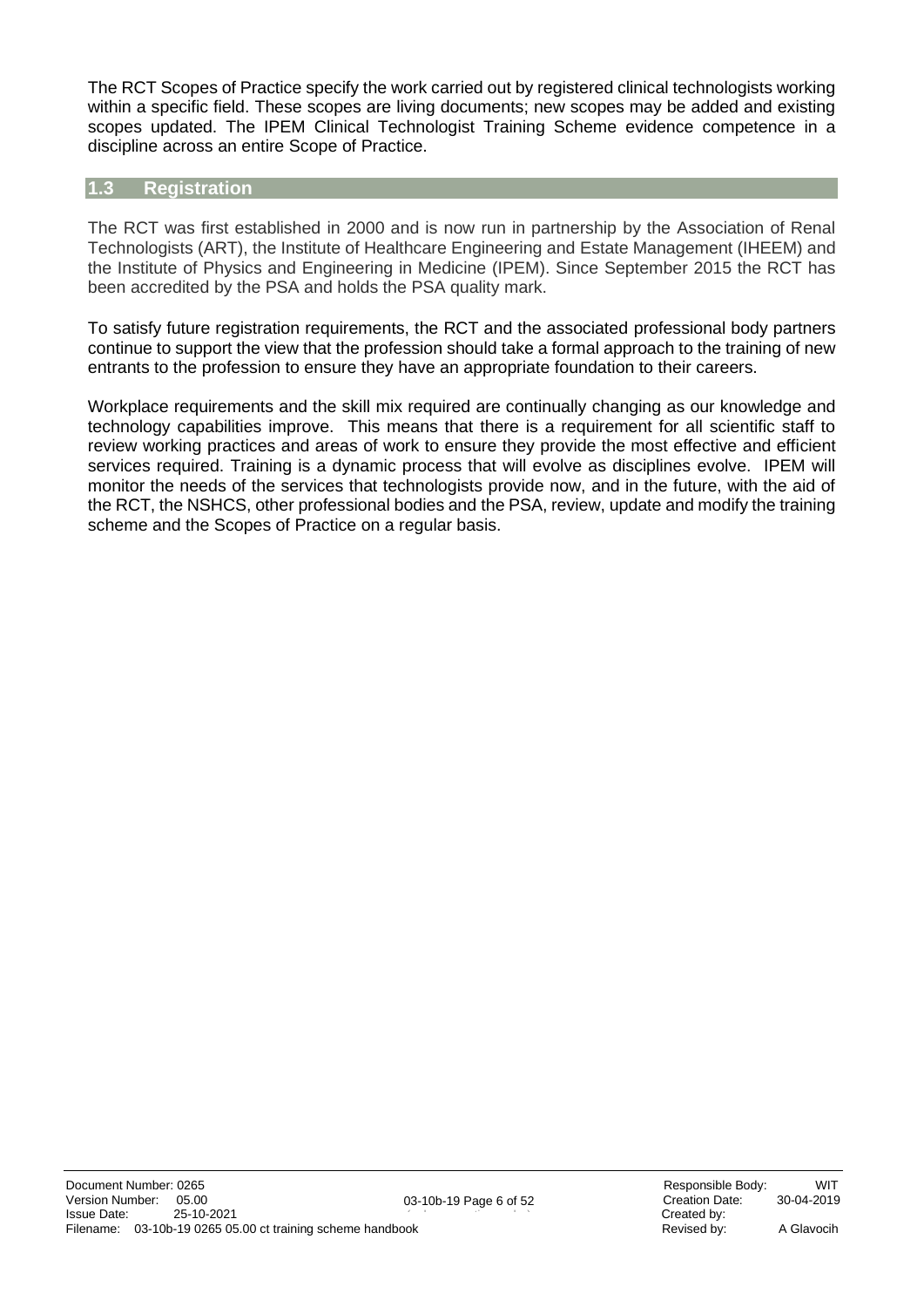The RCT Scopes of Practice specify the work carried out by registered clinical technologists working within a specific field. These scopes are living documents; new scopes may be added and existing scopes updated. The IPEM Clinical Technologist Training Scheme evidence competence in a discipline across an entire Scope of Practice.

#### <span id="page-5-0"></span>**1.3 Registration**

The RCT was first established in 2000 and is now run in partnership by the Association of Renal Technologists (ART), the Institute of Healthcare Engineering and Estate Management (IHEEM) and the Institute of Physics and Engineering in Medicine (IPEM). Since September 2015 the RCT has been accredited by the PSA and holds the PSA quality mark.

To satisfy future registration requirements, the RCT and the associated professional body partners continue to support the view that the profession should take a formal approach to the training of new entrants to the profession to ensure they have an appropriate foundation to their careers.

Workplace requirements and the skill mix required are continually changing as our knowledge and technology capabilities improve. This means that there is a requirement for all scientific staff to review working practices and areas of work to ensure they provide the most effective and efficient services required. Training is a dynamic process that will evolve as disciplines evolve. IPEM will monitor the needs of the services that technologists provide now, and in the future, with the aid of the RCT, the NSHCS, other professional bodies and the PSA, review, update and modify the training scheme and the Scopes of Practice on a regular basis.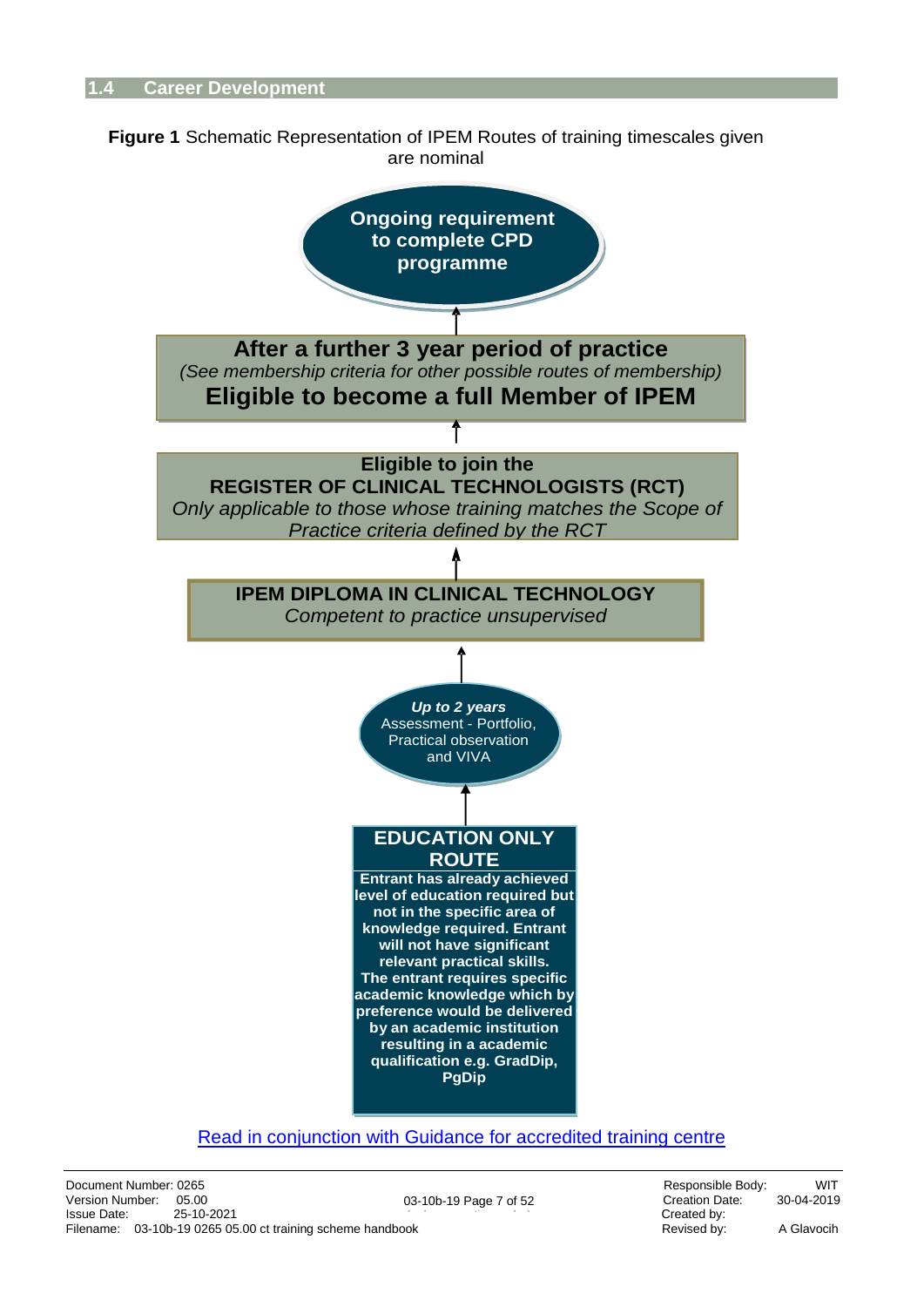<span id="page-6-0"></span>



#### [Read in conjunction with Guidance for accredited training centre](https://www.ipem.ac.uk/media/5oul1zkd/guidance-notes-for-the-accreditation-of-a-training-centre.pdf)

03-10b-19 Page 7 of 52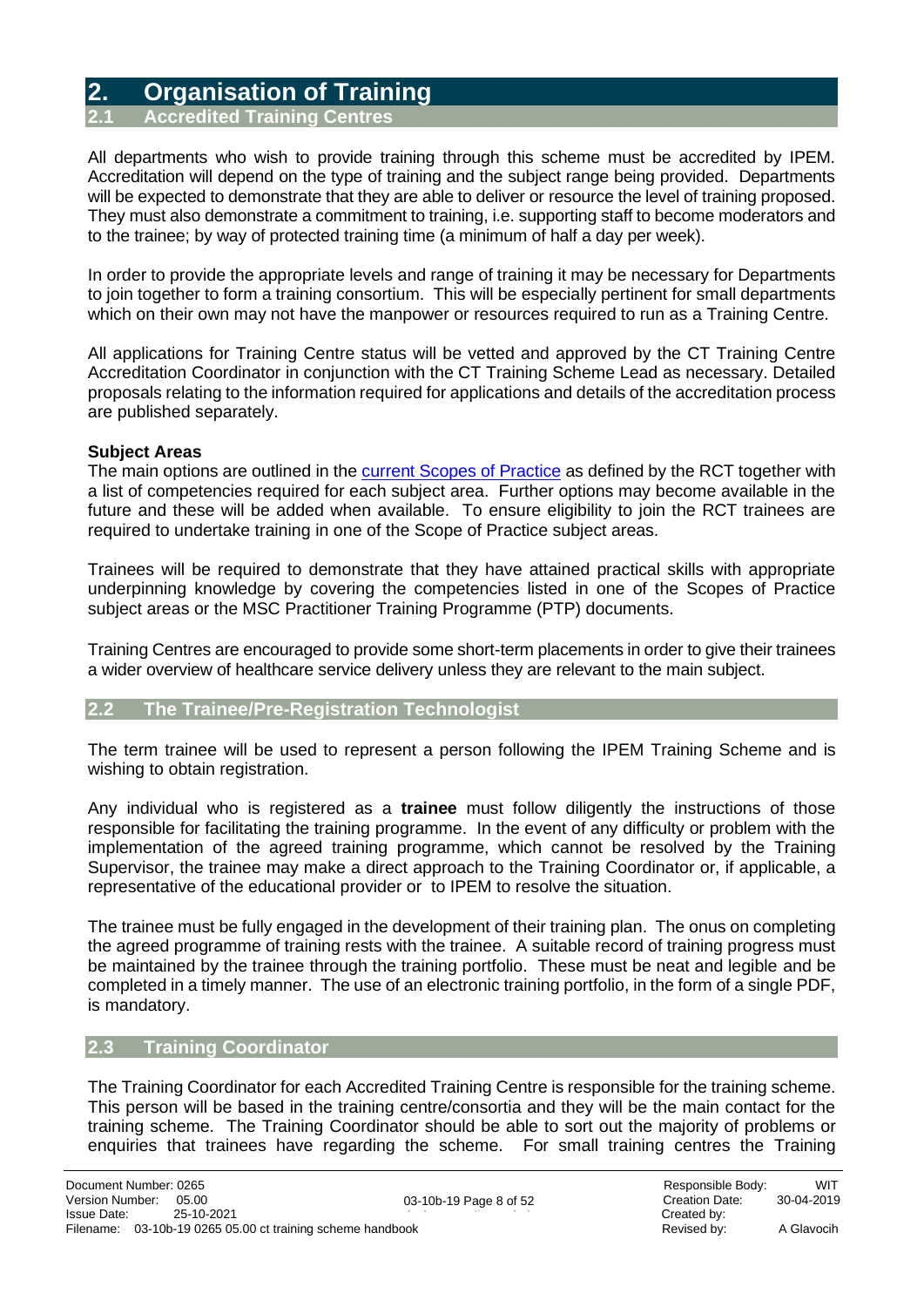### <span id="page-7-0"></span>**2. Organisation of Training**

<span id="page-7-1"></span>**Accredited Training** 

All departments who wish to provide training through this scheme must be accredited by IPEM. Accreditation will depend on the type of training and the subject range being provided. Departments will be expected to demonstrate that they are able to deliver or resource the level of training proposed. They must also demonstrate a commitment to training, i.e. supporting staff to become moderators and to the trainee; by way of protected training time (a minimum of half a day per week).

In order to provide the appropriate levels and range of training it may be necessary for Departments to join together to form a training consortium. This will be especially pertinent for small departments which on their own may not have the manpower or resources required to run as a Training Centre.

All applications for Training Centre status will be vetted and approved by the CT Training Centre Accreditation Coordinator in conjunction with the CT Training Scheme Lead as necessary. Detailed proposals relating to the information required for applications and details of the accreditation process are published separately.

#### **Subject Areas**

The main options are outlined in the [current Scopes of Practice](http://therct.org.uk/how-to-join-the-register/standards/scope-of-practice/) as defined by the RCT together with a list of competencies required for each subject area. Further options may become available in the future and these will be added when available. To ensure eligibility to join the RCT trainees are required to undertake training in one of the Scope of Practice subject areas.

Trainees will be required to demonstrate that they have attained practical skills with appropriate underpinning knowledge by covering the competencies listed in one of the Scopes of Practice subject areas or the MSC Practitioner Training Programme (PTP) documents.

Training Centres are encouraged to provide some short-term placements in order to give their trainees a wider overview of healthcare service delivery unless they are relevant to the main subject.

#### <span id="page-7-2"></span>**2.2 The Trainee/Pre-Registration Technologist**

The term trainee will be used to represent a person following the IPEM Training Scheme and is wishing to obtain registration.

Any individual who is registered as a **trainee** must follow diligently the instructions of those responsible for facilitating the training programme. In the event of any difficulty or problem with the implementation of the agreed training programme, which cannot be resolved by the Training Supervisor, the trainee may make a direct approach to the Training Coordinator or, if applicable, a representative of the educational provider or to IPEM to resolve the situation.

The trainee must be fully engaged in the development of their training plan. The onus on completing the agreed programme of training rests with the trainee. A suitable record of training progress must be maintained by the trainee through the training portfolio. These must be neat and legible and be completed in a timely manner. The use of an electronic training portfolio, in the form of a single PDF, is mandatory.

#### <span id="page-7-3"></span>**2.3 Training Coordinator**

The Training Coordinator for each Accredited Training Centre is responsible for the training scheme. This person will be based in the training centre/consortia and they will be the main contact for the training scheme. The Training Coordinator should be able to sort out the majority of problems or enquiries that trainees have regarding the scheme. For small training centres the Training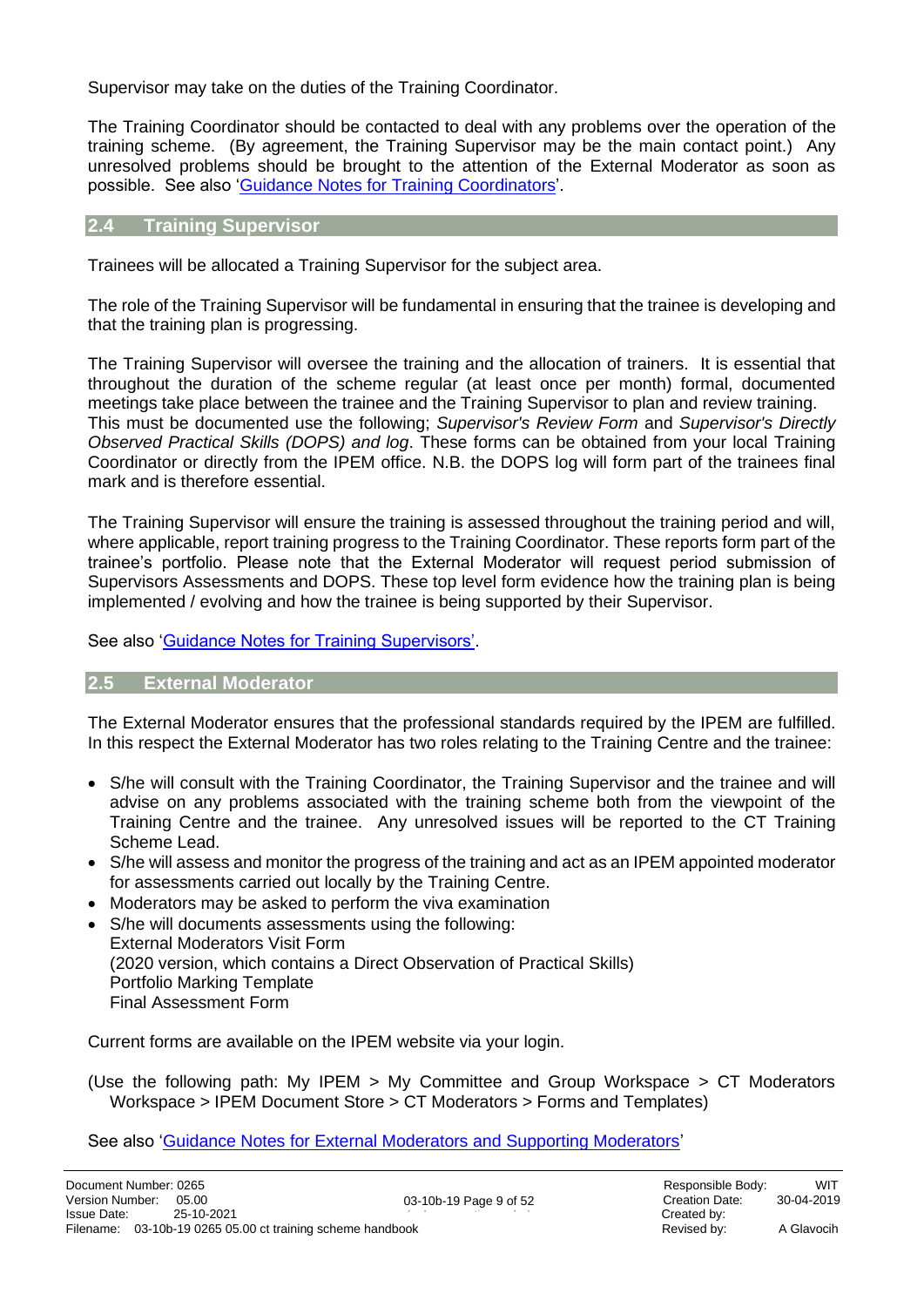Supervisor may take on the duties of the Training Coordinator.

The Training Coordinator should be contacted to deal with any problems over the operation of the training scheme. (By agreement, the Training Supervisor may be the main contact point.) Any unresolved problems should be brought to the attention of the External Moderator as soon as possible. See also ['Guidance Notes for Training Coordinators'](#page-27-0).

#### <span id="page-8-0"></span>**2.4 Training Supervisor**

Trainees will be allocated a Training Supervisor for the subject area.

The role of the Training Supervisor will be fundamental in ensuring that the trainee is developing and that the training plan is progressing.

The Training Supervisor will oversee the training and the allocation of trainers. It is essential that throughout the duration of the scheme regular (at least once per month) formal, documented meetings take place between the trainee and the Training Supervisor to plan and review training. This must be documented use the following; *Supervisor's Review Form* and *Supervisor's Directly Observed Practical Skills (DOPS) and log*. These forms can be obtained from your local Training Coordinator or directly from the IPEM office. N.B. the DOPS log will form part of the trainees final mark and is therefore essential.

The Training Supervisor will ensure the training is assessed throughout the training period and will, where applicable, report training progress to the Training Coordinator. These reports form part of the trainee's portfolio. Please note that the External Moderator will request period submission of Supervisors Assessments and DOPS. These top level form evidence how the training plan is being implemented / evolving and how the trainee is being supported by their Supervisor.

See also ['Guidance Notes for Training Supervisors'.](#page-27-2)

#### <span id="page-8-1"></span>**2.5 External Moderator**

The External Moderator ensures that the professional standards required by the IPEM are fulfilled. In this respect the External Moderator has two roles relating to the Training Centre and the trainee:

- S/he will consult with the Training Coordinator, the Training Supervisor and the trainee and will advise on any problems associated with the training scheme both from the viewpoint of the Training Centre and the trainee. Any unresolved issues will be reported to the CT Training Scheme Lead.
- S/he will assess and monitor the progress of the training and act as an IPEM appointed moderator for assessments carried out locally by the Training Centre.
- Moderators may be asked to perform the viva examination
- S/he will documents assessments using the following: External Moderators Visit Form (2020 version, which contains a Direct Observation of Practical Skills) Portfolio Marking Template Final Assessment Form

Current forms are available on the IPEM website via your login.

(Use the following path: My IPEM > My Committee and Group Workspace > CT Moderators Workspace > IPEM Document Store > CT Moderators > Forms and Templates)

See also ['Guidance Notes for External Moderators and Supporting Moderators'](#page-28-0)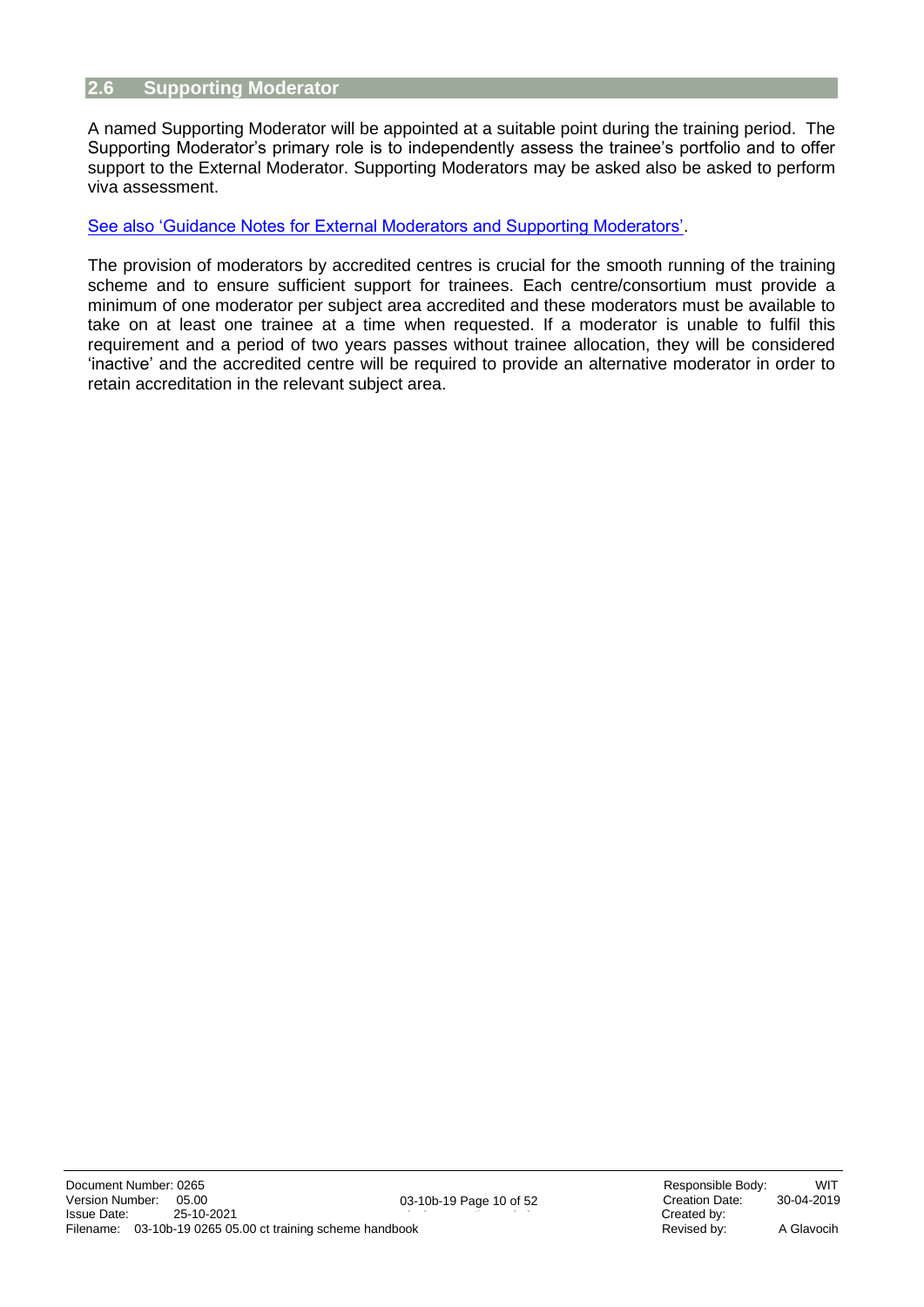#### <span id="page-9-0"></span>**2.6 Supporting Moderator**

A named Supporting Moderator will be appointed at a suitable point during the training period. The Supporting Moderator's primary role is to independently assess the trainee's portfolio and to offer support to the External Moderator. Supporting Moderators may be asked also be asked to perform viva assessment.

#### [See also 'Guidance Notes for External Moderators and Supporting Moderators'.](#page-28-0)

The provision of moderators by accredited centres is crucial for the smooth running of the training scheme and to ensure sufficient support for trainees. Each centre/consortium must provide a minimum of one moderator per subject area accredited and these moderators must be available to take on at least one trainee at a time when requested. If a moderator is unable to fulfil this requirement and a period of two years passes without trainee allocation, they will be considered 'inactive' and the accredited centre will be required to provide an alternative moderator in order to retain accreditation in the relevant subject area.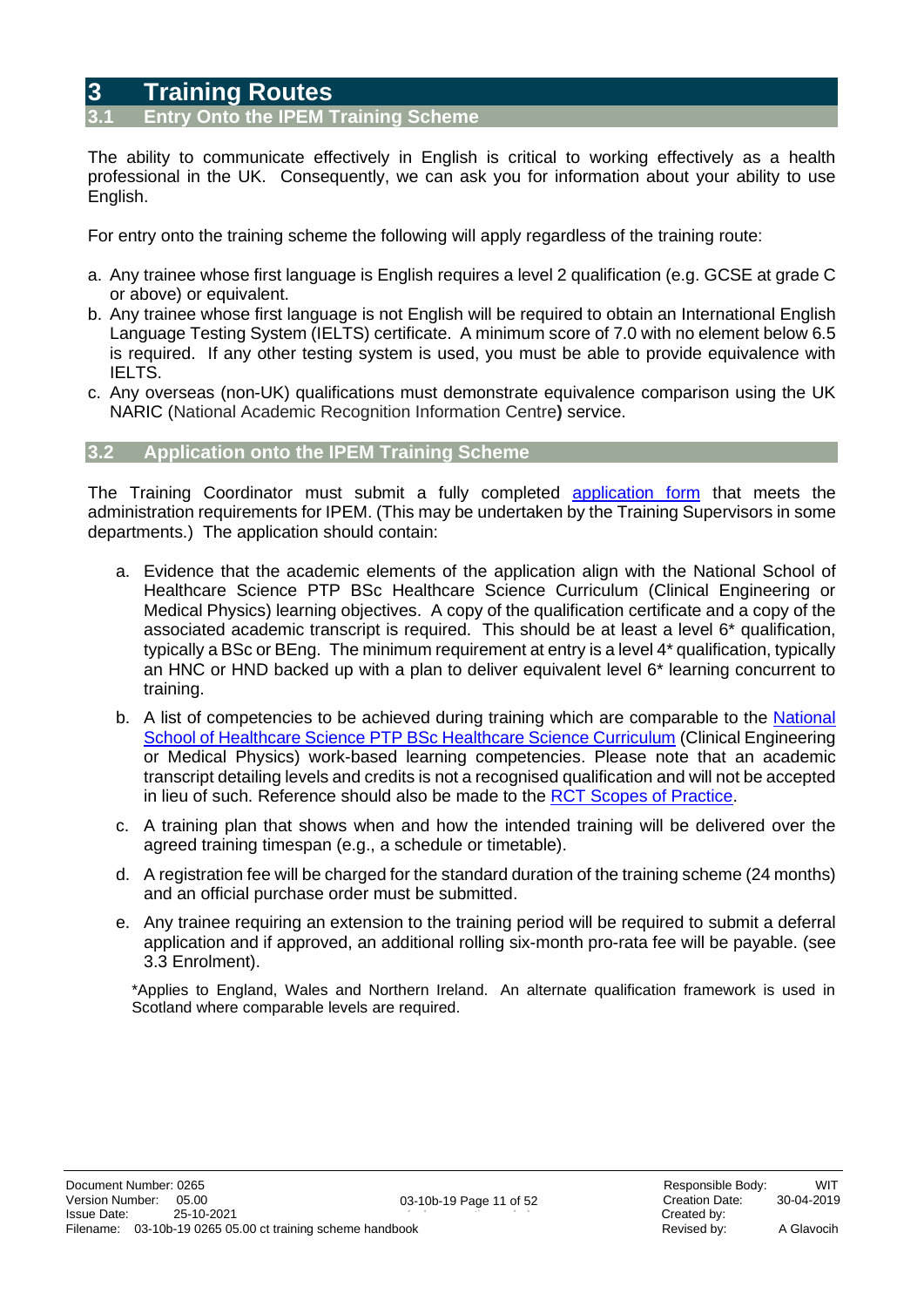### <span id="page-10-0"></span>**3 Training Routes**

#### <span id="page-10-1"></span>**2.12 Onto the IPEM Training Scheme**

The ability to communicate effectively in English is critical to working effectively as a health professional in the UK. Consequently, we can ask you for information about your ability to use English.

For entry onto the training scheme the following will apply regardless of the training route:

- a. Any trainee whose first language is English requires a level 2 qualification (e.g. GCSE at grade C or above) or equivalent.
- b. Any trainee whose first language is not English will be required to obtain an International English Language Testing System (IELTS) certificate. A minimum score of 7.0 with no element below 6.5 is required. If any other testing system is used, you must be able to provide equivalence with IELTS.
- c. Any overseas (non-UK) qualifications must demonstrate equivalence comparison using the UK NARIC (National Academic Recognition Information Centre**)** service.

#### <span id="page-10-2"></span>**3.2 Application onto the IPEM Training Scheme**

The Training Coordinator must submit a fully completed [application form](https://www.ipem.ac.uk/learn/ipem-clinical-technologist-training-scheme/how-to-apply/) that meets the administration requirements for IPEM. (This may be undertaken by the Training Supervisors in some departments.) The application should contain:

- a. Evidence that the academic elements of the application align with the National School of Healthcare Science PTP BSc Healthcare Science Curriculum (Clinical Engineering or Medical Physics) learning objectives. A copy of the qualification certificate and a copy of the associated academic transcript is required. This should be at least a level 6\* qualification, typically a BSc or BEng. The minimum requirement at entry is a level 4\* qualification, typically an HNC or HND backed up with a plan to deliver equivalent level 6\* learning concurrent to training.
- b. A list of competencies to be achieved during training which are comparable to the National [School of Healthcare Science PTP BSc Healthcare Science Curriculum](https://nshcs.hee.nhs.uk/programmes/ptp/ptp-curriculum-documents/) (Clinical Engineering or Medical Physics) work-based learning competencies. Please note that an academic transcript detailing levels and credits is not a recognised qualification and will not be accepted in lieu of such. Reference should also be made to the [RCT Scopes of Practice.](http://therct.org.uk/wp-content/uploads/2021/01/RCT-Scopes-of-Practice-Dec-2020-v11.pdf)
- c. A training plan that shows when and how the intended training will be delivered over the agreed training timespan (e.g., a schedule or timetable).
- d. A registration fee will be charged for the standard duration of the training scheme (24 months) and an official purchase order must be submitted.
- e. Any trainee requiring an extension to the training period will be required to submit a deferral application and if approved, an additional rolling six-month pro-rata fee will be payable. (see 3.3 Enrolment).

\*Applies to England, Wales and Northern Ireland. An alternate qualification framework is used in Scotland where comparable levels are required.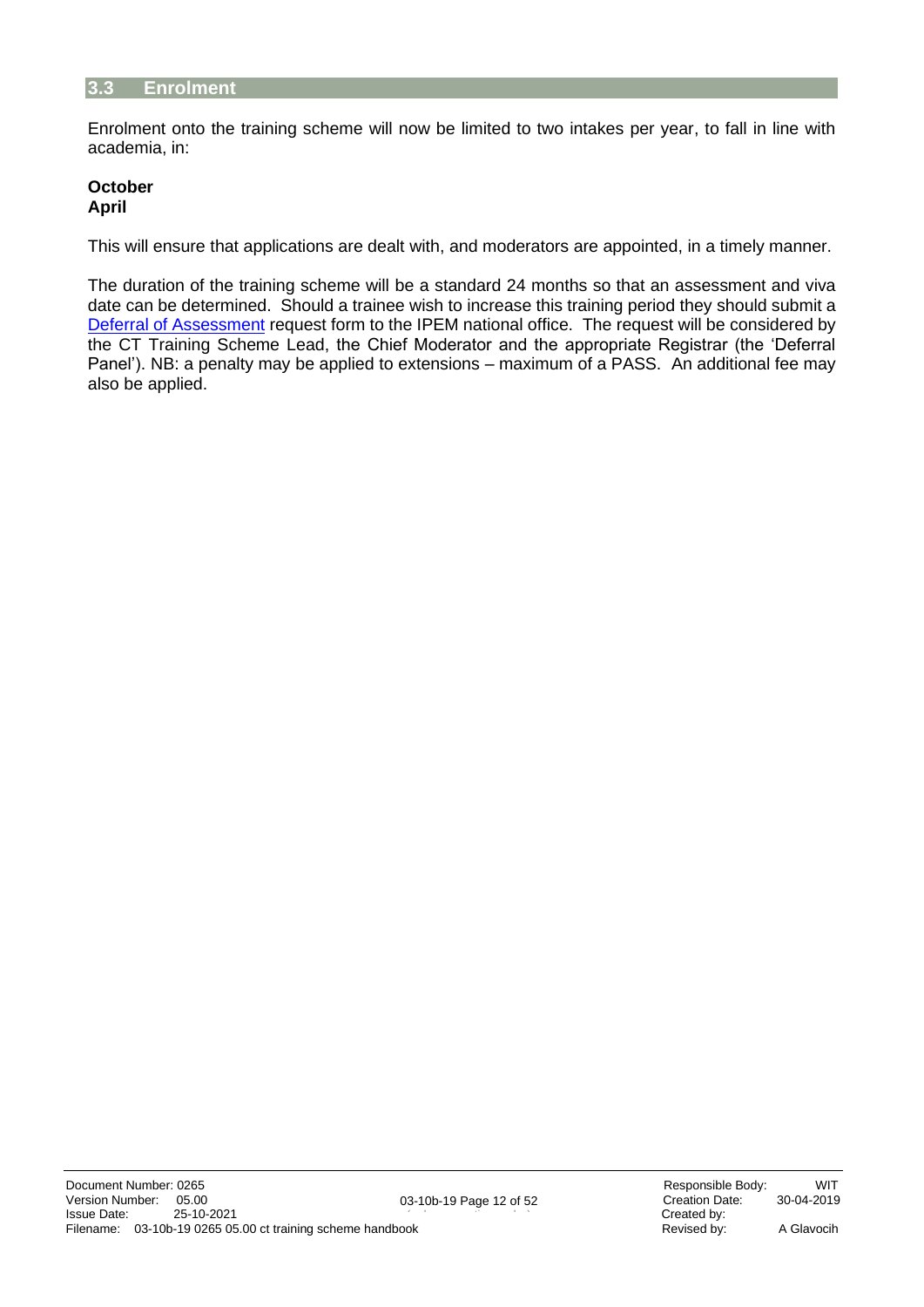#### <span id="page-11-0"></span>**3.3 Enrolment**

Enrolment onto the training scheme will now be limited to two intakes per year, to fall in line with academia, in:

#### **October April**

This will ensure that applications are dealt with, and moderators are appointed, in a timely manner.

The duration of the training scheme will be a standard 24 months so that an assessment and viva date can be determined. Should a trainee wish to increase this training period they should submit a [Deferral of Assessment](https://www.ipem.ac.uk/media/4cjkhngs/deferral-of-assessment-request-for-the-ipem-technologist-training-scheme.docx) request form to the IPEM national office. The request will be considered by the CT Training Scheme Lead, the Chief Moderator and the appropriate Registrar (the 'Deferral Panel'). NB: a penalty may be applied to extensions – maximum of a PASS. An additional fee may also be applied.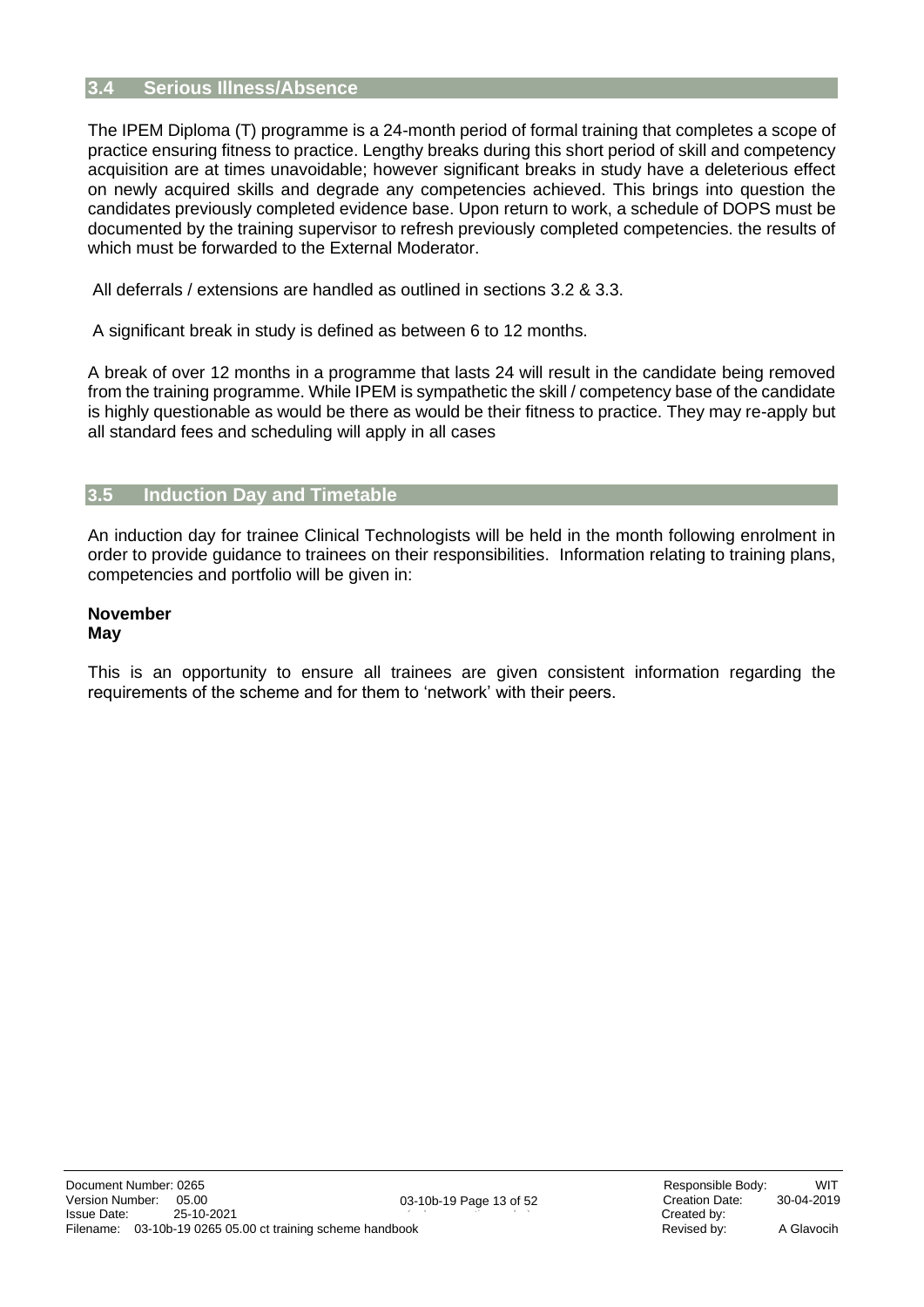#### <span id="page-12-0"></span>**3.4 Serious Illness/Absence**

The IPEM Diploma (T) programme is a 24-month period of formal training that completes a scope of practice ensuring fitness to practice. Lengthy breaks during this short period of skill and competency acquisition are at times unavoidable; however significant breaks in study have a deleterious effect on newly acquired skills and degrade any competencies achieved. This brings into question the candidates previously completed evidence base. Upon return to work, a schedule of DOPS must be documented by the training supervisor to refresh previously completed competencies. the results of which must be forwarded to the External Moderator.

All deferrals / extensions are handled as outlined in sections 3.2 & 3.3.

A significant break in study is defined as between 6 to 12 months.

A break of over 12 months in a programme that lasts 24 will result in the candidate being removed from the training programme. While IPEM is sympathetic the skill / competency base of the candidate is highly questionable as would be there as would be their fitness to practice. They may re-apply but all standard fees and scheduling will apply in all cases

#### **3.5 Induction Day and Timetable**

An induction day for trainee Clinical Technologists will be held in the month following enrolment in order to provide guidance to trainees on their responsibilities. Information relating to training plans, competencies and portfolio will be given in:

#### **November May**

This is an opportunity to ensure all trainees are given consistent information regarding the requirements of the scheme and for them to 'network' with their peers.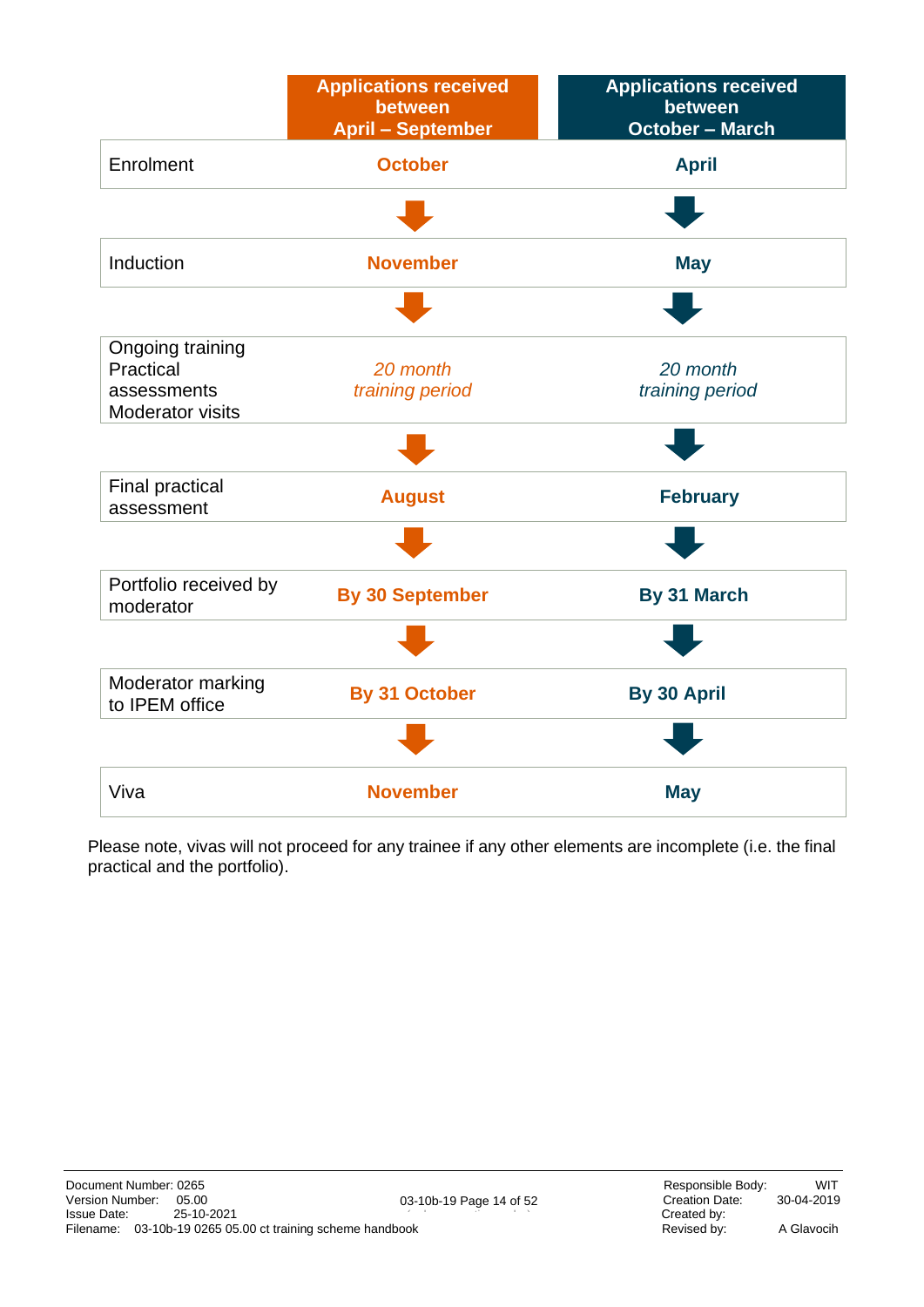|                                                                         | <b>Applications received</b><br>between<br><b>April - September</b> | <b>Applications received</b><br>between<br><b>October - March</b> |
|-------------------------------------------------------------------------|---------------------------------------------------------------------|-------------------------------------------------------------------|
| Enrolment                                                               | <b>October</b>                                                      | <b>April</b>                                                      |
|                                                                         |                                                                     |                                                                   |
| Induction                                                               | <b>November</b>                                                     | <b>May</b>                                                        |
|                                                                         |                                                                     |                                                                   |
| Ongoing training<br>Practical<br>assessments<br><b>Moderator visits</b> | 20 month<br>training period                                         | 20 month<br>training period                                       |
|                                                                         |                                                                     |                                                                   |
| <b>Final practical</b><br>assessment                                    | <b>August</b>                                                       | <b>February</b>                                                   |
|                                                                         |                                                                     |                                                                   |
| Portfolio received by<br>moderator                                      | <b>By 30 September</b>                                              | <b>By 31 March</b>                                                |
|                                                                         |                                                                     |                                                                   |
| Moderator marking<br>to IPEM office                                     | By 31 October                                                       | By 30 April                                                       |
|                                                                         |                                                                     |                                                                   |
| Viva                                                                    | <b>November</b>                                                     | <b>May</b>                                                        |

Please note, vivas will not proceed for any trainee if any other elements are incomplete (i.e. the final practical and the portfolio).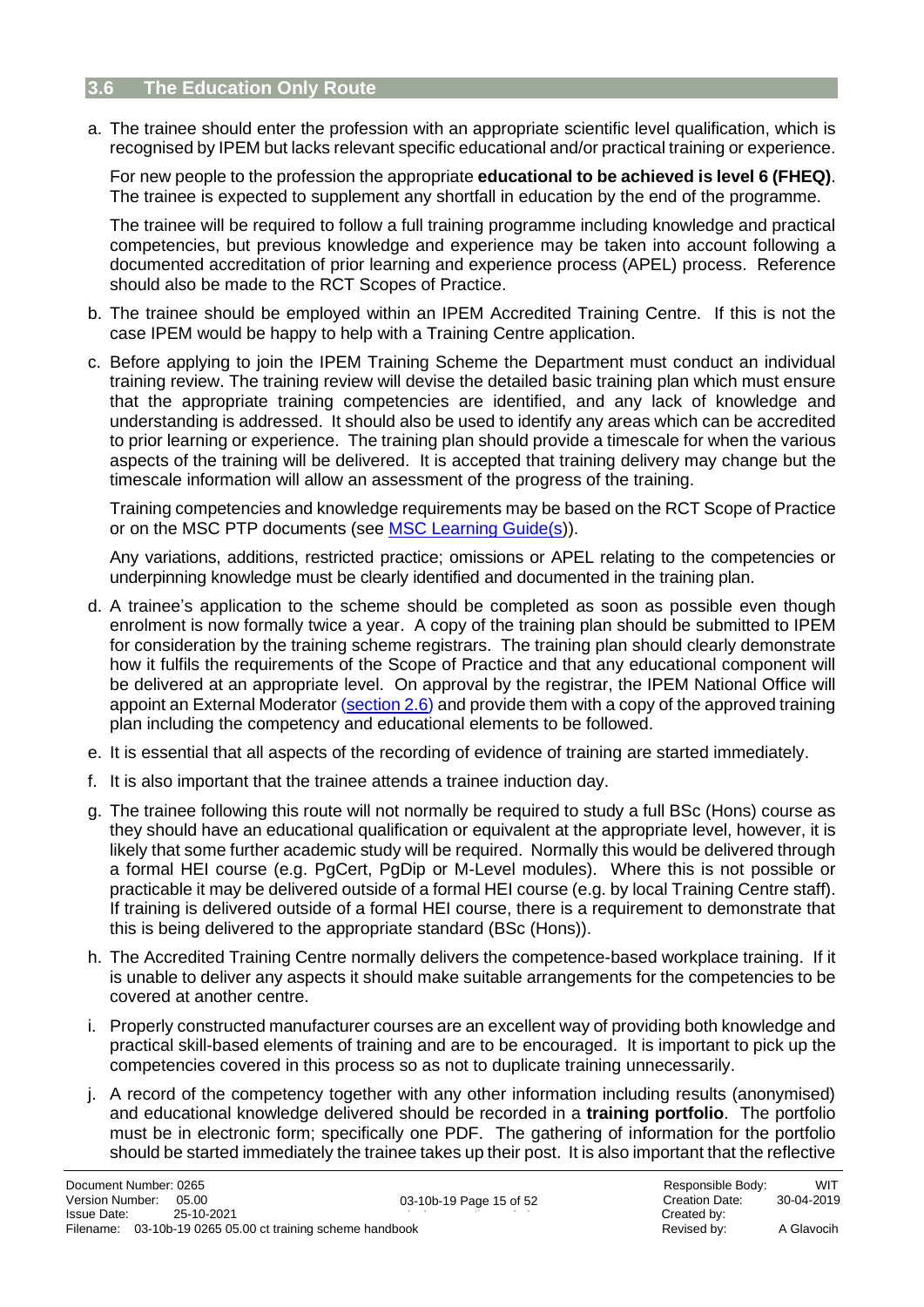#### <span id="page-14-0"></span>**3.6 The Education Only Route**

a. The trainee should enter the profession with an appropriate scientific level qualification, which is recognised by IPEM but lacks relevant specific educational and/or practical training or experience.

For new people to the profession the appropriate **educational to be achieved is level 6 (FHEQ)**. The trainee is expected to supplement any shortfall in education by the end of the programme.

The trainee will be required to follow a full training programme including knowledge and practical competencies, but previous knowledge and experience may be taken into account following a documented accreditation of prior learning and experience process (APEL) process. Reference should also be made to the RCT Scopes of Practice.

- b. The trainee should be employed within an IPEM Accredited Training Centre. If this is not the case IPEM would be happy to help with a Training Centre application.
- c. Before applying to join the IPEM Training Scheme the Department must conduct an individual training review. The training review will devise the detailed basic training plan which must ensure that the appropriate training competencies are identified, and any lack of knowledge and understanding is addressed. It should also be used to identify any areas which can be accredited to prior learning or experience. The training plan should provide a timescale for when the various aspects of the training will be delivered. It is accepted that training delivery may change but the timescale information will allow an assessment of the progress of the training.

Training competencies and knowledge requirements may be based on the RCT Scope of Practice or on the MSC PTP documents (see [MSC Learning Guide\(s\)](https://www.networks.nhs.uk/nhs-networks/msc-framework-curricula/ptp-1/learning-outcomes-indicative-content-and-training-programme-manuals)).

Any variations, additions, restricted practice; omissions or APEL relating to the competencies or underpinning knowledge must be clearly identified and documented in the training plan.

- d. A trainee's application to the scheme should be completed as soon as possible even though enrolment is now formally twice a year. A copy of the training plan should be submitted to IPEM for consideration by the training scheme registrars. The training plan should clearly demonstrate how it fulfils the requirements of the Scope of Practice and that any educational component will be delivered at an appropriate level. On approval by the registrar, the IPEM National Office will appoint an External Moderator [\(section 2.6\)](#page-8-1) and provide them with a copy of the approved training plan including the competency and educational elements to be followed.
- e. It is essential that all aspects of the recording of evidence of training are started immediately.
- f. It is also important that the trainee attends a trainee induction day.
- g. The trainee following this route will not normally be required to study a full BSc (Hons) course as they should have an educational qualification or equivalent at the appropriate level, however, it is likely that some further academic study will be required. Normally this would be delivered through a formal HEI course (e.g. PgCert, PgDip or M-Level modules). Where this is not possible or practicable it may be delivered outside of a formal HEI course (e.g. by local Training Centre staff). If training is delivered outside of a formal HEI course, there is a requirement to demonstrate that this is being delivered to the appropriate standard (BSc (Hons)).
- h. The Accredited Training Centre normally delivers the competence-based workplace training. If it is unable to deliver any aspects it should make suitable arrangements for the competencies to be covered at another centre.
- i. Properly constructed manufacturer courses are an excellent way of providing both knowledge and practical skill-based elements of training and are to be encouraged. It is important to pick up the competencies covered in this process so as not to duplicate training unnecessarily.
- j. A record of the competency together with any other information including results (anonymised) and educational knowledge delivered should be recorded in a **training portfolio**. The portfolio must be in electronic form; specifically one PDF. The gathering of information for the portfolio should be started immediately the trainee takes up their post. It is also important that the reflective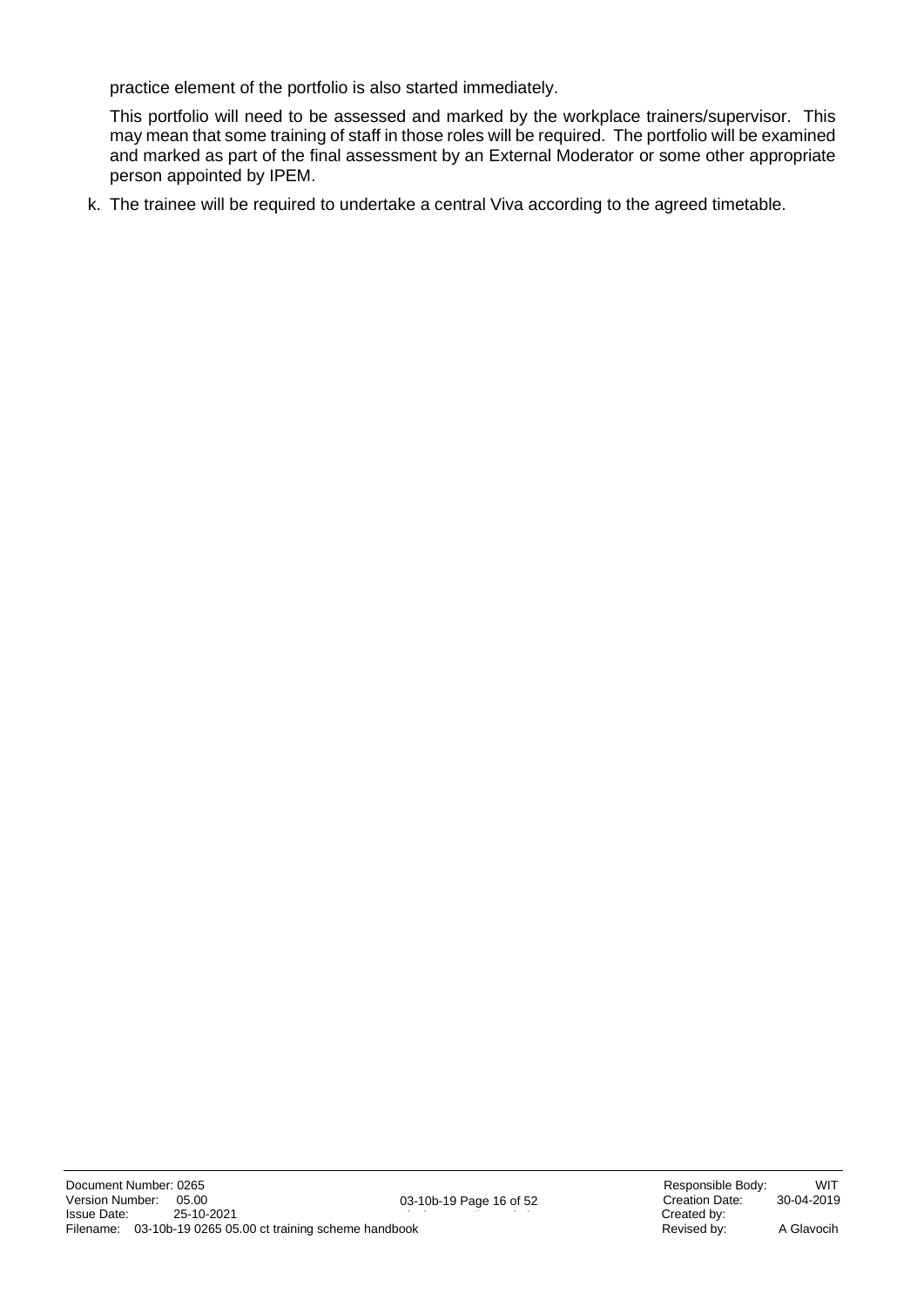practice element of the portfolio is also started immediately.

This portfolio will need to be assessed and marked by the workplace trainers/supervisor. This may mean that some training of staff in those roles will be required. The portfolio will be examined and marked as part of the final assessment by an External Moderator or some other appropriate person appointed by IPEM.

k. The trainee will be required to undertake a central Viva according to the agreed timetable.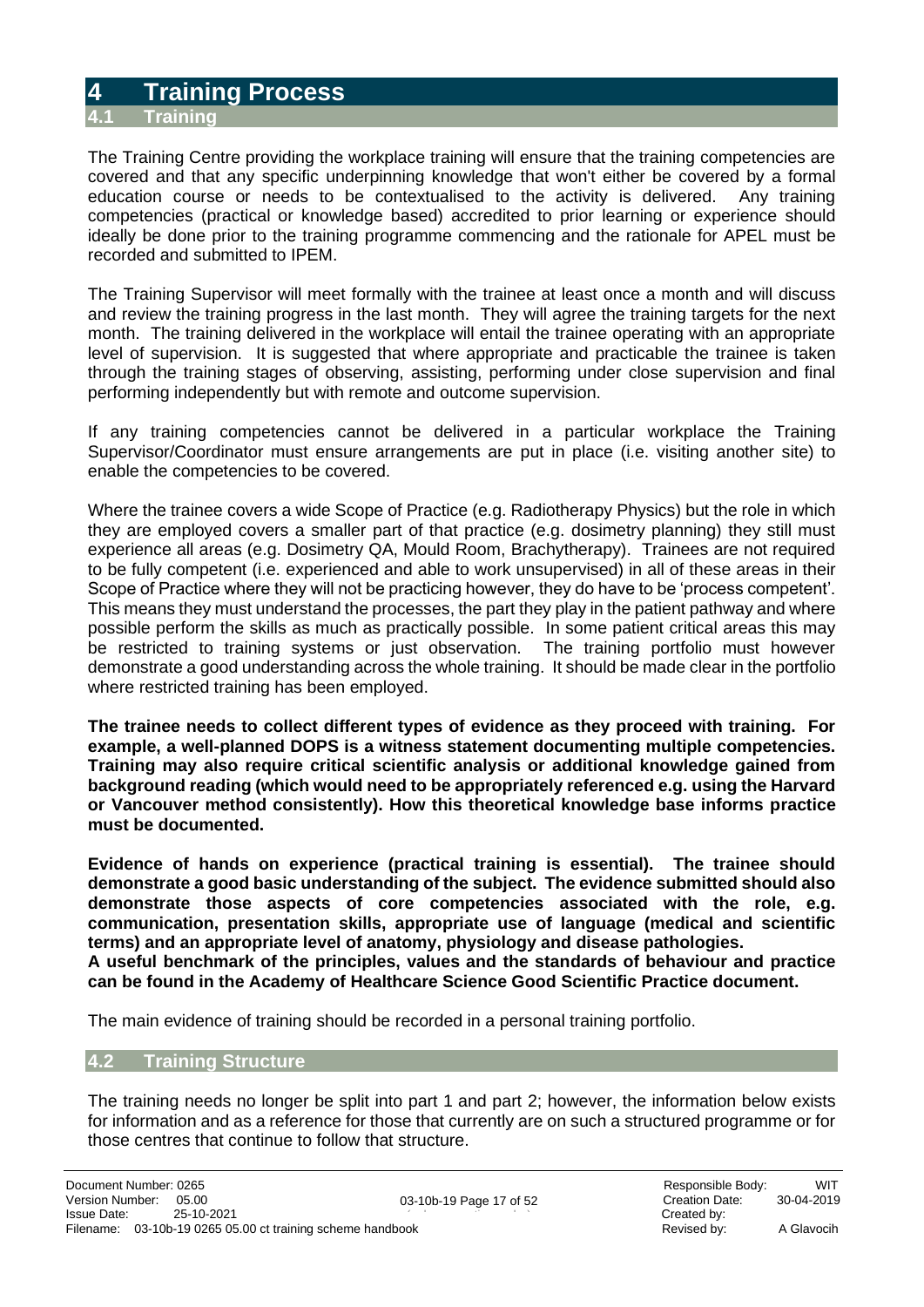### <span id="page-16-0"></span>**4 Training Process**

#### <span id="page-16-1"></span>**4.1 Training**

The Training Centre providing the workplace training will ensure that the training competencies are covered and that any specific underpinning knowledge that won't either be covered by a formal education course or needs to be contextualised to the activity is delivered. Any training competencies (practical or knowledge based) accredited to prior learning or experience should ideally be done prior to the training programme commencing and the rationale for APEL must be recorded and submitted to IPEM.

The Training Supervisor will meet formally with the trainee at least once a month and will discuss and review the training progress in the last month. They will agree the training targets for the next month. The training delivered in the workplace will entail the trainee operating with an appropriate level of supervision. It is suggested that where appropriate and practicable the trainee is taken through the training stages of observing, assisting, performing under close supervision and final performing independently but with remote and outcome supervision.

If any training competencies cannot be delivered in a particular workplace the Training Supervisor/Coordinator must ensure arrangements are put in place (i.e. visiting another site) to enable the competencies to be covered.

Where the trainee covers a wide Scope of Practice (e.g. Radiotherapy Physics) but the role in which they are employed covers a smaller part of that practice (e.g. dosimetry planning) they still must experience all areas (e.g. Dosimetry QA, Mould Room, Brachytherapy). Trainees are not required to be fully competent (i.e. experienced and able to work unsupervised) in all of these areas in their Scope of Practice where they will not be practicing however, they do have to be 'process competent'. This means they must understand the processes, the part they play in the patient pathway and where possible perform the skills as much as practically possible. In some patient critical areas this may be restricted to training systems or just observation. The training portfolio must however demonstrate a good understanding across the whole training. It should be made clear in the portfolio where restricted training has been employed.

**The trainee needs to collect different types of evidence as they proceed with training. For example, a well-planned DOPS is a witness statement documenting multiple competencies. Training may also require critical scientific analysis or additional knowledge gained from background reading (which would need to be appropriately referenced e.g. using the Harvard or Vancouver method consistently). How this theoretical knowledge base informs practice must be documented.** 

**Evidence of hands on experience (practical training is essential). The trainee should demonstrate a good basic understanding of the subject. The evidence submitted should also demonstrate those aspects of core competencies associated with the role, e.g. communication, presentation skills, appropriate use of language (medical and scientific terms) and an appropriate level of anatomy, physiology and disease pathologies.**

**A useful benchmark of the principles, values and the standards of behaviour and practice can be found in the Academy of Healthcare Science Good Scientific Practice document.**

The main evidence of training should be recorded in a personal training portfolio.

#### <span id="page-16-2"></span>**4.2 Training Structure**

The training needs no longer be split into part 1 and part 2; however, the information below exists for information and as a reference for those that currently are on such a structured programme or for those centres that continue to follow that structure.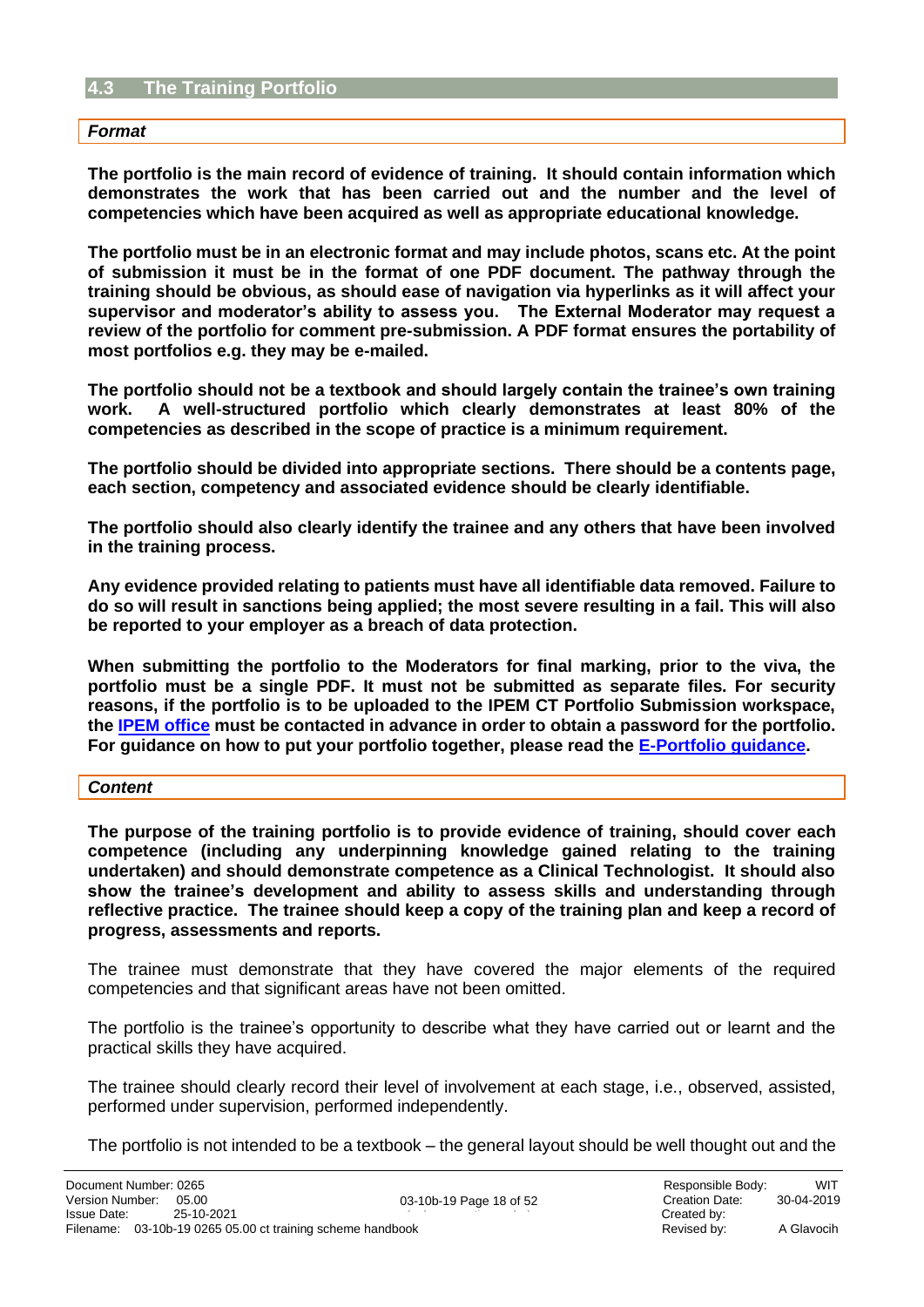#### <span id="page-17-0"></span>**4.3 The Training Portfolio**

#### *Format*

**The portfolio is the main record of evidence of training. It should contain information which demonstrates the work that has been carried out and the number and the level of competencies which have been acquired as well as appropriate educational knowledge.**

**The portfolio must be in an electronic format and may include photos, scans etc. At the point of submission it must be in the format of one PDF document. The pathway through the training should be obvious, as should ease of navigation via hyperlinks as it will affect your supervisor and moderator's ability to assess you. The External Moderator may request a review of the portfolio for comment pre-submission. A PDF format ensures the portability of most portfolios e.g. they may be e-mailed.**

**The portfolio should not be a textbook and should largely contain the trainee's own training work. A well-structured portfolio which clearly demonstrates at least 80% of the competencies as described in the scope of practice is a minimum requirement.** 

**The portfolio should be divided into appropriate sections. There should be a contents page, each section, competency and associated evidence should be clearly identifiable.** 

**The portfolio should also clearly identify the trainee and any others that have been involved in the training process.** 

**Any evidence provided relating to patients must have all identifiable data removed. Failure to do so will result in sanctions being applied; the most severe resulting in a fail. This will also be reported to your employer as a breach of data protection.** 

**When submitting the portfolio to the Moderators for final marking, prior to the viva, the portfolio must be a single PDF. It must not be submitted as separate files. For security reasons, if the portfolio is to be uploaded to the IPEM CT Portfolio Submission workspace, the [IPEM office](mailto:training@ipem.ac.uk) must be contacted in advance in order to obtain a password for the portfolio. For guidance on how to put your portfolio together, please read the [E-Portfolio guidance.](https://www.ipem.ac.uk/media/v1sdeehq/e-portfolio-guidance.pdf)**

#### *Content*

**The purpose of the training portfolio is to provide evidence of training, should cover each competence (including any underpinning knowledge gained relating to the training undertaken) and should demonstrate competence as a Clinical Technologist. It should also show the trainee's development and ability to assess skills and understanding through reflective practice. The trainee should keep a copy of the training plan and keep a record of progress, assessments and reports.**

The trainee must demonstrate that they have covered the major elements of the required competencies and that significant areas have not been omitted.

The portfolio is the trainee's opportunity to describe what they have carried out or learnt and the practical skills they have acquired.

The trainee should clearly record their level of involvement at each stage, i.e., observed, assisted, performed under supervision, performed independently.

The portfolio is not intended to be a textbook – the general layout should be well thought out and the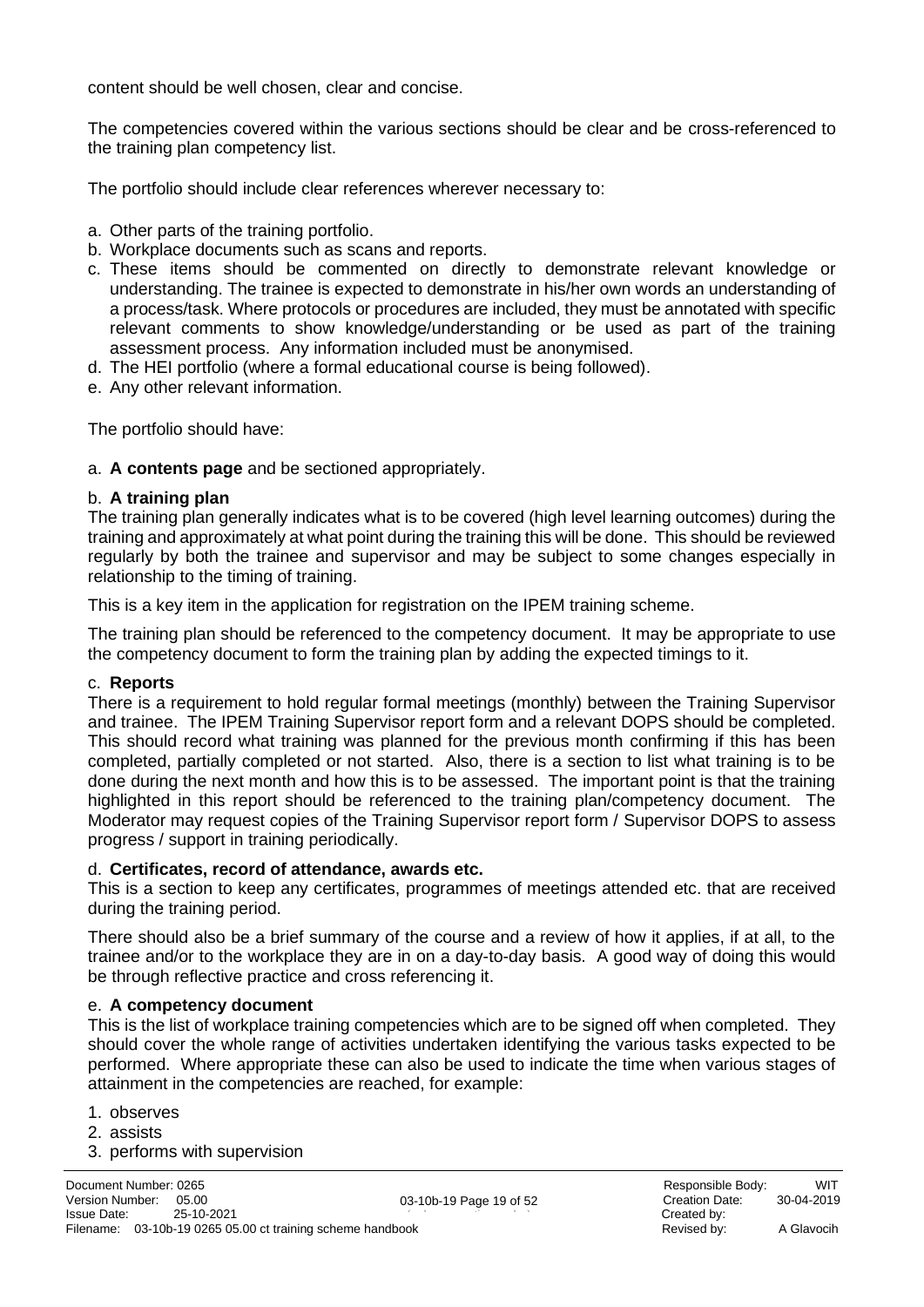content should be well chosen, clear and concise.

The competencies covered within the various sections should be clear and be cross-referenced to the training plan competency list.

The portfolio should include clear references wherever necessary to:

- a. Other parts of the training portfolio.
- b. Workplace documents such as scans and reports.
- c. These items should be commented on directly to demonstrate relevant knowledge or understanding. The trainee is expected to demonstrate in his/her own words an understanding of a process/task. Where protocols or procedures are included, they must be annotated with specific relevant comments to show knowledge/understanding or be used as part of the training assessment process. Any information included must be anonymised.
- d. The HEI portfolio (where a formal educational course is being followed).
- e. Any other relevant information.

The portfolio should have:

a. **A contents page** and be sectioned appropriately.

#### b. **A training plan**

The training plan generally indicates what is to be covered (high level learning outcomes) during the training and approximately at what point during the training this will be done. This should be reviewed regularly by both the trainee and supervisor and may be subject to some changes especially in relationship to the timing of training.

This is a key item in the application for registration on the IPEM training scheme.

The training plan should be referenced to the competency document. It may be appropriate to use the competency document to form the training plan by adding the expected timings to it.

#### c. **Reports**

There is a requirement to hold regular formal meetings (monthly) between the Training Supervisor and trainee. The IPEM Training Supervisor report form and a relevant DOPS should be completed. This should record what training was planned for the previous month confirming if this has been completed, partially completed or not started. Also, there is a section to list what training is to be done during the next month and how this is to be assessed. The important point is that the training highlighted in this report should be referenced to the training plan/competency document. The Moderator may request copies of the Training Supervisor report form / Supervisor DOPS to assess progress / support in training periodically.

#### d. **Certificates, record of attendance, awards etc.**

This is a section to keep any certificates, programmes of meetings attended etc. that are received during the training period.

There should also be a brief summary of the course and a review of how it applies, if at all, to the trainee and/or to the workplace they are in on a day-to-day basis. A good way of doing this would be through reflective practice and cross referencing it.

#### e. **A competency document**

This is the list of workplace training competencies which are to be signed off when completed. They should cover the whole range of activities undertaken identifying the various tasks expected to be performed. Where appropriate these can also be used to indicate the time when various stages of attainment in the competencies are reached, for example:

- 1. observes
- 2. assists
- 3. performs with supervision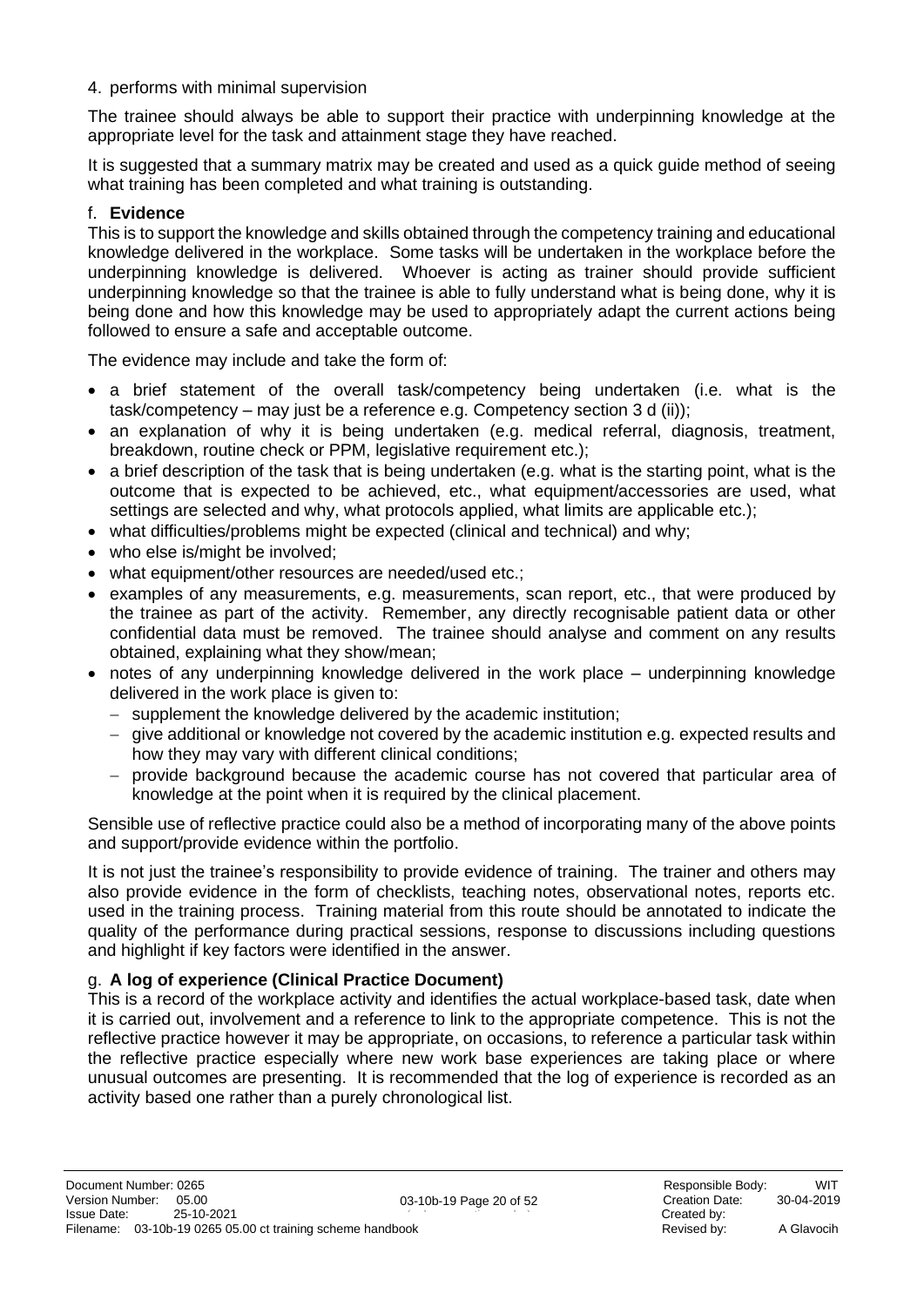#### 4. performs with minimal supervision

The trainee should always be able to support their practice with underpinning knowledge at the appropriate level for the task and attainment stage they have reached.

It is suggested that a summary matrix may be created and used as a quick guide method of seeing what training has been completed and what training is outstanding.

#### f. **Evidence**

This is to support the knowledge and skills obtained through the competency training and educational knowledge delivered in the workplace. Some tasks will be undertaken in the workplace before the underpinning knowledge is delivered. Whoever is acting as trainer should provide sufficient underpinning knowledge so that the trainee is able to fully understand what is being done, why it is being done and how this knowledge may be used to appropriately adapt the current actions being followed to ensure a safe and acceptable outcome.

The evidence may include and take the form of:

- a brief statement of the overall task/competency being undertaken (i.e. what is the task/competency – may just be a reference e.g. Competency section 3 d (ii));
- an explanation of why it is being undertaken (e.g. medical referral, diagnosis, treatment, breakdown, routine check or PPM, legislative requirement etc.);
- a brief description of the task that is being undertaken (e.g. what is the starting point, what is the outcome that is expected to be achieved, etc., what equipment/accessories are used, what settings are selected and why, what protocols applied, what limits are applicable etc.);
- what difficulties/problems might be expected (clinical and technical) and why;
- who else is/might be involved;
- what equipment/other resources are needed/used etc.;
- examples of any measurements, e.g. measurements, scan report, etc., that were produced by the trainee as part of the activity. Remember, any directly recognisable patient data or other confidential data must be removed. The trainee should analyse and comment on any results obtained, explaining what they show/mean;
- notes of any underpinning knowledge delivered in the work place underpinning knowledge delivered in the work place is given to:
	- − supplement the knowledge delivered by the academic institution;
	- − give additional or knowledge not covered by the academic institution e.g. expected results and how they may vary with different clinical conditions;
	- − provide background because the academic course has not covered that particular area of knowledge at the point when it is required by the clinical placement.

Sensible use of reflective practice could also be a method of incorporating many of the above points and support/provide evidence within the portfolio.

It is not just the trainee's responsibility to provide evidence of training. The trainer and others may also provide evidence in the form of checklists, teaching notes, observational notes, reports etc. used in the training process. Training material from this route should be annotated to indicate the quality of the performance during practical sessions, response to discussions including questions and highlight if key factors were identified in the answer.

#### g. **A log of experience (Clinical Practice Document)**

This is a record of the workplace activity and identifies the actual workplace-based task, date when it is carried out, involvement and a reference to link to the appropriate competence. This is not the reflective practice however it may be appropriate, on occasions, to reference a particular task within the reflective practice especially where new work base experiences are taking place or where unusual outcomes are presenting. It is recommended that the log of experience is recorded as an activity based one rather than a purely chronological list.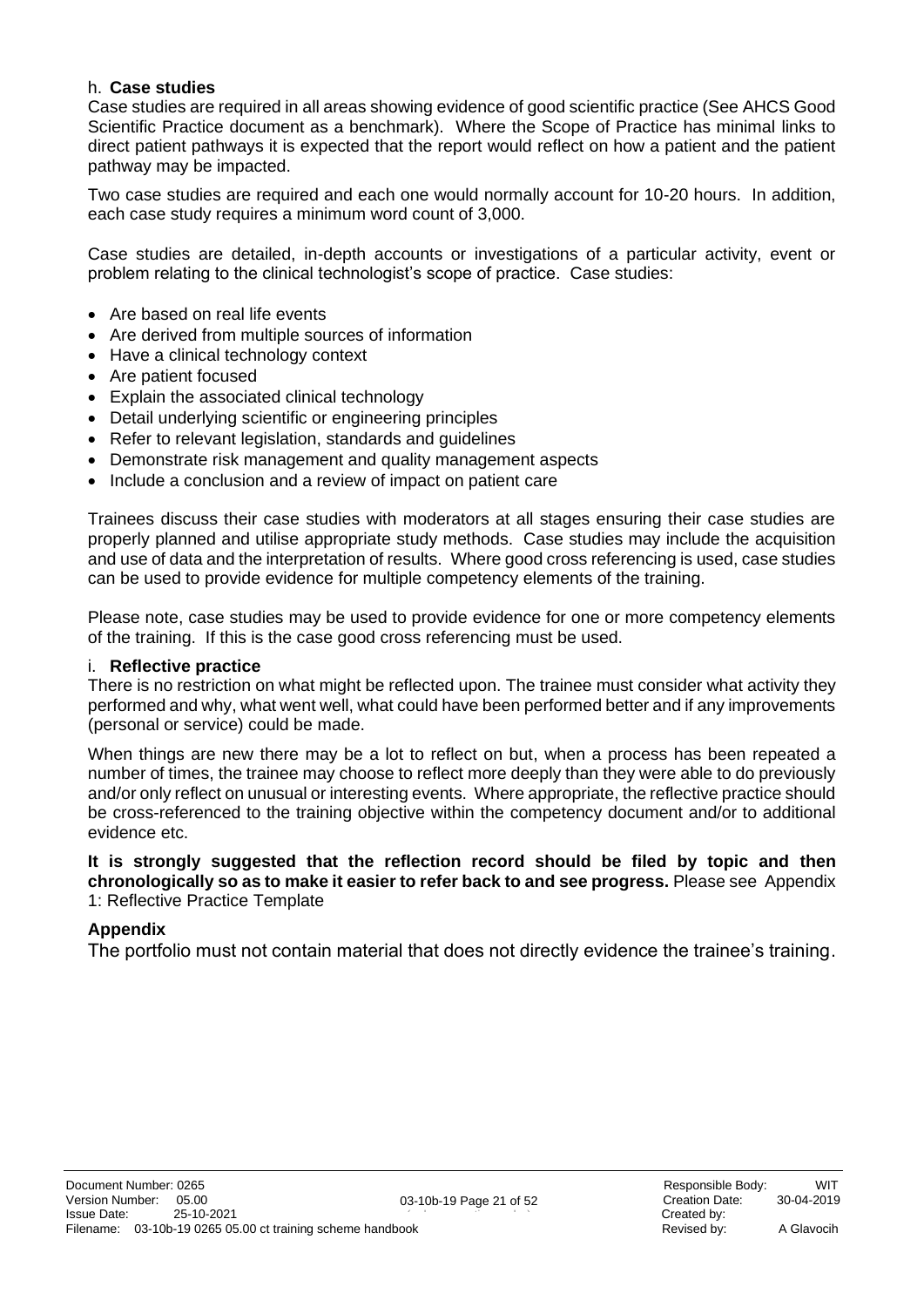#### h. **Case studies**

Case studies are required in all areas showing evidence of good scientific practice (See AHCS Good Scientific Practice document as a benchmark). Where the Scope of Practice has minimal links to direct patient pathways it is expected that the report would reflect on how a patient and the patient pathway may be impacted.

Two case studies are required and each one would normally account for 10-20 hours. In addition, each case study requires a minimum word count of 3,000.

Case studies are detailed, in-depth accounts or investigations of a particular activity, event or problem relating to the clinical technologist's scope of practice. Case studies:

- Are based on real life events
- Are derived from multiple sources of information
- Have a clinical technology context
- Are patient focused
- Explain the associated clinical technology
- Detail underlying scientific or engineering principles
- Refer to relevant legislation, standards and guidelines
- Demonstrate risk management and quality management aspects
- Include a conclusion and a review of impact on patient care

Trainees discuss their case studies with moderators at all stages ensuring their case studies are properly planned and utilise appropriate study methods. Case studies may include the acquisition and use of data and the interpretation of results. Where good cross referencing is used, case studies can be used to provide evidence for multiple competency elements of the training.

Please note, case studies may be used to provide evidence for one or more competency elements of the training. If this is the case good cross referencing must be used.

#### i. **Reflective practice**

There is no restriction on what might be reflected upon. The trainee must consider what activity they performed and why, what went well, what could have been performed better and if any improvements (personal or service) could be made.

When things are new there may be a lot to reflect on but, when a process has been repeated a number of times, the trainee may choose to reflect more deeply than they were able to do previously and/or only reflect on unusual or interesting events. Where appropriate, the reflective practice should be cross-referenced to the training objective within the competency document and/or to additional evidence etc.

#### **It is strongly suggested that the reflection record should be filed by topic and then chronologically so as to make it easier to refer back to and see progress.** Please see [Appendix](#page-38-0)  1: [Reflective Practice](#page-38-0) Template

#### **Appendix**

The portfolio must not contain material that does not directly evidence the trainee's training.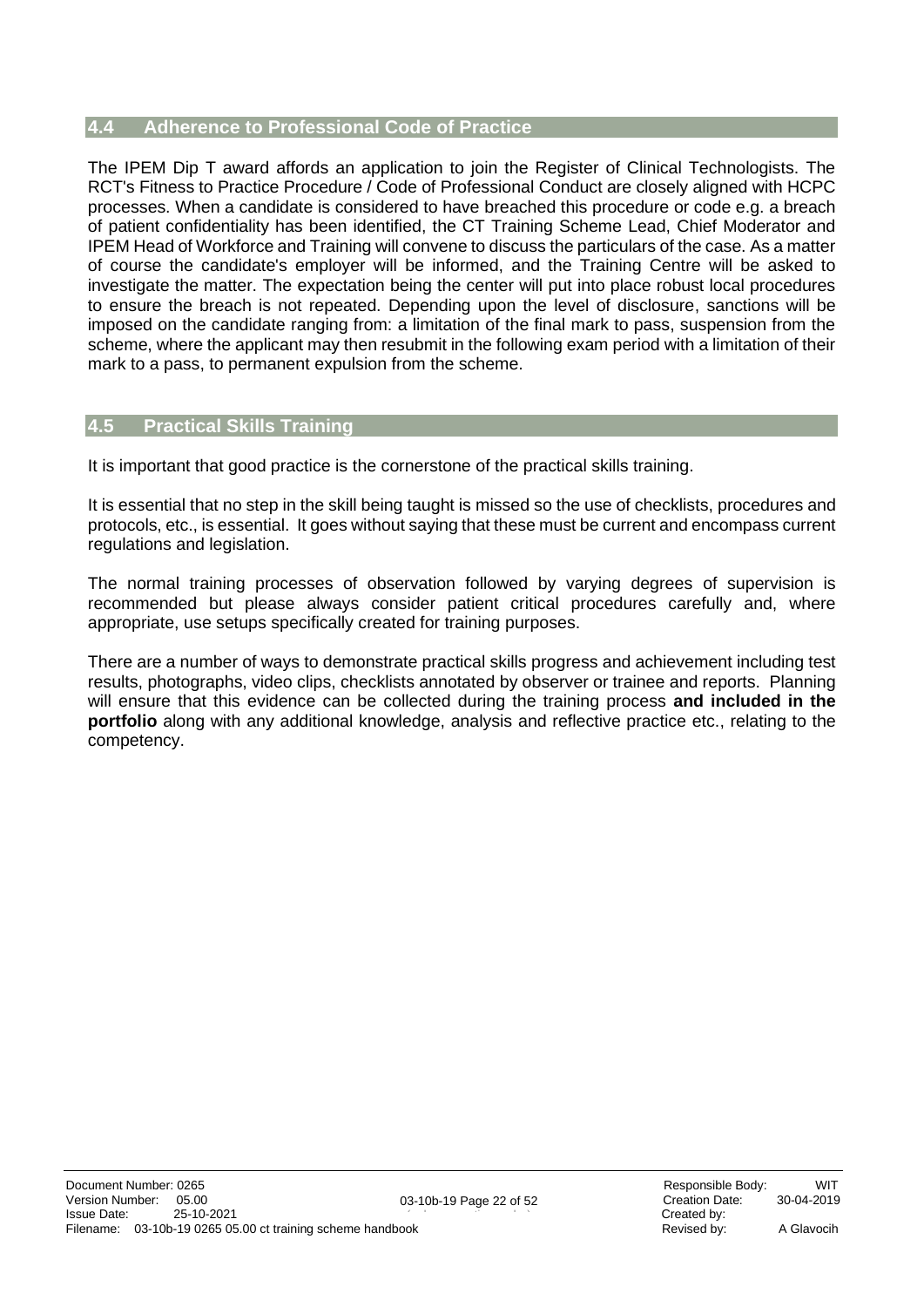#### <span id="page-21-0"></span>**4.4 Adherence to Professional Code of Practice**

The IPEM Dip T award affords an application to join the Register of Clinical Technologists. The RCT's Fitness to Practice Procedure / Code of Professional Conduct are closely aligned with HCPC processes. When a candidate is considered to have breached this procedure or code e.g. a breach of patient confidentiality has been identified, the CT Training Scheme Lead, Chief Moderator and IPEM Head of Workforce and Training will convene to discuss the particulars of the case. As a matter of course the candidate's employer will be informed, and the Training Centre will be asked to investigate the matter. The expectation being the center will put into place robust local procedures to ensure the breach is not repeated. Depending upon the level of disclosure, sanctions will be imposed on the candidate ranging from: a limitation of the final mark to pass, suspension from the scheme, where the applicant may then resubmit in the following exam period with a limitation of their mark to a pass, to permanent expulsion from the scheme.

#### <span id="page-21-1"></span>**4.5 Practical Skills Training**

It is important that good practice is the cornerstone of the practical skills training.

It is essential that no step in the skill being taught is missed so the use of checklists, procedures and protocols, etc., is essential. It goes without saying that these must be current and encompass current regulations and legislation.

The normal training processes of observation followed by varying degrees of supervision is recommended but please always consider patient critical procedures carefully and, where appropriate, use setups specifically created for training purposes.

There are a number of ways to demonstrate practical skills progress and achievement including test results, photographs, video clips, checklists annotated by observer or trainee and reports. Planning will ensure that this evidence can be collected during the training process **and included in the portfolio** along with any additional knowledge, analysis and reflective practice etc., relating to the competency.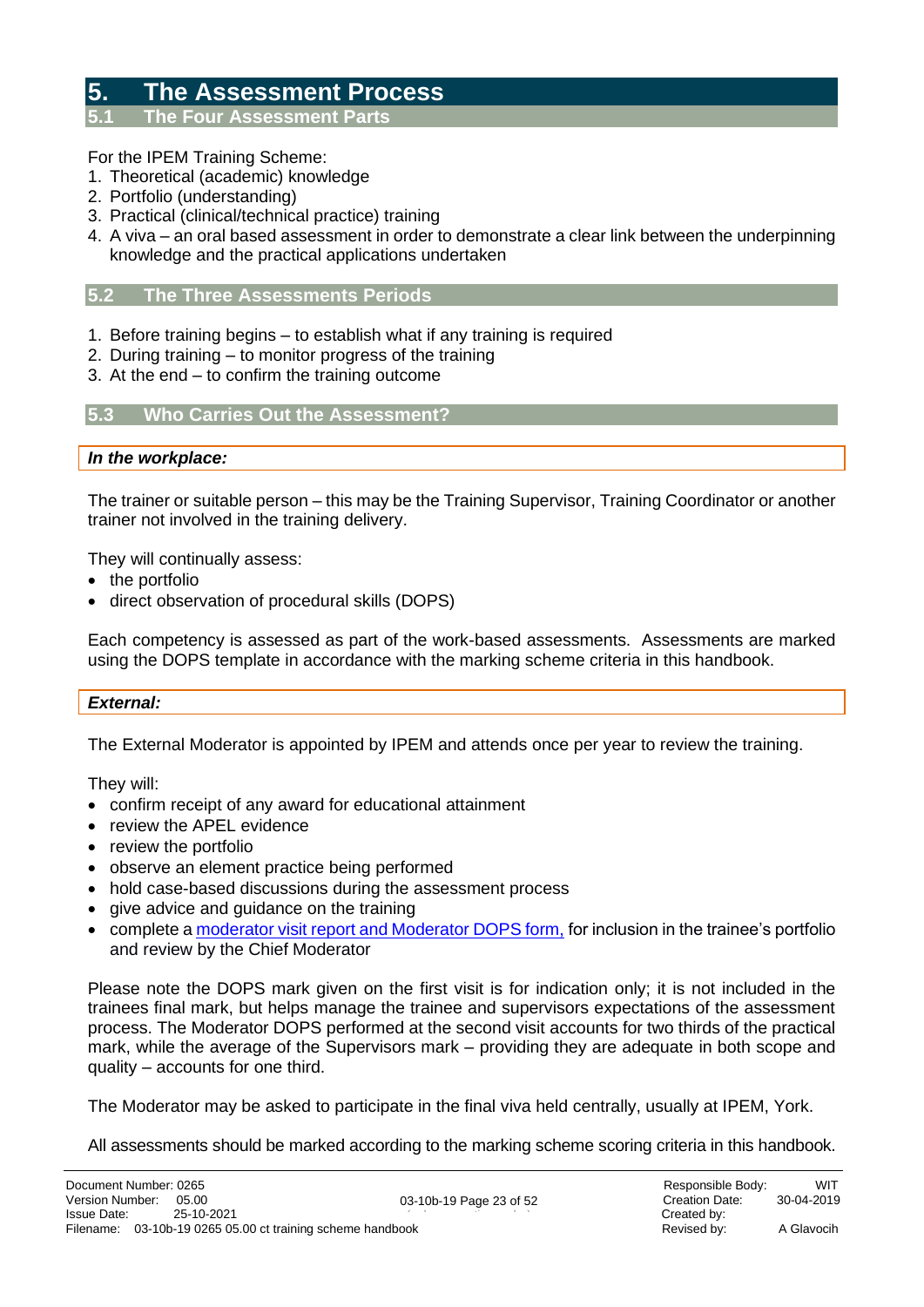### <span id="page-22-0"></span>**5. The Assessment Process**

<span id="page-22-1"></span>**5.1 The Four Assessment Parts**

#### For the IPEM Training Scheme:

- 1. Theoretical (academic) knowledge
- 2. Portfolio (understanding)
- 3. Practical (clinical/technical practice) training
- 4. A viva an oral based assessment in order to demonstrate a clear link between the underpinning knowledge and the practical applications undertaken

#### <span id="page-22-2"></span>**5.2 The Three Assessments Periods**

- 1. Before training begins to establish what if any training is required
- 2. During training to monitor progress of the training
- 3. At the end to confirm the training outcome

#### <span id="page-22-3"></span>**5.3 Who Carries Out the Assessment?**

*In the workplace:*

The trainer or suitable person – this may be the Training Supervisor, Training Coordinator or another trainer not involved in the training delivery.

They will continually assess:

- the portfolio
- direct observation of procedural skills (DOPS)

Each competency is assessed as part of the work-based assessments. Assessments are marked using the DOPS template in accordance with the marking scheme criteria in this handbook.

#### *External:*

The External Moderator is appointed by IPEM and attends once per year to review the training.

They will:

- confirm receipt of any award for educational attainment
- review the APEL evidence
- review the portfolio
- observe an element practice being performed
- hold case-based discussions during the assessment process
- give advice and guidance on the training
- complete [a moderator visit report and Moderator DOPS form,](https://www.ipem.ac.uk/media/nevi1qa2/external-moderator-visit-form.docx) for inclusion in the trainee's portfolio and review by the Chief Moderator

Please note the DOPS mark given on the first visit is for indication only; it is not included in the trainees final mark, but helps manage the trainee and supervisors expectations of the assessment process. The Moderator DOPS performed at the second visit accounts for two thirds of the practical mark, while the average of the Supervisors mark – providing they are adequate in both scope and quality – accounts for one third.

The Moderator may be asked to participate in the final viva held centrally, usually at IPEM, York.

All assessments should be marked according to the marking scheme scoring criteria in this handbook.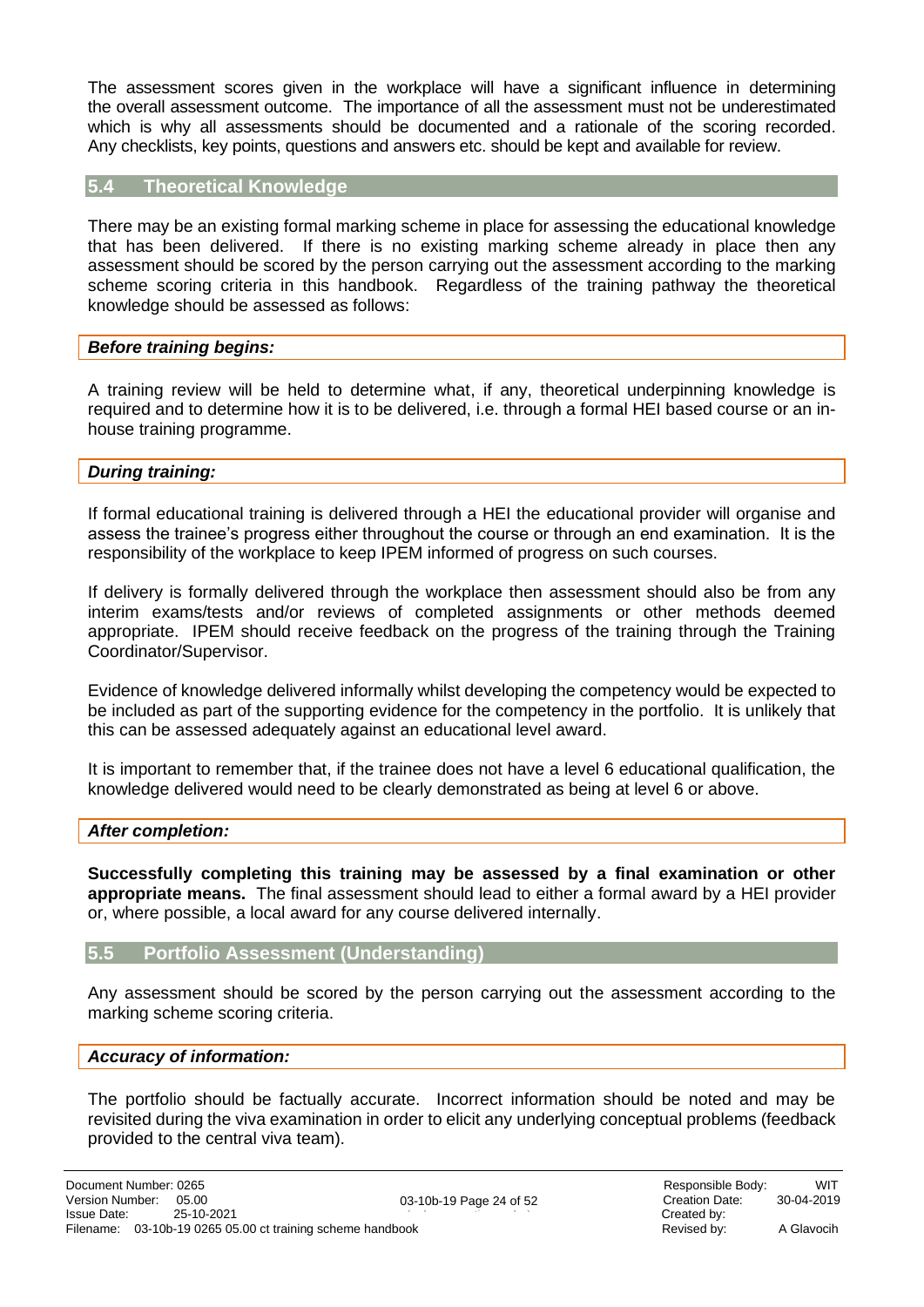The assessment scores given in the workplace will have a significant influence in determining the overall assessment outcome. The importance of all the assessment must not be underestimated which is why all assessments should be documented and a rationale of the scoring recorded. Any checklists, key points, questions and answers etc. should be kept and available for review.

#### <span id="page-23-0"></span>**5.4 Theoretical Knowledge**

There may be an existing formal marking scheme in place for assessing the educational knowledge that has been delivered. If there is no existing marking scheme already in place then any assessment should be scored by the person carrying out the assessment according to the marking scheme scoring criteria in this handbook. Regardless of the training pathway the theoretical knowledge should be assessed as follows:

#### *Before training begins:*

A training review will be held to determine what, if any, theoretical underpinning knowledge is required and to determine how it is to be delivered, i.e. through a formal HEI based course or an inhouse training programme.

#### *During training:*

If formal educational training is delivered through a HEI the educational provider will organise and assess the trainee's progress either throughout the course or through an end examination. It is the responsibility of the workplace to keep IPEM informed of progress on such courses.

If delivery is formally delivered through the workplace then assessment should also be from any interim exams/tests and/or reviews of completed assignments or other methods deemed appropriate. IPEM should receive feedback on the progress of the training through the Training Coordinator/Supervisor.

Evidence of knowledge delivered informally whilst developing the competency would be expected to be included as part of the supporting evidence for the competency in the portfolio. It is unlikely that this can be assessed adequately against an educational level award.

It is important to remember that, if the trainee does not have a level 6 educational qualification, the knowledge delivered would need to be clearly demonstrated as being at level 6 or above.

#### *After completion:*

**Successfully completing this training may be assessed by a final examination or other appropriate means.** The final assessment should lead to either a formal award by a HEI provider or, where possible, a local award for any course delivered internally.

#### <span id="page-23-1"></span>**5.5 Portfolio Assessment (Understanding)**

Any assessment should be scored by the person carrying out the assessment according to the marking scheme scoring criteria.

#### *Accuracy of information:*

The portfolio should be factually accurate. Incorrect information should be noted and may be revisited during the viva examination in order to elicit any underlying conceptual problems (feedback provided to the central viva team).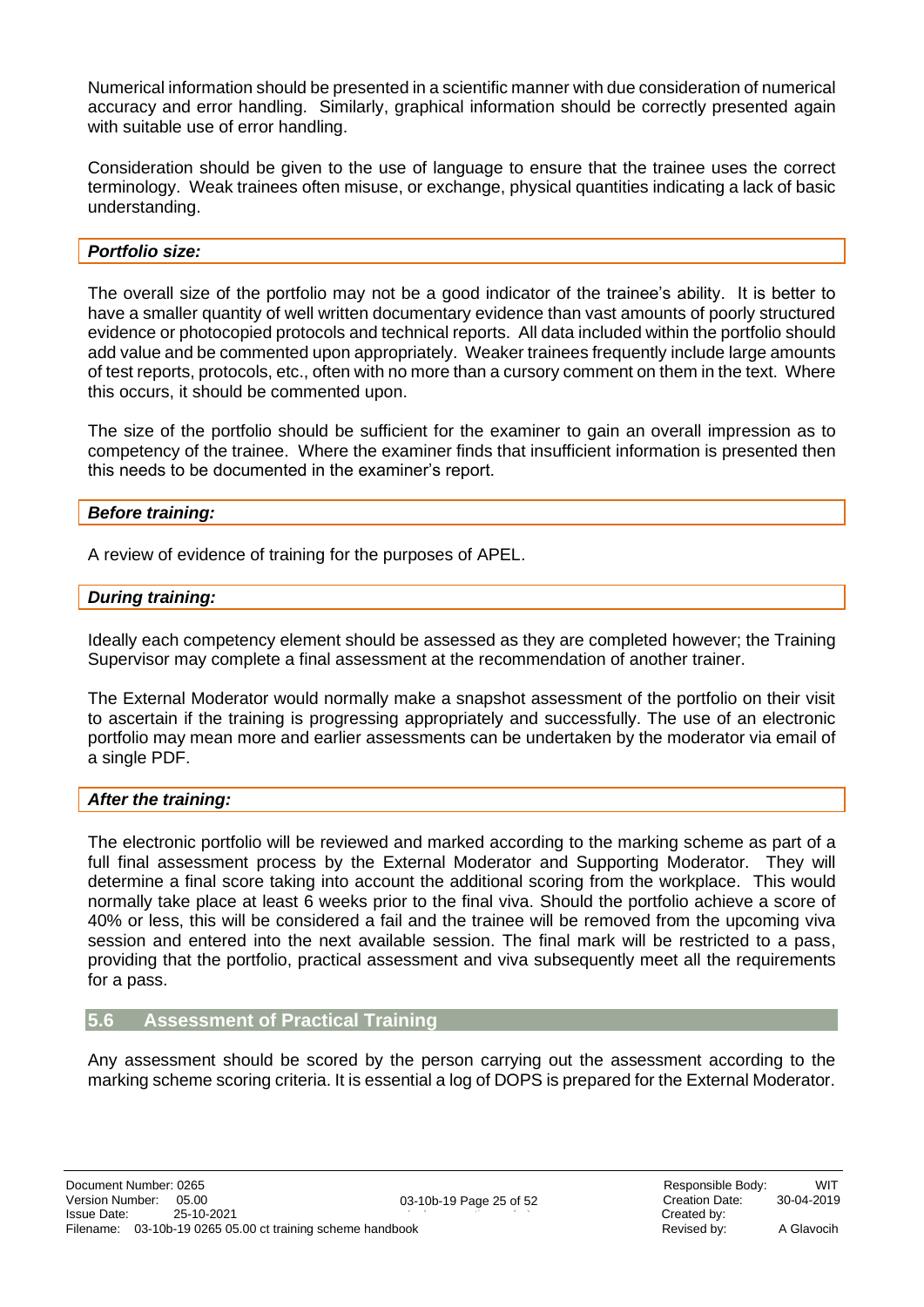Numerical information should be presented in a scientific manner with due consideration of numerical accuracy and error handling. Similarly, graphical information should be correctly presented again with suitable use of error handling.

Consideration should be given to the use of language to ensure that the trainee uses the correct terminology. Weak trainees often misuse, or exchange, physical quantities indicating a lack of basic understanding.

#### *Portfolio size:*

The overall size of the portfolio may not be a good indicator of the trainee's ability. It is better to have a smaller quantity of well written documentary evidence than vast amounts of poorly structured evidence or photocopied protocols and technical reports. All data included within the portfolio should add value and be commented upon appropriately. Weaker trainees frequently include large amounts of test reports, protocols, etc., often with no more than a cursory comment on them in the text. Where this occurs, it should be commented upon.

The size of the portfolio should be sufficient for the examiner to gain an overall impression as to competency of the trainee. Where the examiner finds that insufficient information is presented then this needs to be documented in the examiner's report.

#### *Before training:*

A review of evidence of training for the purposes of APEL.

#### *During training:*

Ideally each competency element should be assessed as they are completed however; the Training Supervisor may complete a final assessment at the recommendation of another trainer.

The External Moderator would normally make a snapshot assessment of the portfolio on their visit to ascertain if the training is progressing appropriately and successfully. The use of an electronic portfolio may mean more and earlier assessments can be undertaken by the moderator via email of a single PDF.

#### *After the training:*

The electronic portfolio will be reviewed and marked according to the marking scheme as part of a full final assessment process by the External Moderator and Supporting Moderator. They will determine a final score taking into account the additional scoring from the workplace. This would normally take place at least 6 weeks prior to the final viva. Should the portfolio achieve a score of 40% or less, this will be considered a fail and the trainee will be removed from the upcoming viva session and entered into the next available session. The final mark will be restricted to a pass, providing that the portfolio, practical assessment and viva subsequently meet all the requirements for a pass.

#### <span id="page-24-0"></span>**5.6 Assessment of Practical Training**

Any assessment should be scored by the person carrying out the assessment according to the marking scheme scoring criteria. It is essential a log of DOPS is prepared for the External Moderator.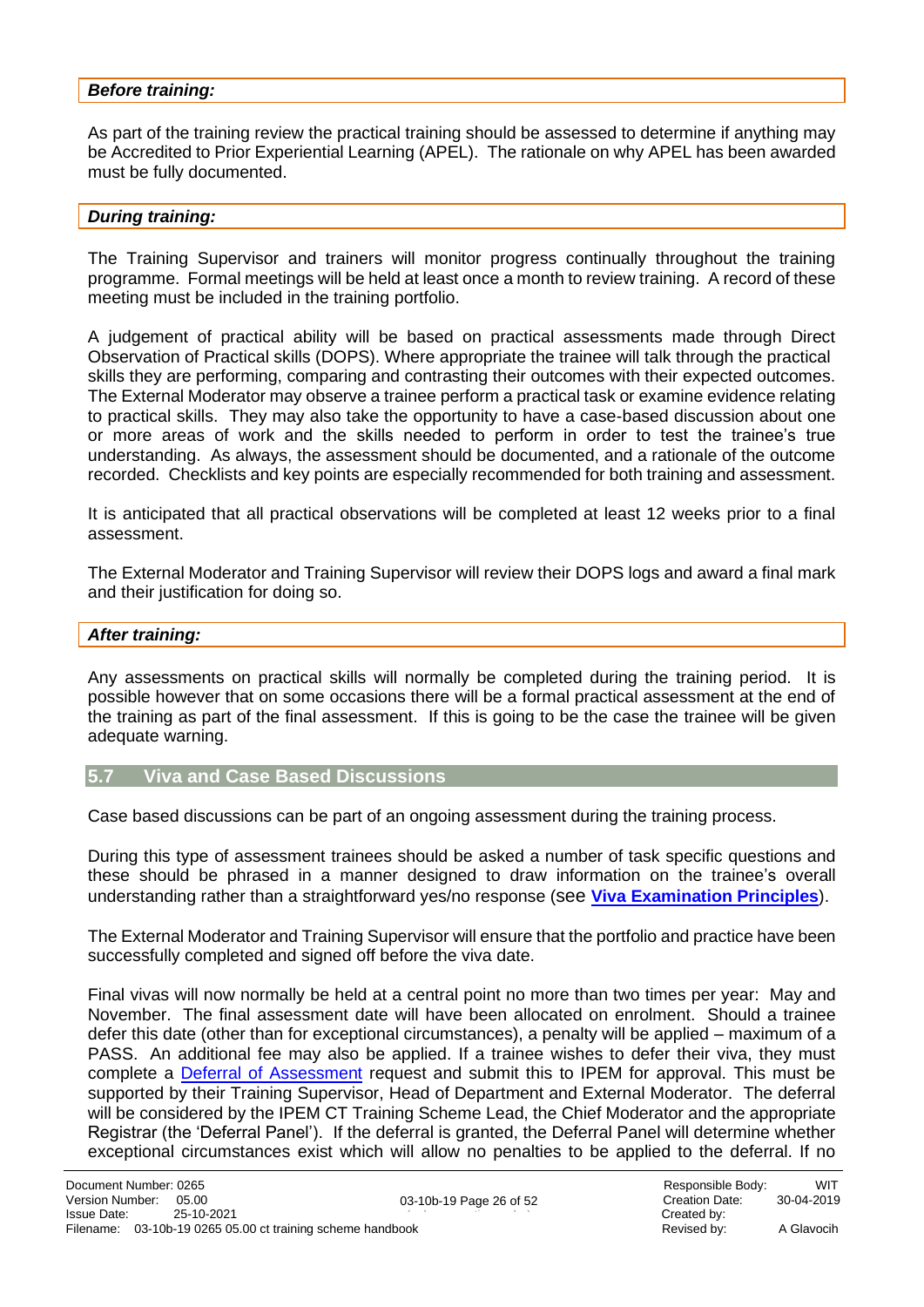#### *Before training:*

As part of the training review the practical training should be assessed to determine if anything may be Accredited to Prior Experiential Learning (APEL). The rationale on why APEL has been awarded must be fully documented.

#### *During training:*

The Training Supervisor and trainers will monitor progress continually throughout the training programme. Formal meetings will be held at least once a month to review training. A record of these meeting must be included in the training portfolio.

A judgement of practical ability will be based on practical assessments made through Direct Observation of Practical skills (DOPS). Where appropriate the trainee will talk through the practical skills they are performing, comparing and contrasting their outcomes with their expected outcomes. The External Moderator may observe a trainee perform a practical task or examine evidence relating to practical skills. They may also take the opportunity to have a case-based discussion about one or more areas of work and the skills needed to perform in order to test the trainee's true understanding. As always, the assessment should be documented, and a rationale of the outcome recorded. Checklists and key points are especially recommended for both training and assessment.

It is anticipated that all practical observations will be completed at least 12 weeks prior to a final assessment.

The External Moderator and Training Supervisor will review their DOPS logs and award a final mark and their justification for doing so.

#### *After training:*

Any assessments on practical skills will normally be completed during the training period. It is possible however that on some occasions there will be a formal practical assessment at the end of the training as part of the final assessment. If this is going to be the case the trainee will be given adequate warning.

#### <span id="page-25-0"></span>**5.7 Viva and Case Based Discussions**

Case based discussions can be part of an ongoing assessment during the training process.

During this type of assessment trainees should be asked a number of task specific questions and these should be phrased in a manner designed to draw information on the trainee's overall understanding rather than a straightforward yes/no response (see **[Viva Examination Principles](#page-34-0)**).

The External Moderator and Training Supervisor will ensure that the portfolio and practice have been successfully completed and signed off before the viva date.

Final vivas will now normally be held at a central point no more than two times per year: May and November. The final assessment date will have been allocated on enrolment. Should a trainee defer this date (other than for exceptional circumstances), a penalty will be applied – maximum of a PASS. An additional fee may also be applied. If a trainee wishes to defer their viva, they must complete a **Deferral of Assessment** request and submit this to IPEM for approval. This must be supported by their Training Supervisor, Head of Department and External Moderator. The deferral will be considered by the IPEM CT Training Scheme Lead, the Chief Moderator and the appropriate Registrar (the 'Deferral Panel'). If the deferral is granted, the Deferral Panel will determine whether exceptional circumstances exist which will allow no penalties to be applied to the deferral. If no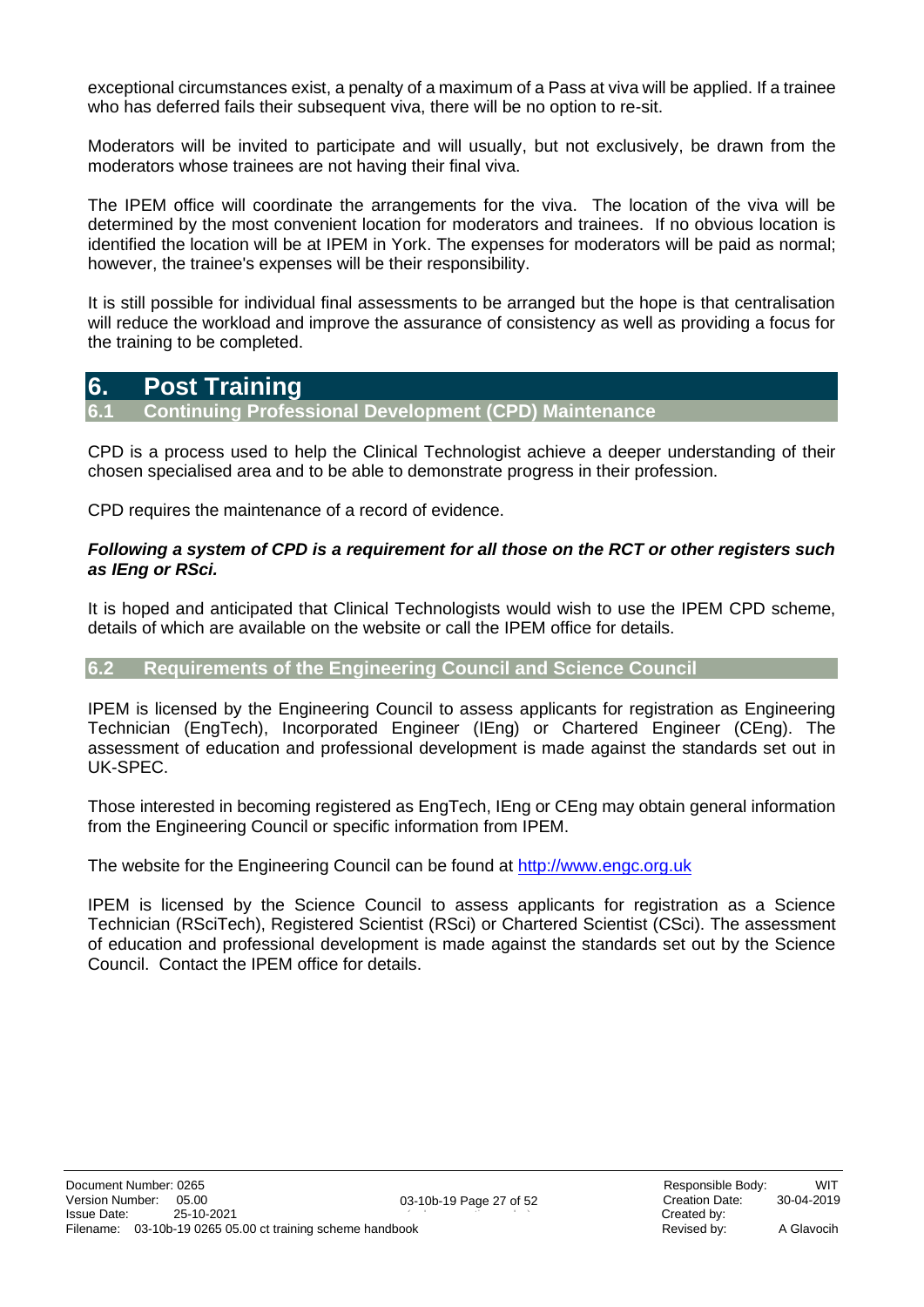exceptional circumstances exist, a penalty of a maximum of a Pass at viva will be applied. If a trainee who has deferred fails their subsequent viva, there will be no option to re-sit.

Moderators will be invited to participate and will usually, but not exclusively, be drawn from the moderators whose trainees are not having their final viva.

The IPEM office will coordinate the arrangements for the viva. The location of the viva will be determined by the most convenient location for moderators and trainees. If no obvious location is identified the location will be at IPEM in York. The expenses for moderators will be paid as normal; however, the trainee's expenses will be their responsibility.

It is still possible for individual final assessments to be arranged but the hope is that centralisation will reduce the workload and improve the assurance of consistency as well as providing a focus for the training to be completed.

### <span id="page-26-0"></span>**6. Post Training**

<span id="page-26-1"></span>**6.1 Continuing Professional Development (CPD) Maintenance** 

CPD is a process used to help the Clinical Technologist achieve a deeper understanding of their chosen specialised area and to be able to demonstrate progress in their profession.

CPD requires the maintenance of a record of evidence.

#### *Following a system of CPD is a requirement for all those on the RCT or other registers such as IEng or RSci.*

It is hoped and anticipated that Clinical Technologists would wish to use the IPEM CPD scheme, details of which are available on the website or call the IPEM office for details.

#### <span id="page-26-2"></span>**6.2 Requirements of the Engineering Council and Science Council**

IPEM is licensed by the Engineering Council to assess applicants for registration as Engineering Technician (EngTech), Incorporated Engineer (IEng) or Chartered Engineer (CEng). The assessment of education and professional development is made against the standards set out in UK-SPEC.

Those interested in becoming registered as EngTech, IEng or CEng may obtain general information from the Engineering Council or specific information from IPEM.

The website for the Engineering Council can be found at [http://www.engc.org.uk](https://www.engc.org.uk/professional-registration/)

IPEM is licensed by the Science Council to assess applicants for registration as a Science Technician (RSciTech), Registered Scientist (RSci) or Chartered Scientist (CSci). The assessment of education and professional development is made against the standards set out by the Science Council. Contact the IPEM office for details.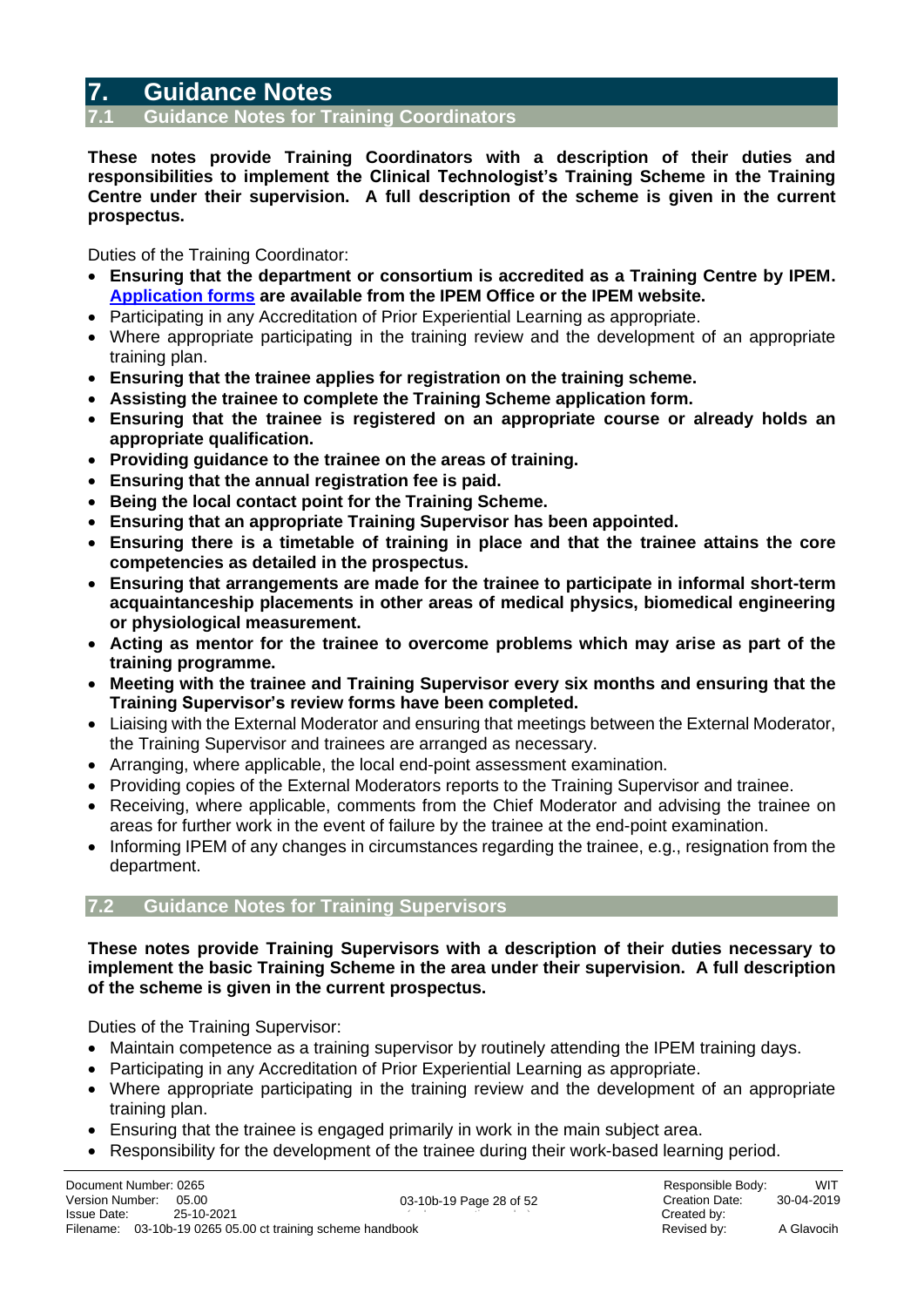### <span id="page-27-0"></span>**7. Guidance Notes**

<span id="page-27-1"></span>**7.1 Guidance Notes for Training Coordinators**

**These notes provide Training Coordinators with a description of their duties and responsibilities to implement the Clinical Technologist's Training Scheme in the Training Centre under their supervision. A full description of the scheme is given in the current prospectus.**

Duties of the Training Coordinator:

- **Ensuring that the department or consortium is accredited as a Training Centre by IPEM. [Application forms](https://www.ipem.ac.uk/learn/ipem-clinical-technologist-training-scheme/training-centre-accreditation/) are available from the IPEM Office or the IPEM website.**
- Participating in any Accreditation of Prior Experiential Learning as appropriate.
- Where appropriate participating in the training review and the development of an appropriate training plan.
- **Ensuring that the trainee applies for registration on the training scheme.**
- **Assisting the trainee to complete the Training Scheme application form.**
- **Ensuring that the trainee is registered on an appropriate course or already holds an appropriate qualification.**
- **Providing guidance to the trainee on the areas of training.**
- **Ensuring that the annual registration fee is paid.**
- **Being the local contact point for the Training Scheme.**
- **Ensuring that an appropriate Training Supervisor has been appointed.**
- **Ensuring there is a timetable of training in place and that the trainee attains the core competencies as detailed in the prospectus.**
- **Ensuring that arrangements are made for the trainee to participate in informal short-term acquaintanceship placements in other areas of medical physics, biomedical engineering or physiological measurement.**
- **Acting as mentor for the trainee to overcome problems which may arise as part of the training programme.**
- **Meeting with the trainee and Training Supervisor every six months and ensuring that the Training Supervisor's review forms have been completed.**
- Liaising with the External Moderator and ensuring that meetings between the External Moderator, the Training Supervisor and trainees are arranged as necessary.
- Arranging, where applicable, the local end-point assessment examination.
- Providing copies of the External Moderators reports to the Training Supervisor and trainee.
- Receiving, where applicable, comments from the Chief Moderator and advising the trainee on areas for further work in the event of failure by the trainee at the end-point examination.
- Informing IPEM of any changes in circumstances regarding the trainee, e.g., resignation from the department.

#### <span id="page-27-2"></span>**7.2 Guidance Notes for Training Supervisors**

**These notes provide Training Supervisors with a description of their duties necessary to implement the basic Training Scheme in the area under their supervision. A full description of the scheme is given in the current prospectus.**

Duties of the Training Supervisor:

- Maintain competence as a training supervisor by routinely attending the IPEM training days.
- Participating in any Accreditation of Prior Experiential Learning as appropriate.
- Where appropriate participating in the training review and the development of an appropriate training plan.
- Ensuring that the trainee is engaged primarily in work in the main subject area.
- Responsibility for the development of the trainee during their work-based learning period.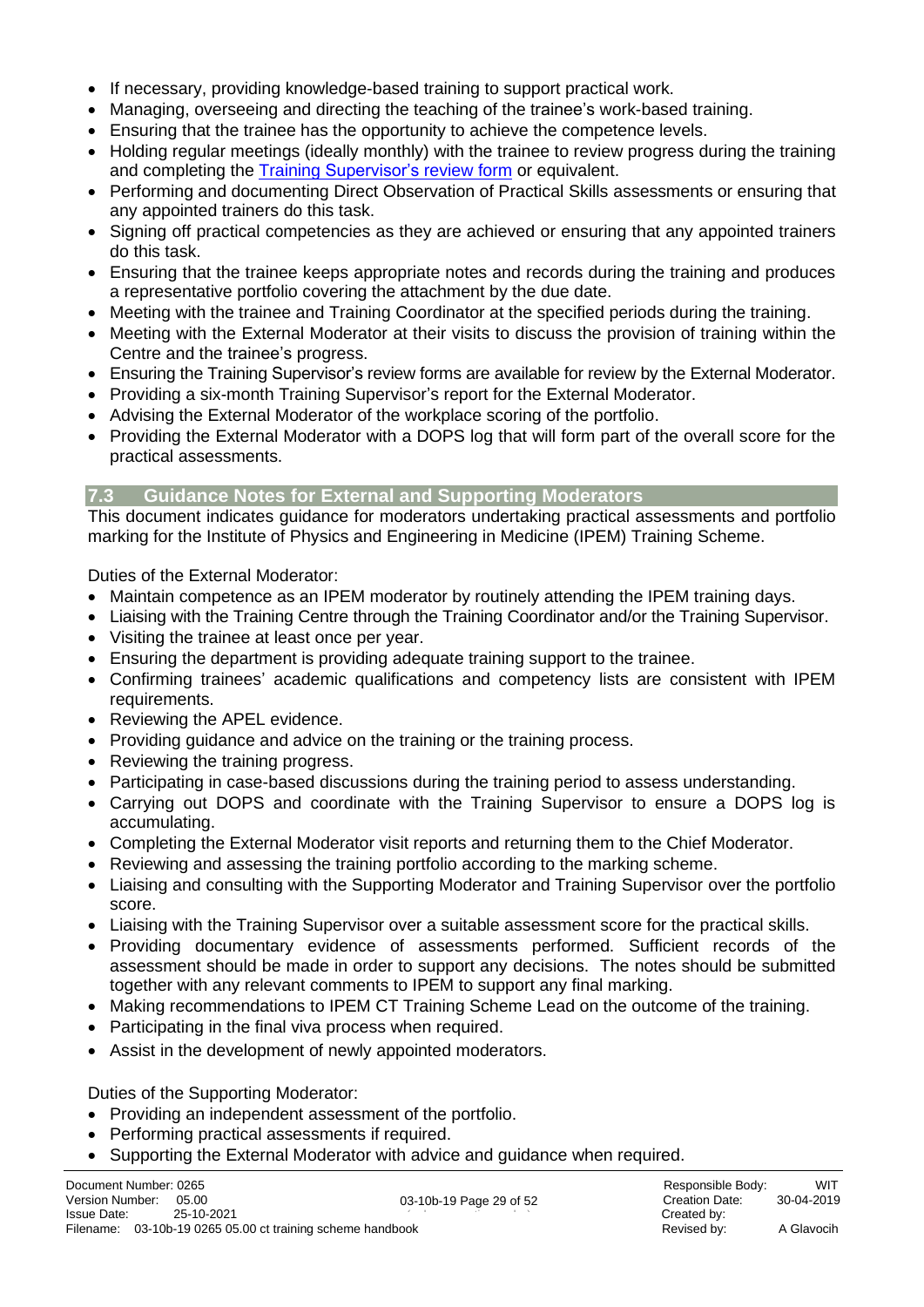- If necessary, providing knowledge-based training to support practical work.
- Managing, overseeing and directing the teaching of the trainee's work-based training.
- Ensuring that the trainee has the opportunity to achieve the competence levels.
- Holding regular meetings (ideally monthly) with the trainee to review progress during the training and completing the **Training Supervisor's review form** or equivalent.
- Performing and documenting Direct Observation of Practical Skills assessments or ensuring that any appointed trainers do this task.
- Signing off practical competencies as they are achieved or ensuring that any appointed trainers do this task.
- Ensuring that the trainee keeps appropriate notes and records during the training and produces a representative portfolio covering the attachment by the due date.
- Meeting with the trainee and Training Coordinator at the specified periods during the training.
- Meeting with the External Moderator at their visits to discuss the provision of training within the Centre and the trainee's progress.
- Ensuring the Training Supervisor's review forms are available for review by the External Moderator.
- Providing a six-month Training Supervisor's report for the External Moderator.
- Advising the External Moderator of the workplace scoring of the portfolio.
- Providing the External Moderator with a DOPS log that will form part of the overall score for the practical assessments.

#### <span id="page-28-0"></span>**7.3 Guidance Notes for External and Supporting Moderators**

This document indicates guidance for moderators undertaking practical assessments and portfolio marking for the Institute of Physics and Engineering in Medicine (IPEM) Training Scheme.

Duties of the External Moderator:

- Maintain competence as an IPEM moderator by routinely attending the IPEM training days.
- Liaising with the Training Centre through the Training Coordinator and/or the Training Supervisor.
- Visiting the trainee at least once per year.
- Ensuring the department is providing adequate training support to the trainee.
- Confirming trainees' academic qualifications and competency lists are consistent with IPEM requirements.
- Reviewing the APEL evidence.
- Providing guidance and advice on the training or the training process.
- Reviewing the training progress.
- Participating in case-based discussions during the training period to assess understanding.
- Carrying out DOPS and coordinate with the Training Supervisor to ensure a DOPS log is accumulating.
- Completing the External Moderator visit reports and returning them to the Chief Moderator.
- Reviewing and assessing the training portfolio according to the marking scheme.
- Liaising and consulting with the Supporting Moderator and Training Supervisor over the portfolio score.
- Liaising with the Training Supervisor over a suitable assessment score for the practical skills.
- Providing documentary evidence of assessments performed. Sufficient records of the assessment should be made in order to support any decisions. The notes should be submitted together with any relevant comments to IPEM to support any final marking.
- Making recommendations to IPEM CT Training Scheme Lead on the outcome of the training.
- Participating in the final viva process when required.
- Assist in the development of newly appointed moderators.

Duties of the Supporting Moderator:

- Providing an independent assessment of the portfolio.
- Performing practical assessments if required.
- Supporting the External Moderator with advice and guidance when required.

03-10b-19 Page 29 of 52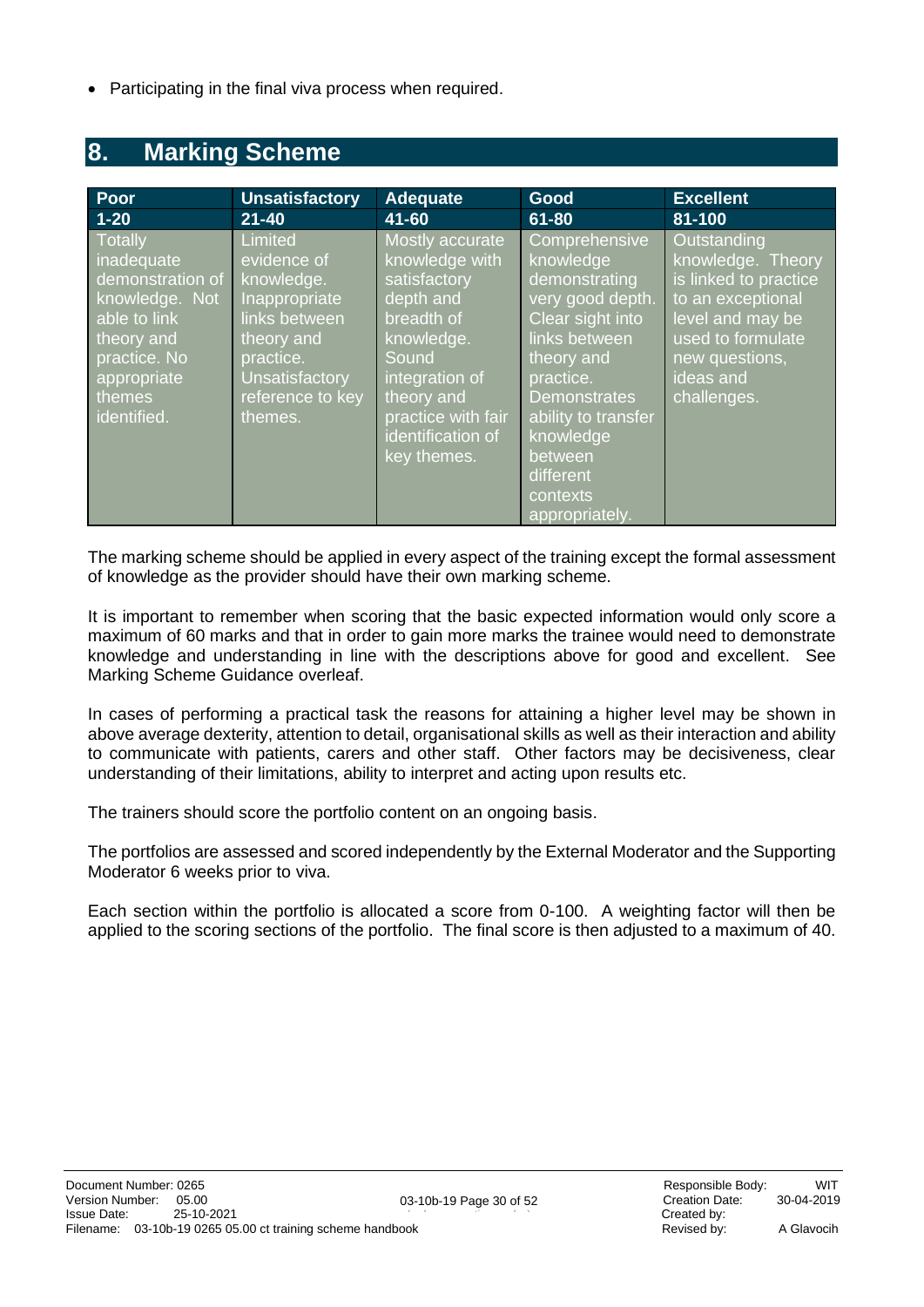• Participating in the final viva process when required.

### <span id="page-29-0"></span>**8. Marking Scheme**

| Poor                                                                                                                                              | <b>Unsatisfactory</b>                                                                                                                              | <b>Adequate</b>                                                                                                                                                                               | Good                                                                                                                                                                                                                                             | <b>Excellent</b>                                                                                                                                                      |
|---------------------------------------------------------------------------------------------------------------------------------------------------|----------------------------------------------------------------------------------------------------------------------------------------------------|-----------------------------------------------------------------------------------------------------------------------------------------------------------------------------------------------|--------------------------------------------------------------------------------------------------------------------------------------------------------------------------------------------------------------------------------------------------|-----------------------------------------------------------------------------------------------------------------------------------------------------------------------|
| $1 - 20$                                                                                                                                          | $21 - 40$                                                                                                                                          | 41-60                                                                                                                                                                                         | $61 - 80$                                                                                                                                                                                                                                        | 81-100                                                                                                                                                                |
| Totally<br>inadequate<br>demonstration of<br>knowledge. Not<br>able to link<br>theory and<br>practice. No<br>appropriate<br>themes<br>identified. | Limited<br>evidence of<br>knowledge.<br>Inappropriate<br>links between<br>theory and<br>practice.<br>Unsatisfactory<br>reference to key<br>themes. | Mostly accurate<br>knowledge with<br>satisfactory<br>depth and<br>breadth of<br>knowledge.<br>Sound<br>integration of<br>theory and<br>practice with fair<br>identification of<br>key themes. | Comprehensive<br>knowledge<br>demonstrating<br>very good depth.<br>Clear sight into<br>links between<br>theory and<br>practice.<br><b>Demonstrates</b><br>ability to transfer<br>knowledge<br>between<br>different<br>contexts<br>appropriately. | Outstanding<br>knowledge. Theory<br>is linked to practice<br>to an exceptional<br>level and may be<br>used to formulate<br>new questions,<br>ideas and<br>challenges. |

The marking scheme should be applied in every aspect of the training except the formal assessment of knowledge as the provider should have their own marking scheme.

It is important to remember when scoring that the basic expected information would only score a maximum of 60 marks and that in order to gain more marks the trainee would need to demonstrate knowledge and understanding in line with the descriptions above for good and excellent. See Marking Scheme Guidance overleaf.

In cases of performing a practical task the reasons for attaining a higher level may be shown in above average dexterity, attention to detail, organisational skills as well as their interaction and ability to communicate with patients, carers and other staff. Other factors may be decisiveness, clear understanding of their limitations, ability to interpret and acting upon results etc.

The trainers should score the portfolio content on an ongoing basis.

The portfolios are assessed and scored independently by the External Moderator and the Supporting Moderator 6 weeks prior to viva.

Each section within the portfolio is allocated a score from 0-100. A weighting factor will then be applied to the scoring sections of the portfolio. The final score is then adjusted to a maximum of 40.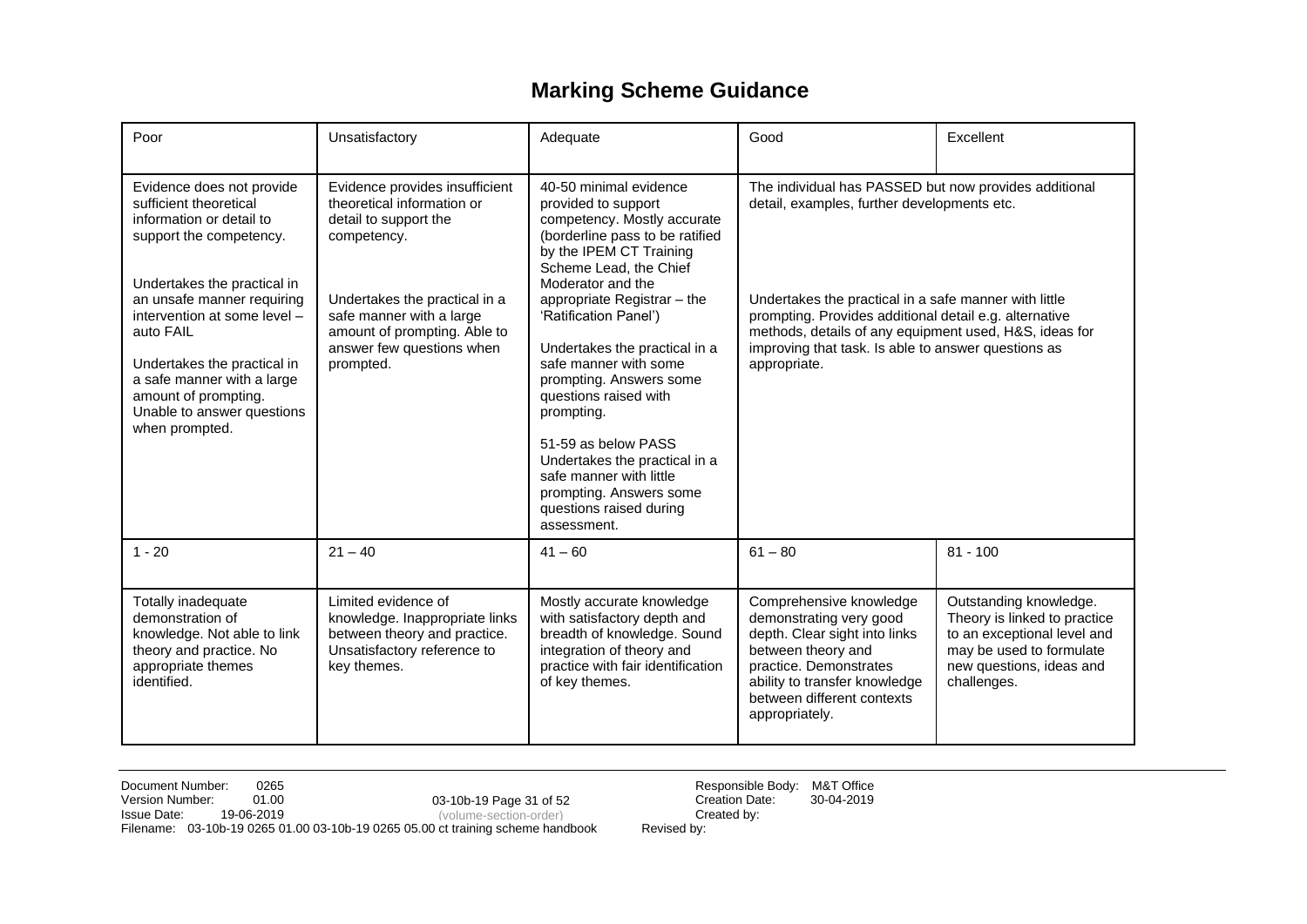### **Marking Scheme Guidance**

| Poor                                                                                                                                                                                                                                                                                                                                                      | Unsatisfactory                                                                                                                                                                                                                              | Adequate                                                                                                                                                                                                                                                                                                                                                                                                                                                                                                                              | Good                                                                                                                                                                                                                                                                                                                                                     | Excellent                                                                                                                                                    |
|-----------------------------------------------------------------------------------------------------------------------------------------------------------------------------------------------------------------------------------------------------------------------------------------------------------------------------------------------------------|---------------------------------------------------------------------------------------------------------------------------------------------------------------------------------------------------------------------------------------------|---------------------------------------------------------------------------------------------------------------------------------------------------------------------------------------------------------------------------------------------------------------------------------------------------------------------------------------------------------------------------------------------------------------------------------------------------------------------------------------------------------------------------------------|----------------------------------------------------------------------------------------------------------------------------------------------------------------------------------------------------------------------------------------------------------------------------------------------------------------------------------------------------------|--------------------------------------------------------------------------------------------------------------------------------------------------------------|
| Evidence does not provide<br>sufficient theoretical<br>information or detail to<br>support the competency.<br>Undertakes the practical in<br>an unsafe manner requiring<br>intervention at some level -<br>auto FAIL<br>Undertakes the practical in<br>a safe manner with a large<br>amount of prompting.<br>Unable to answer questions<br>when prompted. | Evidence provides insufficient<br>theoretical information or<br>detail to support the<br>competency.<br>Undertakes the practical in a<br>safe manner with a large<br>amount of prompting. Able to<br>answer few questions when<br>prompted. | 40-50 minimal evidence<br>provided to support<br>competency. Mostly accurate<br>(borderline pass to be ratified<br>by the IPEM CT Training<br>Scheme Lead, the Chief<br>Moderator and the<br>appropriate Registrar - the<br>'Ratification Panel')<br>Undertakes the practical in a<br>safe manner with some<br>prompting. Answers some<br>questions raised with<br>prompting.<br>51-59 as below PASS<br>Undertakes the practical in a<br>safe manner with little<br>prompting. Answers some<br>questions raised during<br>assessment. | The individual has PASSED but now provides additional<br>detail, examples, further developments etc.<br>Undertakes the practical in a safe manner with little<br>prompting. Provides additional detail e.g. alternative<br>methods, details of any equipment used, H&S, ideas for<br>improving that task. Is able to answer questions as<br>appropriate. |                                                                                                                                                              |
| $1 - 20$                                                                                                                                                                                                                                                                                                                                                  | $21 - 40$                                                                                                                                                                                                                                   | $41 - 60$                                                                                                                                                                                                                                                                                                                                                                                                                                                                                                                             | $61 - 80$                                                                                                                                                                                                                                                                                                                                                | $81 - 100$                                                                                                                                                   |
| Totally inadequate<br>demonstration of<br>knowledge. Not able to link<br>theory and practice. No<br>appropriate themes<br>identified.                                                                                                                                                                                                                     | Limited evidence of<br>knowledge. Inappropriate links<br>between theory and practice.<br>Unsatisfactory reference to<br>key themes.                                                                                                         | Mostly accurate knowledge<br>with satisfactory depth and<br>breadth of knowledge. Sound<br>integration of theory and<br>practice with fair identification<br>of key themes.                                                                                                                                                                                                                                                                                                                                                           | Comprehensive knowledge<br>demonstrating very good<br>depth. Clear sight into links<br>between theory and<br>practice. Demonstrates<br>ability to transfer knowledge<br>between different contexts<br>appropriately.                                                                                                                                     | Outstanding knowledge.<br>Theory is linked to practice<br>to an exceptional level and<br>may be used to formulate<br>new questions, ideas and<br>challenges. |

Document Number: 0265 0265 03-10b-19 Page 31 of 52 Responsible Body: M&T Office<br>Version Number: 01.00 03-10b-19 Page 31 of 52 Creation Date: 30-04-2019 Version Number: 01.00 Creation Date: 30-04-2019 03-10b-19 Page 31 of 52 **Issue Date:** 19-06-2019 **Created by:** (volume-section-order) **Created by:** Filename: 03-10b-19 0265 01.00 03-10b-19 0265 05.00 ct training scheme handbook Revised by: (volume-section-order)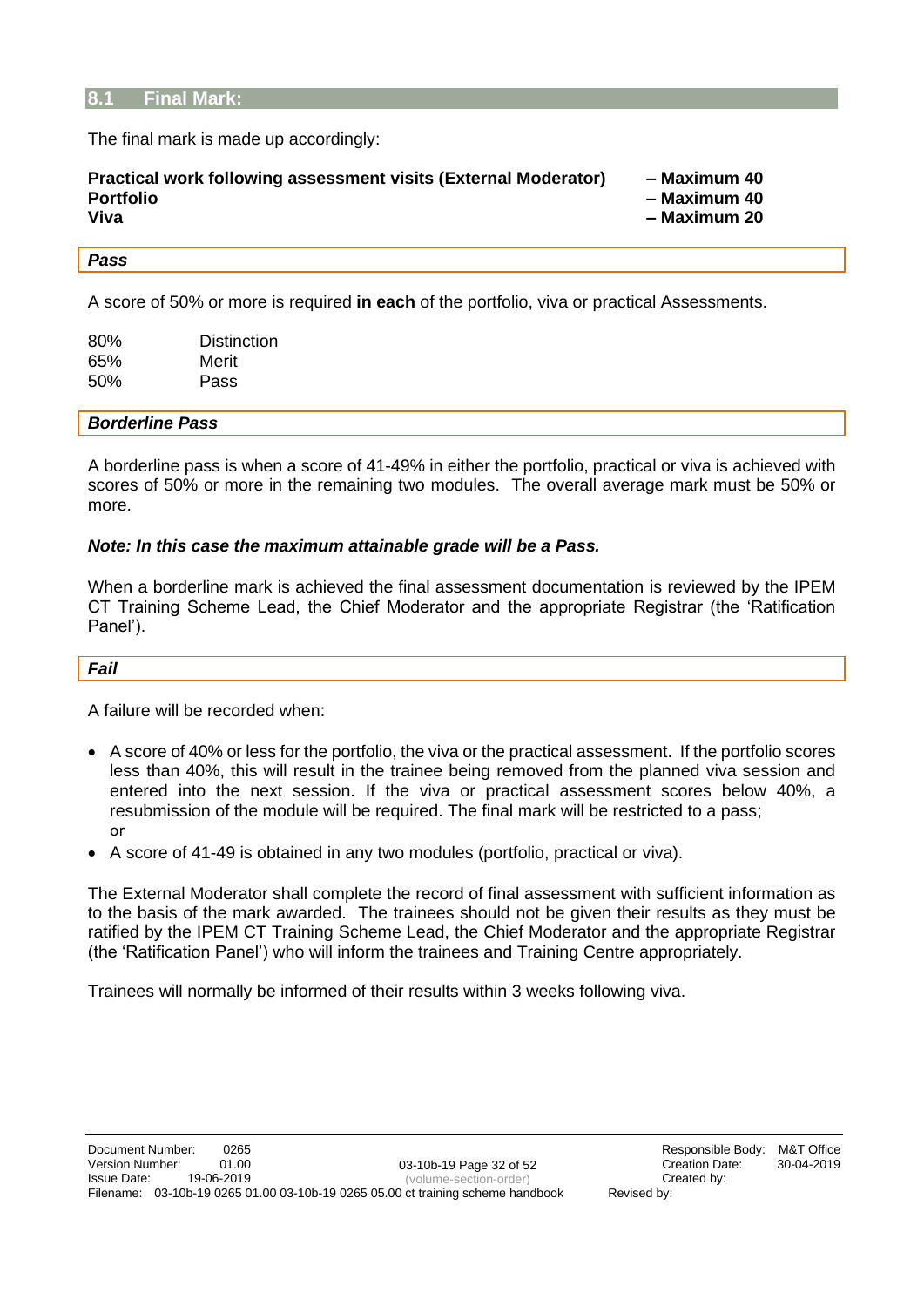#### <span id="page-31-0"></span>**8.1 Final Mark:**

The final mark is made up accordingly:

#### *Pass*

A score of 50% or more is required **in each** of the portfolio, viva or practical Assessments.

| 80% | Distinction |
|-----|-------------|
| 65% | Merit       |
| 50% | Pass        |

#### *Borderline Pass*

A borderline pass is when a score of 41-49% in either the portfolio, practical or viva is achieved with scores of 50% or more in the remaining two modules. The overall average mark must be 50% or more.

#### *Note: In this case the maximum attainable grade will be a Pass.*

When a borderline mark is achieved the final assessment documentation is reviewed by the IPEM CT Training Scheme Lead, the Chief Moderator and the appropriate Registrar (the 'Ratification Panel').

#### *Fail*

A failure will be recorded when:

- A score of 40% or less for the portfolio, the viva or the practical assessment. If the portfolio scores less than 40%, this will result in the trainee being removed from the planned viva session and entered into the next session. If the viva or practical assessment scores below 40%, a resubmission of the module will be required. The final mark will be restricted to a pass; or
- A score of 41-49 is obtained in any two modules (portfolio, practical or viva).

The External Moderator shall complete the record of final assessment with sufficient information as to the basis of the mark awarded. The trainees should not be given their results as they must be ratified by the IPEM CT Training Scheme Lead, the Chief Moderator and the appropriate Registrar (the 'Ratification Panel') who will inform the trainees and Training Centre appropriately.

Trainees will normally be informed of their results within 3 weeks following viva.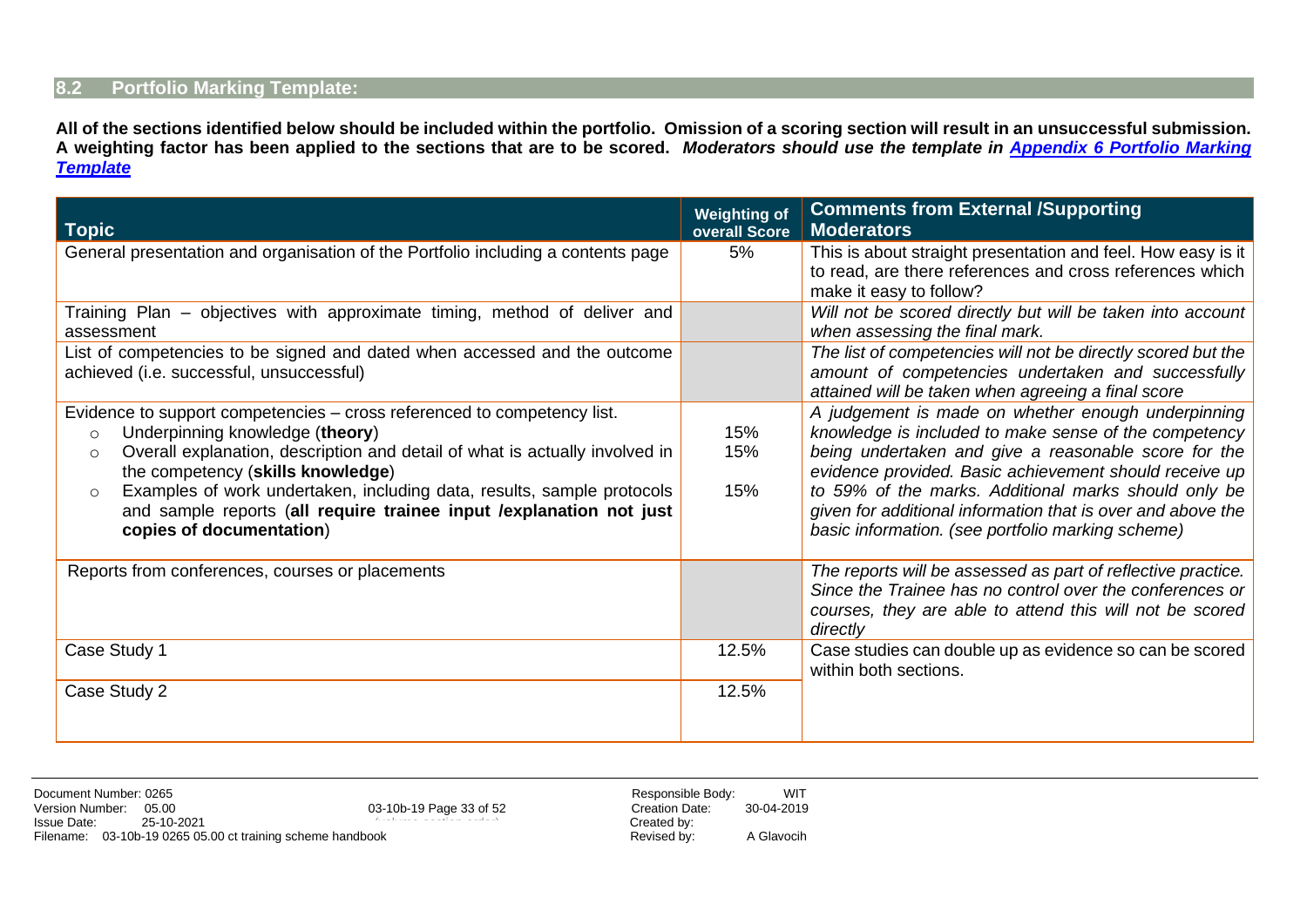#### **8.2 Portfolio Marking Template:**

**All of the sections identified below should be included within the portfolio. Omission of a scoring section will result in an unsuccessful submission. A weighting factor has been applied to the sections that are to be scored.** *Moderators should use the template in Appendix 6 [Portfolio Marking](#page-49-3)  [Template](#page-49-3)*

<span id="page-32-0"></span>

| <b>Topic</b>                                                                                                                                                                                                                                                                                                                                                                                                                                  | <b>Weighting of</b><br>overall Score | <b>Comments from External /Supporting</b><br><b>Moderators</b>                                                                                                                                                                                                                                                                                                                                            |
|-----------------------------------------------------------------------------------------------------------------------------------------------------------------------------------------------------------------------------------------------------------------------------------------------------------------------------------------------------------------------------------------------------------------------------------------------|--------------------------------------|-----------------------------------------------------------------------------------------------------------------------------------------------------------------------------------------------------------------------------------------------------------------------------------------------------------------------------------------------------------------------------------------------------------|
| General presentation and organisation of the Portfolio including a contents page                                                                                                                                                                                                                                                                                                                                                              | 5%                                   | This is about straight presentation and feel. How easy is it<br>to read, are there references and cross references which<br>make it easy to follow?                                                                                                                                                                                                                                                       |
| Training Plan – objectives with approximate timing, method of deliver and<br>assessment                                                                                                                                                                                                                                                                                                                                                       |                                      | Will not be scored directly but will be taken into account<br>when assessing the final mark.                                                                                                                                                                                                                                                                                                              |
| List of competencies to be signed and dated when accessed and the outcome<br>achieved (i.e. successful, unsuccessful)                                                                                                                                                                                                                                                                                                                         |                                      | The list of competencies will not be directly scored but the<br>amount of competencies undertaken and successfully<br>attained will be taken when agreeing a final score                                                                                                                                                                                                                                  |
| Evidence to support competencies – cross referenced to competency list.<br>Underpinning knowledge (theory)<br>$\circ$<br>Overall explanation, description and detail of what is actually involved in<br>$\circ$<br>the competency (skills knowledge)<br>Examples of work undertaken, including data, results, sample protocols<br>$\circ$<br>and sample reports (all require trainee input / explanation not just<br>copies of documentation) | 15%<br>15%<br>15%                    | A judgement is made on whether enough underpinning<br>knowledge is included to make sense of the competency<br>being undertaken and give a reasonable score for the<br>evidence provided. Basic achievement should receive up<br>to 59% of the marks. Additional marks should only be<br>given for additional information that is over and above the<br>basic information. (see portfolio marking scheme) |
| Reports from conferences, courses or placements                                                                                                                                                                                                                                                                                                                                                                                               |                                      | The reports will be assessed as part of reflective practice.<br>Since the Trainee has no control over the conferences or<br>courses, they are able to attend this will not be scored<br>directly                                                                                                                                                                                                          |
| Case Study 1                                                                                                                                                                                                                                                                                                                                                                                                                                  | 12.5%                                | Case studies can double up as evidence so can be scored<br>within both sections.                                                                                                                                                                                                                                                                                                                          |
| Case Study 2                                                                                                                                                                                                                                                                                                                                                                                                                                  | 12.5%                                |                                                                                                                                                                                                                                                                                                                                                                                                           |

|             | Document Number: 0265                                      |                         | Responsible Body: | <b>WIT</b> |
|-------------|------------------------------------------------------------|-------------------------|-------------------|------------|
|             | Version Number: 05.00                                      | 03-10b-19 Page 33 of 52 | Creation Date:    | 30-04-2019 |
| Issue Date: | 25-10-2021                                                 |                         | Created by:       |            |
|             | Filename: 03-10b-19 0265 05.00 ct training scheme handbook |                         | Revised by:       | A Glavocih |

Responsible Body: WIT<br>Creation Date: 30-04-2019 Creation Date: Created by:<br>Revised by: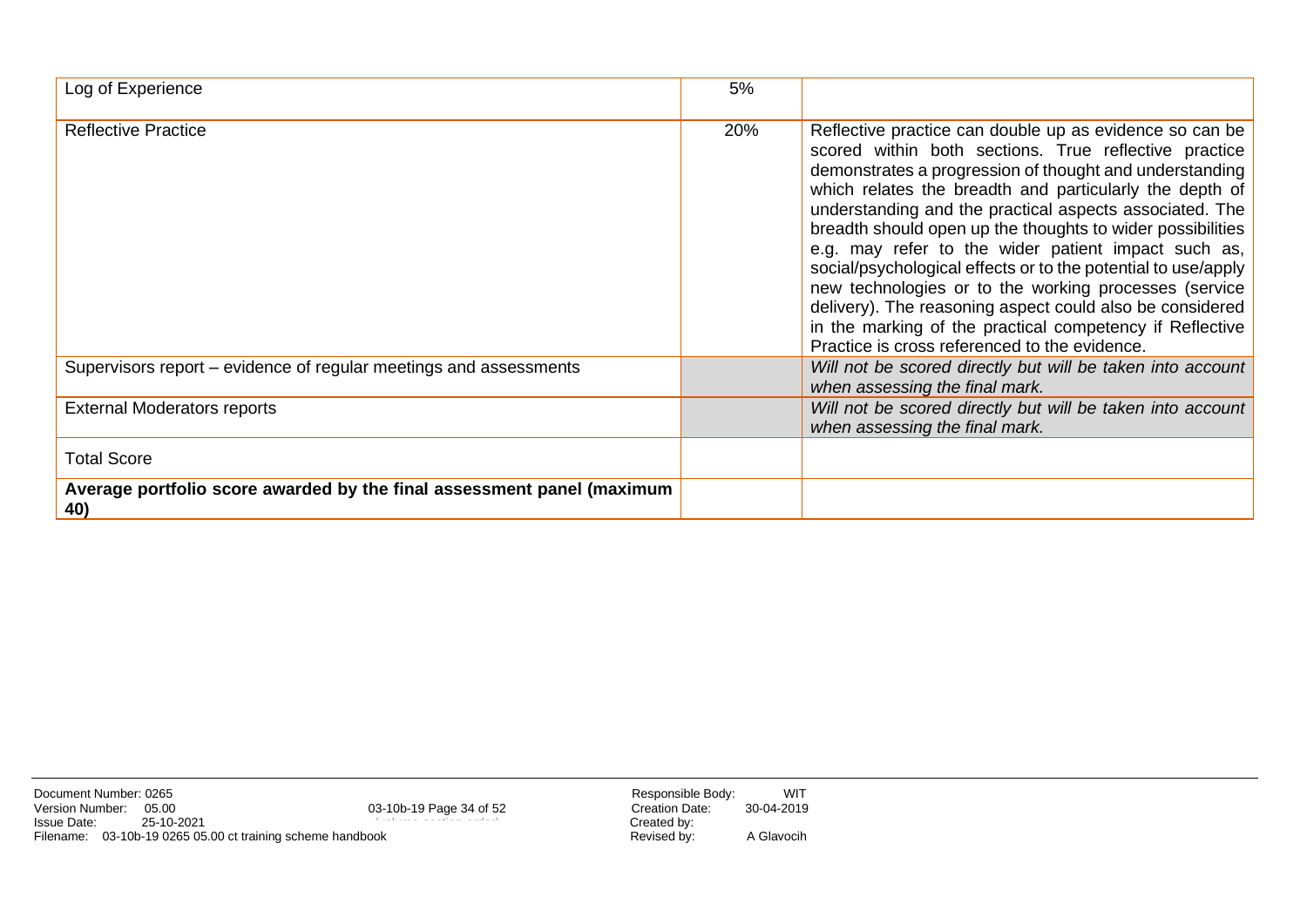| Log of Experience                                                             | 5%  |                                                                                                                                                                                                                                                                                                                                                                                                                                                                                                                                                                                                                                                                                                                           |
|-------------------------------------------------------------------------------|-----|---------------------------------------------------------------------------------------------------------------------------------------------------------------------------------------------------------------------------------------------------------------------------------------------------------------------------------------------------------------------------------------------------------------------------------------------------------------------------------------------------------------------------------------------------------------------------------------------------------------------------------------------------------------------------------------------------------------------------|
| <b>Reflective Practice</b>                                                    | 20% | Reflective practice can double up as evidence so can be<br>scored within both sections. True reflective practice<br>demonstrates a progression of thought and understanding<br>which relates the breadth and particularly the depth of<br>understanding and the practical aspects associated. The<br>breadth should open up the thoughts to wider possibilities<br>e.g. may refer to the wider patient impact such as,<br>social/psychological effects or to the potential to use/apply<br>new technologies or to the working processes (service<br>delivery). The reasoning aspect could also be considered<br>in the marking of the practical competency if Reflective<br>Practice is cross referenced to the evidence. |
| Supervisors report – evidence of regular meetings and assessments             |     | Will not be scored directly but will be taken into account<br>when assessing the final mark.                                                                                                                                                                                                                                                                                                                                                                                                                                                                                                                                                                                                                              |
| <b>External Moderators reports</b>                                            |     | Will not be scored directly but will be taken into account<br>when assessing the final mark.                                                                                                                                                                                                                                                                                                                                                                                                                                                                                                                                                                                                                              |
| <b>Total Score</b>                                                            |     |                                                                                                                                                                                                                                                                                                                                                                                                                                                                                                                                                                                                                                                                                                                           |
| Average portfolio score awarded by the final assessment panel (maximum<br>40) |     |                                                                                                                                                                                                                                                                                                                                                                                                                                                                                                                                                                                                                                                                                                                           |

Document Number: 0265<br>
Version Number: 05.00 03-10b-19 Page 34 of 52 Responsible Body: WIT<br>
Issue Date: 25-10-2021 25-10-2021<br>
Filename: 03-10b-19 0265 05.00 ct training scheme handbook Revised by: A Glavocih Version Number: 05.00 Creation Date: 30-04-2019 Issue Date: 25-10-2021 Created by: Filename: 03-10b-19 0265 05.00 ct training scheme handbook Revised by: A Glavocih

03-10b-19 Page 34 of 52 (volume-section-order)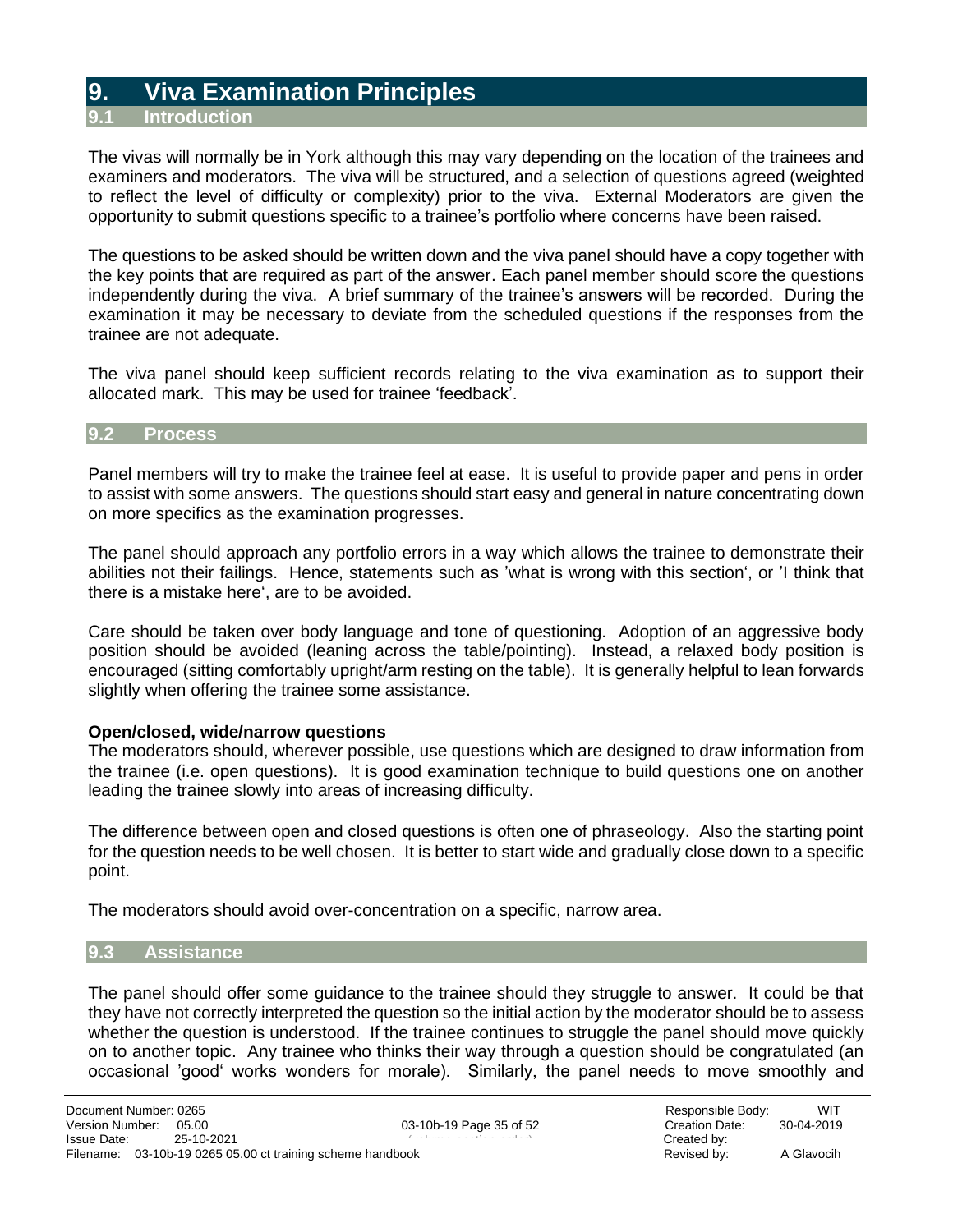### **9. Viva Examination Principles**

**9.1 Introduction**

<span id="page-34-1"></span><span id="page-34-0"></span>The vivas will normally be in York although this may vary depending on the location of the trainees and examiners and moderators. The viva will be structured, and a selection of questions agreed (weighted to reflect the level of difficulty or complexity) prior to the viva. External Moderators are given the opportunity to submit questions specific to a trainee's portfolio where concerns have been raised.

The questions to be asked should be written down and the viva panel should have a copy together with the key points that are required as part of the answer. Each panel member should score the questions independently during the viva. A brief summary of the trainee's answers will be recorded. During the examination it may be necessary to deviate from the scheduled questions if the responses from the trainee are not adequate.

The viva panel should keep sufficient records relating to the viva examination as to support their allocated mark. This may be used for trainee 'feedback'.

#### **9.2 Process**

<span id="page-34-2"></span>Panel members will try to make the trainee feel at ease. It is useful to provide paper and pens in order to assist with some answers. The questions should start easy and general in nature concentrating down on more specifics as the examination progresses.

The panel should approach any portfolio errors in a way which allows the trainee to demonstrate their abilities not their failings. Hence, statements such as 'what is wrong with this section', or 'I think that there is a mistake here', are to be avoided.

Care should be taken over body language and tone of questioning. Adoption of an aggressive body position should be avoided (leaning across the table/pointing). Instead, a relaxed body position is encouraged (sitting comfortably upright/arm resting on the table). It is generally helpful to lean forwards slightly when offering the trainee some assistance.

#### **Open/closed, wide/narrow questions**

The moderators should, wherever possible, use questions which are designed to draw information from the trainee (i.e. open questions). It is good examination technique to build questions one on another leading the trainee slowly into areas of increasing difficulty.

The difference between open and closed questions is often one of phraseology. Also the starting point for the question needs to be well chosen. It is better to start wide and gradually close down to a specific point.

The moderators should avoid over-concentration on a specific, narrow area.

#### **9.3 Assistance**

<span id="page-34-3"></span>The panel should offer some guidance to the trainee should they struggle to answer. It could be that they have not correctly interpreted the question so the initial action by the moderator should be to assess whether the question is understood. If the trainee continues to struggle the panel should move quickly on to another topic. Any trainee who thinks their way through a question should be congratulated (an occasional 'good' works wonders for morale). Similarly, the panel needs to move smoothly and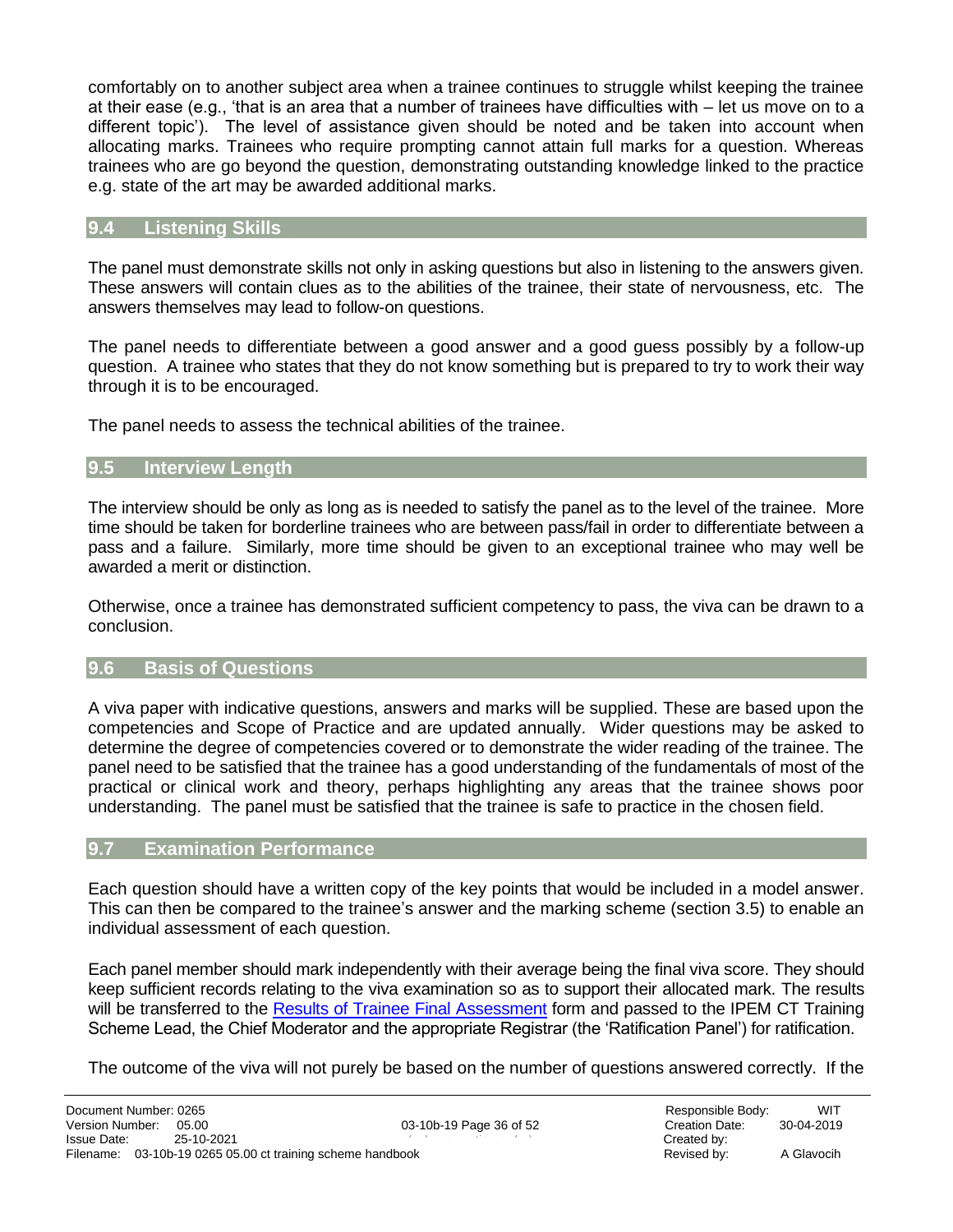comfortably on to another subject area when a trainee continues to struggle whilst keeping the trainee at their ease (e.g., 'that is an area that a number of trainees have difficulties with – let us move on to a different topic'). The level of assistance given should be noted and be taken into account when allocating marks. Trainees who require prompting cannot attain full marks for a question. Whereas trainees who are go beyond the question, demonstrating outstanding knowledge linked to the practice e.g. state of the art may be awarded additional marks.

#### **9.4 Listening Skills**

<span id="page-35-0"></span>The panel must demonstrate skills not only in asking questions but also in listening to the answers given. These answers will contain clues as to the abilities of the trainee, their state of nervousness, etc. The answers themselves may lead to follow-on questions.

The panel needs to differentiate between a good answer and a good guess possibly by a follow-up question. A trainee who states that they do not know something but is prepared to try to work their way through it is to be encouraged.

The panel needs to assess the technical abilities of the trainee.

#### **9.5 Interview Length**

<span id="page-35-1"></span>The interview should be only as long as is needed to satisfy the panel as to the level of the trainee. More time should be taken for borderline trainees who are between pass/fail in order to differentiate between a pass and a failure. Similarly, more time should be given to an exceptional trainee who may well be awarded a merit or distinction.

Otherwise, once a trainee has demonstrated sufficient competency to pass, the viva can be drawn to a conclusion.

#### **9.6 Basis of Questions**

<span id="page-35-2"></span>A viva paper with indicative questions, answers and marks will be supplied. These are based upon the competencies and Scope of Practice and are updated annually. Wider questions may be asked to determine the degree of competencies covered or to demonstrate the wider reading of the trainee. The panel need to be satisfied that the trainee has a good understanding of the fundamentals of most of the practical or clinical work and theory, perhaps highlighting any areas that the trainee shows poor understanding. The panel must be satisfied that the trainee is safe to practice in the chosen field.

#### **9.7 Examination Performance**

<span id="page-35-3"></span>Each question should have a written copy of the key points that would be included in a model answer. This can then be compared to the trainee's answer and the marking scheme (section 3.5) to enable an individual assessment of each question.

Each panel member should mark independently with their average being the final viva score. They should keep sufficient records relating to the viva examination so as to support their allocated mark. The results will be transferred to the [Results of Trainee](#page-44-0) Final Assessment form and passed to the IPEM CT Training Scheme Lead, the Chief Moderator and the appropriate Registrar (the 'Ratification Panel') for ratification.

The outcome of the viva will not purely be based on the number of questions answered correctly. If the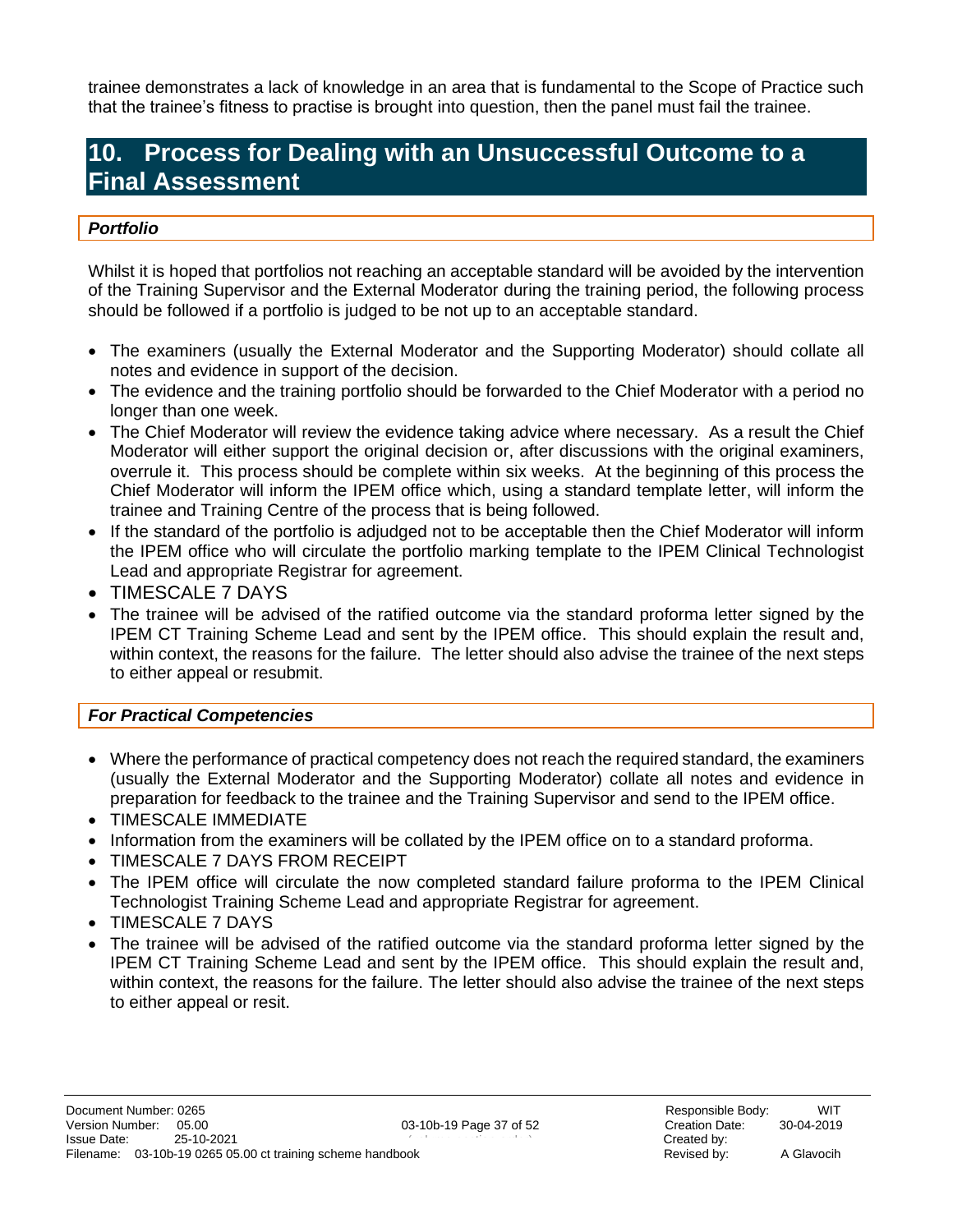trainee demonstrates a lack of knowledge in an area that is fundamental to the Scope of Practice such that the trainee's fitness to practise is brought into question, then the panel must fail the trainee.

### **10. Process for Dealing with an Unsuccessful Outcome to a Final Assessment**

#### <span id="page-36-0"></span>*Portfolio*

Whilst it is hoped that portfolios not reaching an acceptable standard will be avoided by the intervention of the Training Supervisor and the External Moderator during the training period, the following process should be followed if a portfolio is judged to be not up to an acceptable standard.

- The examiners (usually the External Moderator and the Supporting Moderator) should collate all notes and evidence in support of the decision.
- The evidence and the training portfolio should be forwarded to the Chief Moderator with a period no longer than one week.
- The Chief Moderator will review the evidence taking advice where necessary. As a result the Chief Moderator will either support the original decision or, after discussions with the original examiners, overrule it. This process should be complete within six weeks. At the beginning of this process the Chief Moderator will inform the IPEM office which, using a standard template letter, will inform the trainee and Training Centre of the process that is being followed.
- If the standard of the portfolio is adjudged not to be acceptable then the Chief Moderator will inform the IPEM office who will circulate the portfolio marking template to the IPEM Clinical Technologist Lead and appropriate Registrar for agreement.
- TIMESCALE 7 DAYS
- The trainee will be advised of the ratified outcome via the standard proforma letter signed by the IPEM CT Training Scheme Lead and sent by the IPEM office. This should explain the result and, within context, the reasons for the failure. The letter should also advise the trainee of the next steps to either appeal or resubmit.

#### *For Practical Competencies*

- Where the performance of practical competency does not reach the required standard, the examiners (usually the External Moderator and the Supporting Moderator) collate all notes and evidence in preparation for feedback to the trainee and the Training Supervisor and send to the IPEM office.
- TIMESCALE IMMEDIATE
- Information from the examiners will be collated by the IPEM office on to a standard proforma.
- TIMESCALE 7 DAYS FROM RECEIPT
- The IPEM office will circulate the now completed standard failure proforma to the IPEM Clinical Technologist Training Scheme Lead and appropriate Registrar for agreement.
- TIMESCALE 7 DAYS
- The trainee will be advised of the ratified outcome via the standard proforma letter signed by the IPEM CT Training Scheme Lead and sent by the IPEM office. This should explain the result and, within context, the reasons for the failure. The letter should also advise the trainee of the next steps to either appeal or resit.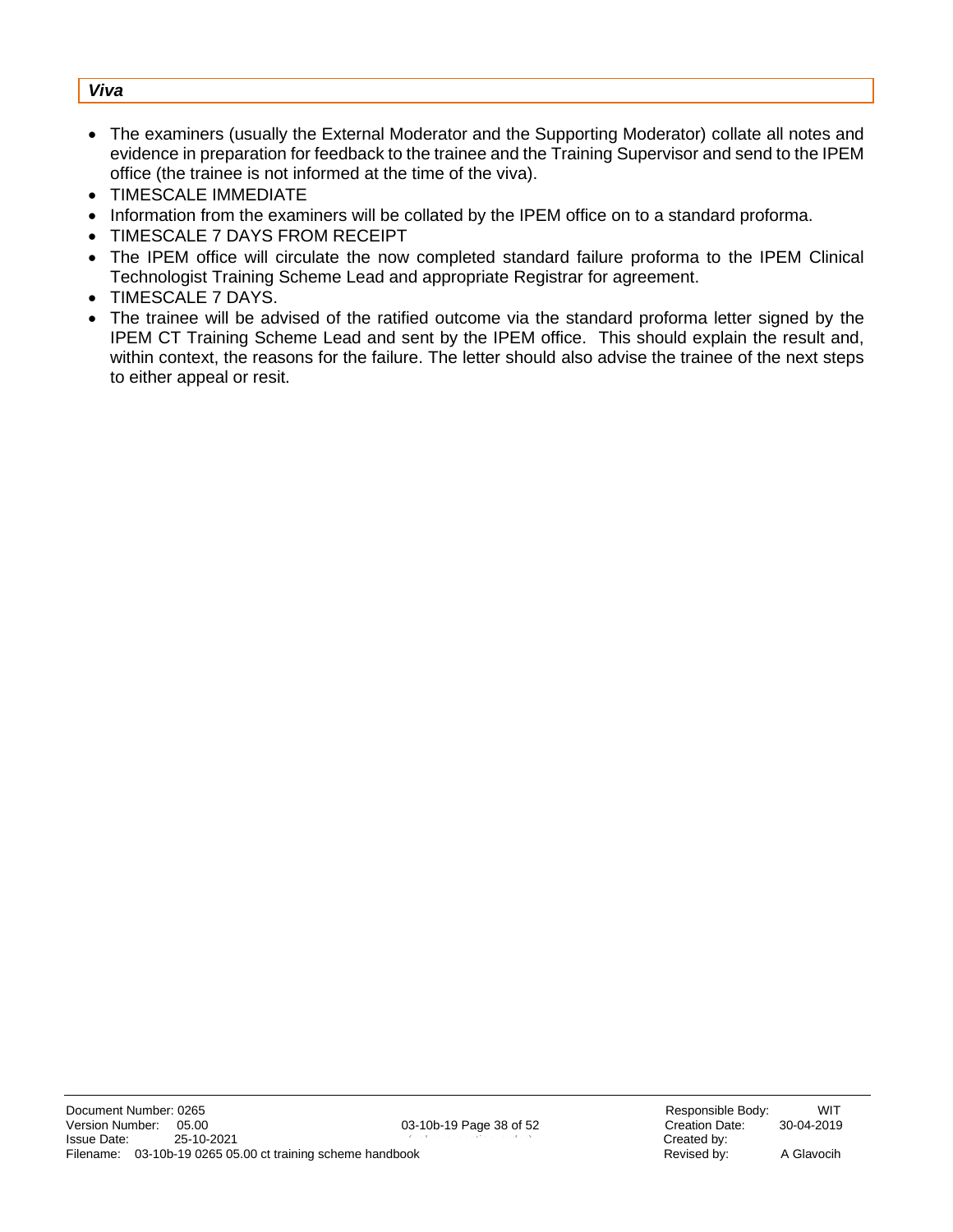#### *Viva*

- The examiners (usually the External Moderator and the Supporting Moderator) collate all notes and evidence in preparation for feedback to the trainee and the Training Supervisor and send to the IPEM office (the trainee is not informed at the time of the viva).
- TIMESCALE IMMEDIATE
- Information from the examiners will be collated by the IPEM office on to a standard proforma.
- TIMESCALE 7 DAYS FROM RECEIPT
- The IPEM office will circulate the now completed standard failure proforma to the IPEM Clinical Technologist Training Scheme Lead and appropriate Registrar for agreement.
- TIMESCALE 7 DAYS.
- The trainee will be advised of the ratified outcome via the standard proforma letter signed by the IPEM CT Training Scheme Lead and sent by the IPEM office. This should explain the result and, within context, the reasons for the failure. The letter should also advise the trainee of the next steps to either appeal or resit.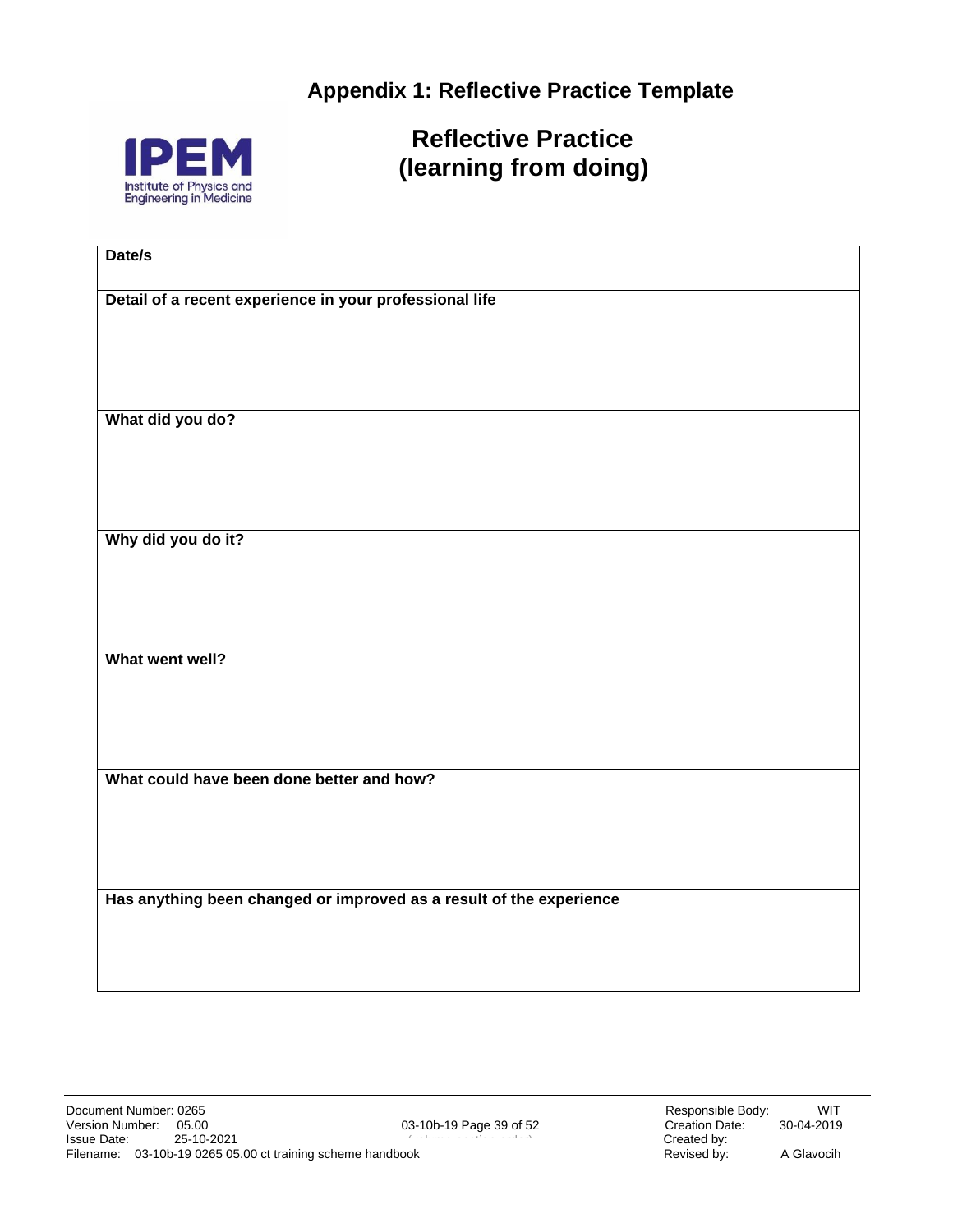<span id="page-38-0"></span>**Appendix 1: Reflective Practice Template**



 **Reflective Practice (learning from doing)**

| Date/s                                                              |
|---------------------------------------------------------------------|
|                                                                     |
| Detail of a recent experience in your professional life             |
|                                                                     |
|                                                                     |
|                                                                     |
| What did you do?                                                    |
|                                                                     |
|                                                                     |
|                                                                     |
|                                                                     |
| Why did you do it?                                                  |
|                                                                     |
|                                                                     |
|                                                                     |
| What went well?                                                     |
|                                                                     |
|                                                                     |
|                                                                     |
| What could have been done better and how?                           |
|                                                                     |
|                                                                     |
|                                                                     |
|                                                                     |
| Has anything been changed or improved as a result of the experience |
|                                                                     |
|                                                                     |
|                                                                     |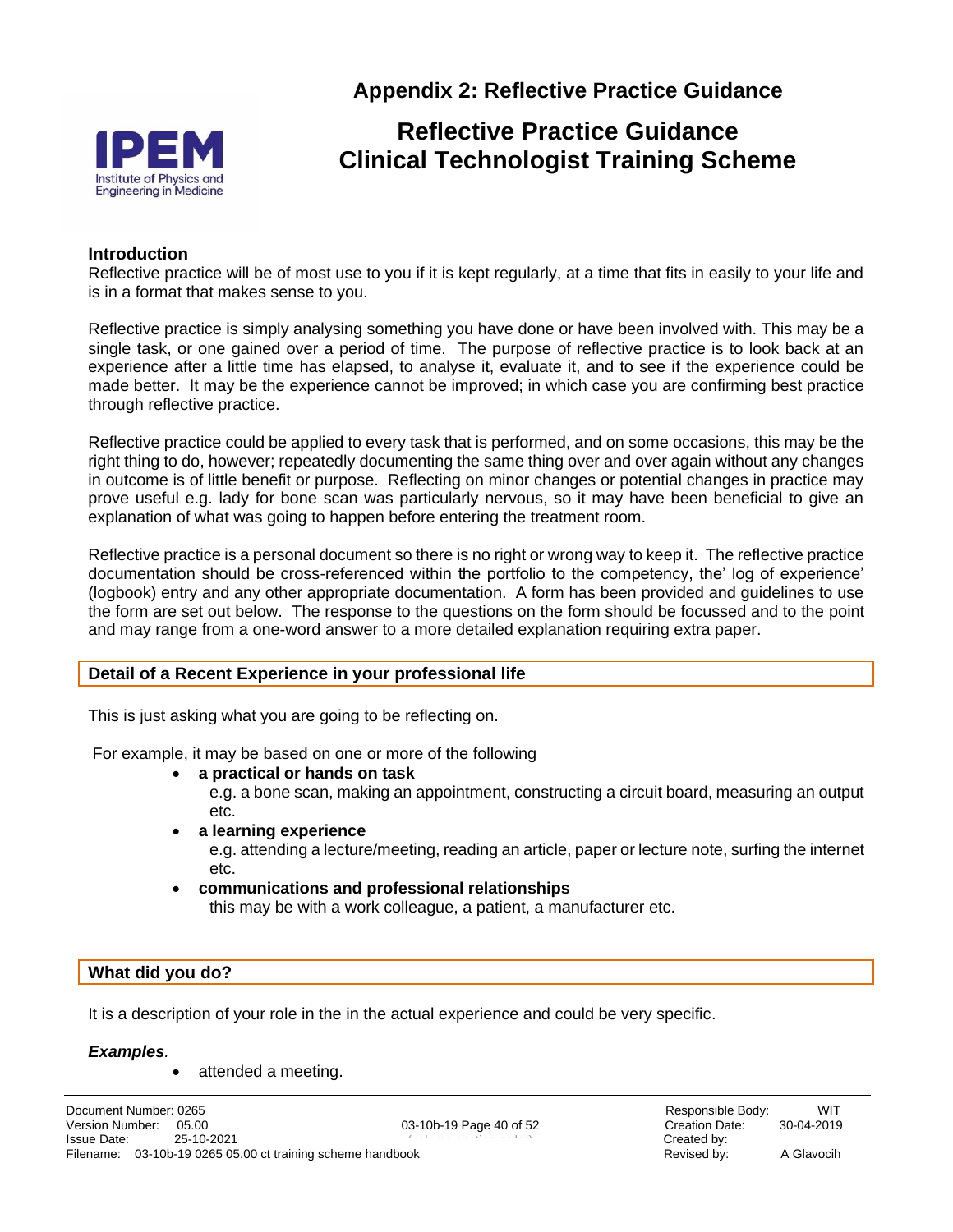

**Appendix 2: Reflective Practice Guidance**

### **Reflective Practice Guidance Clinical Technologist Training Scheme**

#### **Introduction**

Reflective practice will be of most use to you if it is kept regularly, at a time that fits in easily to your life and is in a format that makes sense to you.

Reflective practice is simply analysing something you have done or have been involved with. This may be a single task, or one gained over a period of time. The purpose of reflective practice is to look back at an experience after a little time has elapsed, to analyse it, evaluate it, and to see if the experience could be made better. It may be the experience cannot be improved; in which case you are confirming best practice through reflective practice.

Reflective practice could be applied to every task that is performed, and on some occasions, this may be the right thing to do, however; repeatedly documenting the same thing over and over again without any changes in outcome is of little benefit or purpose. Reflecting on minor changes or potential changes in practice may prove useful e.g. lady for bone scan was particularly nervous, so it may have been beneficial to give an explanation of what was going to happen before entering the treatment room.

Reflective practice is a personal document so there is no right or wrong way to keep it. The reflective practice documentation should be cross-referenced within the portfolio to the competency, the' log of experience' (logbook) entry and any other appropriate documentation. A form has been provided and guidelines to use the form are set out below. The response to the questions on the form should be focussed and to the point and may range from a one-word answer to a more detailed explanation requiring extra paper.

#### **Detail of a Recent Experience in your professional life**

This is just asking what you are going to be reflecting on.

For example, it may be based on one or more of the following

• **a practical or hands on task**

e.g. a bone scan, making an appointment, constructing a circuit board, measuring an output etc.

• **a learning experience** 

e.g. attending a lecture/meeting, reading an article, paper or lecture note, surfing the internet etc.

• **communications and professional relationships** this may be with a work colleague, a patient, a manufacturer etc.

#### **What did you do?**

It is a description of your role in the in the actual experience and could be very specific.

#### *Examples.*

• attended a meeting.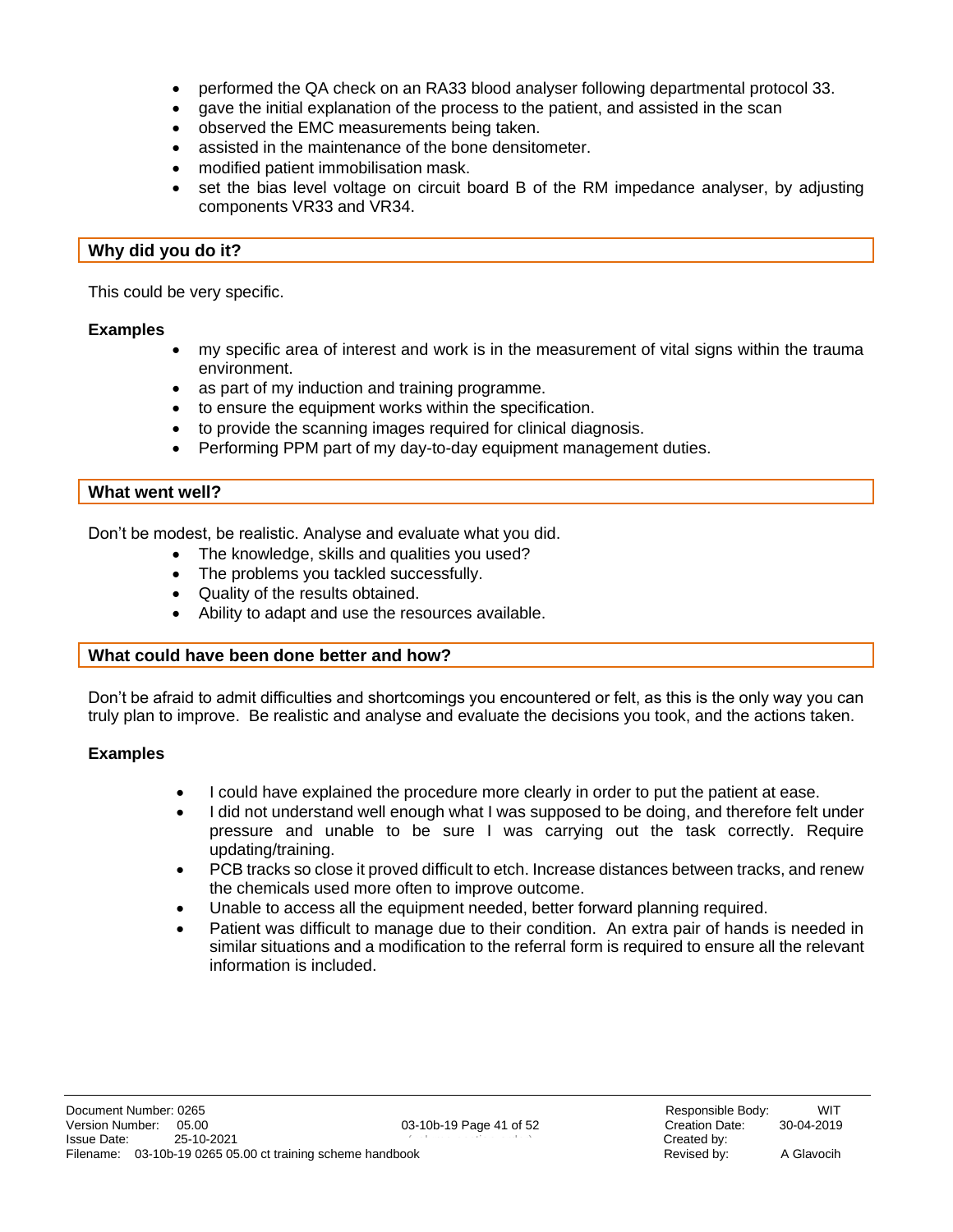- performed the QA check on an RA33 blood analyser following departmental protocol 33.
- gave the initial explanation of the process to the patient, and assisted in the scan
- observed the EMC measurements being taken.
- assisted in the maintenance of the bone densitometer.
- modified patient immobilisation mask.
- set the bias level voltage on circuit board B of the RM impedance analyser, by adjusting components VR33 and VR34.

#### **Why did you do it?**

This could be very specific.

#### <span id="page-40-0"></span>**Examples**

- my specific area of interest and work is in the measurement of vital signs within the trauma environment.
- as part of my induction and training programme.
- to ensure the equipment works within the specification.
- to provide the scanning images required for clinical diagnosis.
- Performing PPM part of my day-to-day equipment management duties.

#### **What went well?**

Don't be modest, be realistic. Analyse and evaluate what you did.

- The knowledge, skills and qualities you used?
- The problems you tackled successfully.
- Quality of the results obtained.
- Ability to adapt and use the resources available.

#### **What could have been done better and how?**

Don't be afraid to admit difficulties and shortcomings you encountered or felt, as this is the only way you can truly plan to improve. Be realistic and analyse and evaluate the decisions you took, and the actions taken.

#### <span id="page-40-1"></span>**Examples**

- I could have explained the procedure more clearly in order to put the patient at ease.
- I did not understand well enough what I was supposed to be doing, and therefore felt under pressure and unable to be sure I was carrying out the task correctly. Require updating/training.
- PCB tracks so close it proved difficult to etch. Increase distances between tracks, and renew the chemicals used more often to improve outcome.
- Unable to access all the equipment needed, better forward planning required.
- Patient was difficult to manage due to their condition. An extra pair of hands is needed in similar situations and a modification to the referral form is required to ensure all the relevant information is included.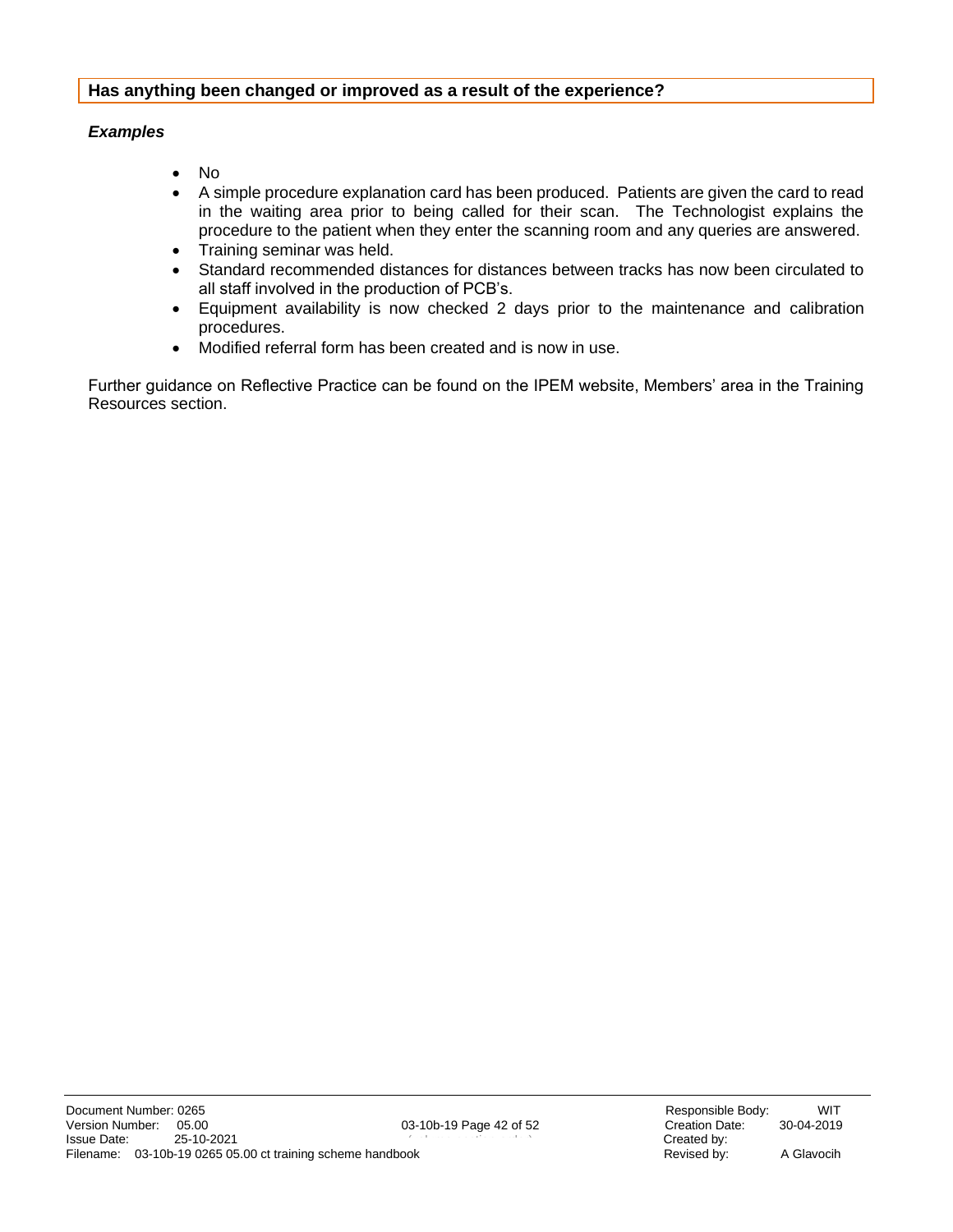#### **Has anything been changed or improved as a result of the experience?**

#### *Examples*

- No
- A simple procedure explanation card has been produced. Patients are given the card to read in the waiting area prior to being called for their scan. The Technologist explains the procedure to the patient when they enter the scanning room and any queries are answered.
- Training seminar was held.
- Standard recommended distances for distances between tracks has now been circulated to all staff involved in the production of PCB's.
- Equipment availability is now checked 2 days prior to the maintenance and calibration procedures.
- Modified referral form has been created and is now in use.

Further guidance on Reflective Practice can be found on the IPEM website, Members' area in the Training Resources section.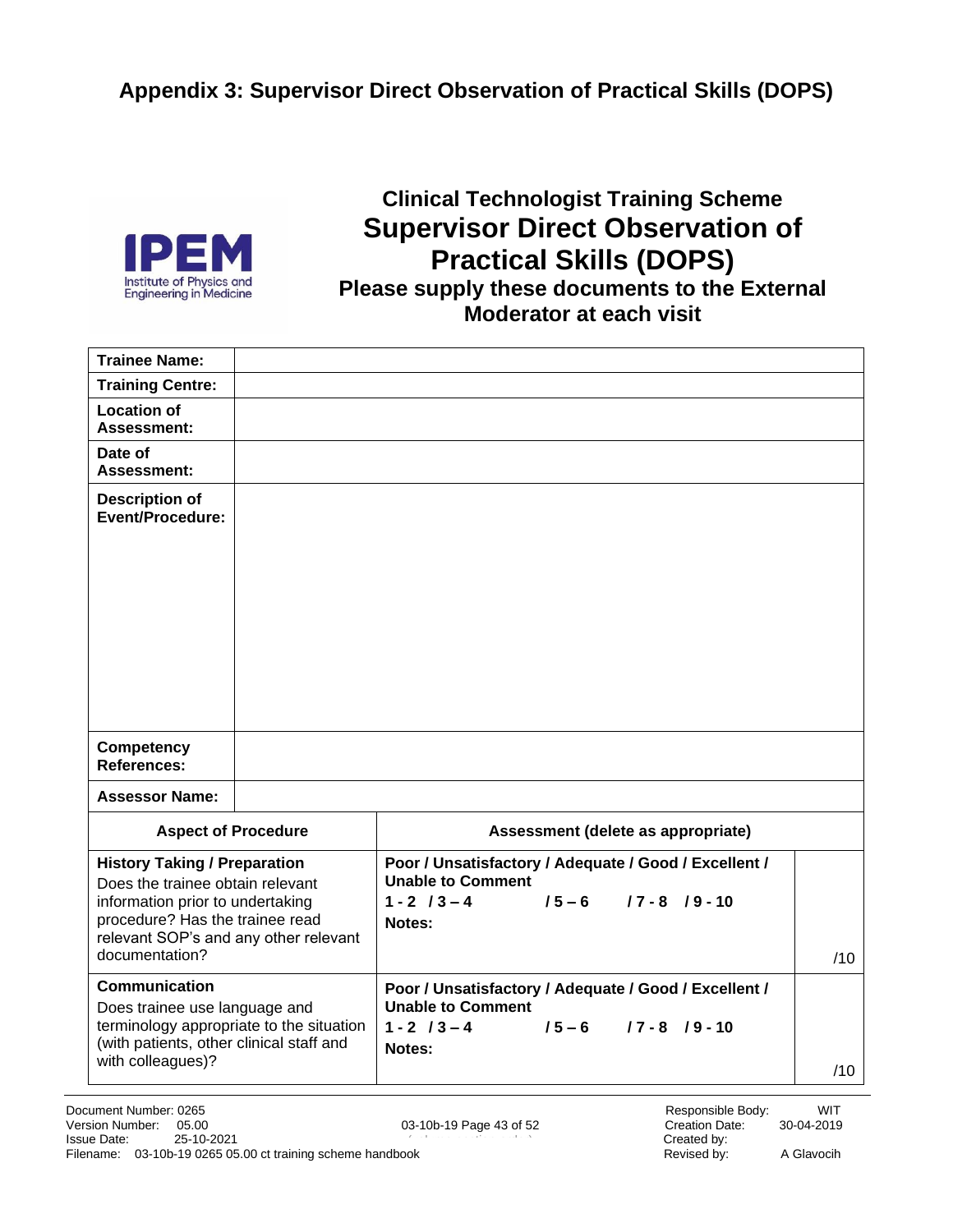**Appendix 3: Supervisor Direct Observation of Practical Skills (DOPS)**



### **Clinical Technologist Training Scheme Supervisor Direct Observation of Practical Skills (DOPS) Please supply these documents to the External Moderator at each visit**

| <b>Trainee Name:</b>                                                                                                                                                                                      |  |                                                                                                                                                 |     |
|-----------------------------------------------------------------------------------------------------------------------------------------------------------------------------------------------------------|--|-------------------------------------------------------------------------------------------------------------------------------------------------|-----|
| <b>Training Centre:</b>                                                                                                                                                                                   |  |                                                                                                                                                 |     |
| <b>Location of</b><br><b>Assessment:</b>                                                                                                                                                                  |  |                                                                                                                                                 |     |
| Date of<br><b>Assessment:</b>                                                                                                                                                                             |  |                                                                                                                                                 |     |
| <b>Description of</b><br><b>Event/Procedure:</b>                                                                                                                                                          |  |                                                                                                                                                 |     |
|                                                                                                                                                                                                           |  |                                                                                                                                                 |     |
| <b>Competency</b><br><b>References:</b>                                                                                                                                                                   |  |                                                                                                                                                 |     |
| <b>Assessor Name:</b>                                                                                                                                                                                     |  |                                                                                                                                                 |     |
| <b>Aspect of Procedure</b>                                                                                                                                                                                |  | Assessment (delete as appropriate)                                                                                                              |     |
| <b>History Taking / Preparation</b><br>Does the trainee obtain relevant<br>information prior to undertaking<br>procedure? Has the trainee read<br>relevant SOP's and any other relevant<br>documentation? |  | Poor / Unsatisfactory / Adequate / Good / Excellent /<br><b>Unable to Comment</b><br>$1 - 2$ / $3 - 4$<br>$/5 - 6$ $/7 - 8$ $/9 - 10$<br>Notes: | /10 |
| Communication                                                                                                                                                                                             |  | Poor / Unsatisfactory / Adequate / Good / Excellent /                                                                                           |     |
| Does trainee use language and<br>terminology appropriate to the situation<br>(with patients, other clinical staff and<br>with colleagues)?                                                                |  | <b>Unable to Comment</b><br>$1 - 2$ / $3 - 4$<br>$/5 - 6$ $/7 - 8$ $/9 - 10$<br>Notes:                                                          | /10 |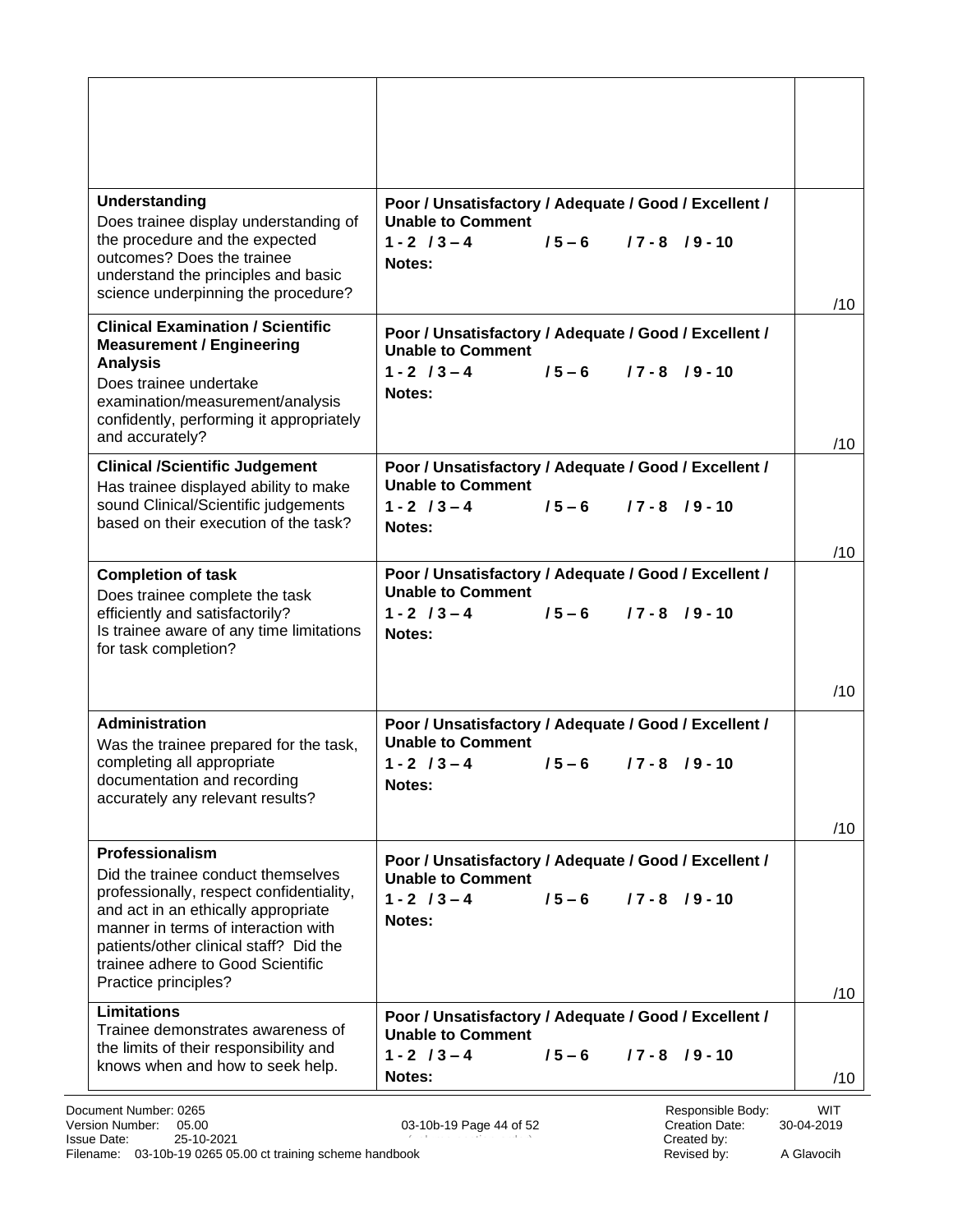| Understanding<br>Poor / Unsatisfactory / Adequate / Good / Excellent /<br><b>Unable to Comment</b><br>Does trainee display understanding of<br>the procedure and the expected<br>$1 - 2$ $13 - 4$<br>$15 - 6$<br>$17 - 8$ $19 - 10$<br>outcomes? Does the trainee<br>Notes:<br>understand the principles and basic<br>science underpinning the procedure?<br>/10<br><b>Clinical Examination / Scientific</b><br>Poor / Unsatisfactory / Adequate / Good / Excellent /<br><b>Measurement / Engineering</b><br><b>Unable to Comment</b><br><b>Analysis</b><br>$1 - 2$ / $3 - 4$<br>$15 - 6$<br>$17 - 8$ $19 - 10$<br>Does trainee undertake<br>Notes:<br>examination/measurement/analysis<br>confidently, performing it appropriately<br>and accurately?<br>/10<br><b>Clinical /Scientific Judgement</b><br>Poor / Unsatisfactory / Adequate / Good / Excellent /<br><b>Unable to Comment</b><br>Has trainee displayed ability to make<br>sound Clinical/Scientific judgements<br>$1 - 2$ / $3 - 4$<br>$15 - 6$<br>$17 - 8$ $19 - 10$<br>based on their execution of the task?<br>Notes:<br>/10<br>Poor / Unsatisfactory / Adequate / Good / Excellent /<br><b>Completion of task</b><br><b>Unable to Comment</b><br>Does trainee complete the task<br>$1 - 2$ / $3 - 4$<br>efficiently and satisfactorily?<br>$15 - 6$<br>$17 - 8$ $19 - 10$<br>Is trainee aware of any time limitations<br>Notes:<br>for task completion?<br>/10<br><b>Administration</b><br>Poor / Unsatisfactory / Adequate / Good / Excellent /<br><b>Unable to Comment</b><br>Was the trainee prepared for the task,<br>completing all appropriate<br>$1 - 2$ / $3 - 4$<br>$15 - 6$<br>$17 - 8$ $19 - 10$<br>documentation and recording<br>Notes:<br>accurately any relevant results?<br>/10<br>Professionalism<br>Poor / Unsatisfactory / Adequate / Good / Excellent /<br>Did the trainee conduct themselves<br><b>Unable to Comment</b><br>professionally, respect confidentiality,<br>$1 - 2$ / $3 - 4$<br>$15 - 6$<br>$17 - 8$ $19 - 10$<br>and act in an ethically appropriate<br>Notes:<br>manner in terms of interaction with<br>patients/other clinical staff? Did the<br>trainee adhere to Good Scientific<br>Practice principles?<br>/10<br><b>Limitations</b><br>Poor / Unsatisfactory / Adequate / Good / Excellent /<br>Trainee demonstrates awareness of<br><b>Unable to Comment</b><br>the limits of their responsibility and<br>$1 - 2$ / $3 - 4$<br>$15 - 6$<br>$17 - 8$ $19 - 10$<br>knows when and how to seek help.<br>Notes:<br>/10 |  |  |
|--------------------------------------------------------------------------------------------------------------------------------------------------------------------------------------------------------------------------------------------------------------------------------------------------------------------------------------------------------------------------------------------------------------------------------------------------------------------------------------------------------------------------------------------------------------------------------------------------------------------------------------------------------------------------------------------------------------------------------------------------------------------------------------------------------------------------------------------------------------------------------------------------------------------------------------------------------------------------------------------------------------------------------------------------------------------------------------------------------------------------------------------------------------------------------------------------------------------------------------------------------------------------------------------------------------------------------------------------------------------------------------------------------------------------------------------------------------------------------------------------------------------------------------------------------------------------------------------------------------------------------------------------------------------------------------------------------------------------------------------------------------------------------------------------------------------------------------------------------------------------------------------------------------------------------------------------------------------------------------------------------------------------------------------------------------------------------------------------------------------------------------------------------------------------------------------------------------------------------------------------------------------------------------------------------------------------------------------------------------------------------------------------------------------------------------------------------------------------------------------------------------------------------|--|--|
|                                                                                                                                                                                                                                                                                                                                                                                                                                                                                                                                                                                                                                                                                                                                                                                                                                                                                                                                                                                                                                                                                                                                                                                                                                                                                                                                                                                                                                                                                                                                                                                                                                                                                                                                                                                                                                                                                                                                                                                                                                                                                                                                                                                                                                                                                                                                                                                                                                                                                                                                |  |  |
|                                                                                                                                                                                                                                                                                                                                                                                                                                                                                                                                                                                                                                                                                                                                                                                                                                                                                                                                                                                                                                                                                                                                                                                                                                                                                                                                                                                                                                                                                                                                                                                                                                                                                                                                                                                                                                                                                                                                                                                                                                                                                                                                                                                                                                                                                                                                                                                                                                                                                                                                |  |  |
|                                                                                                                                                                                                                                                                                                                                                                                                                                                                                                                                                                                                                                                                                                                                                                                                                                                                                                                                                                                                                                                                                                                                                                                                                                                                                                                                                                                                                                                                                                                                                                                                                                                                                                                                                                                                                                                                                                                                                                                                                                                                                                                                                                                                                                                                                                                                                                                                                                                                                                                                |  |  |
|                                                                                                                                                                                                                                                                                                                                                                                                                                                                                                                                                                                                                                                                                                                                                                                                                                                                                                                                                                                                                                                                                                                                                                                                                                                                                                                                                                                                                                                                                                                                                                                                                                                                                                                                                                                                                                                                                                                                                                                                                                                                                                                                                                                                                                                                                                                                                                                                                                                                                                                                |  |  |
|                                                                                                                                                                                                                                                                                                                                                                                                                                                                                                                                                                                                                                                                                                                                                                                                                                                                                                                                                                                                                                                                                                                                                                                                                                                                                                                                                                                                                                                                                                                                                                                                                                                                                                                                                                                                                                                                                                                                                                                                                                                                                                                                                                                                                                                                                                                                                                                                                                                                                                                                |  |  |
|                                                                                                                                                                                                                                                                                                                                                                                                                                                                                                                                                                                                                                                                                                                                                                                                                                                                                                                                                                                                                                                                                                                                                                                                                                                                                                                                                                                                                                                                                                                                                                                                                                                                                                                                                                                                                                                                                                                                                                                                                                                                                                                                                                                                                                                                                                                                                                                                                                                                                                                                |  |  |
|                                                                                                                                                                                                                                                                                                                                                                                                                                                                                                                                                                                                                                                                                                                                                                                                                                                                                                                                                                                                                                                                                                                                                                                                                                                                                                                                                                                                                                                                                                                                                                                                                                                                                                                                                                                                                                                                                                                                                                                                                                                                                                                                                                                                                                                                                                                                                                                                                                                                                                                                |  |  |
|                                                                                                                                                                                                                                                                                                                                                                                                                                                                                                                                                                                                                                                                                                                                                                                                                                                                                                                                                                                                                                                                                                                                                                                                                                                                                                                                                                                                                                                                                                                                                                                                                                                                                                                                                                                                                                                                                                                                                                                                                                                                                                                                                                                                                                                                                                                                                                                                                                                                                                                                |  |  |
|                                                                                                                                                                                                                                                                                                                                                                                                                                                                                                                                                                                                                                                                                                                                                                                                                                                                                                                                                                                                                                                                                                                                                                                                                                                                                                                                                                                                                                                                                                                                                                                                                                                                                                                                                                                                                                                                                                                                                                                                                                                                                                                                                                                                                                                                                                                                                                                                                                                                                                                                |  |  |
|                                                                                                                                                                                                                                                                                                                                                                                                                                                                                                                                                                                                                                                                                                                                                                                                                                                                                                                                                                                                                                                                                                                                                                                                                                                                                                                                                                                                                                                                                                                                                                                                                                                                                                                                                                                                                                                                                                                                                                                                                                                                                                                                                                                                                                                                                                                                                                                                                                                                                                                                |  |  |
|                                                                                                                                                                                                                                                                                                                                                                                                                                                                                                                                                                                                                                                                                                                                                                                                                                                                                                                                                                                                                                                                                                                                                                                                                                                                                                                                                                                                                                                                                                                                                                                                                                                                                                                                                                                                                                                                                                                                                                                                                                                                                                                                                                                                                                                                                                                                                                                                                                                                                                                                |  |  |
|                                                                                                                                                                                                                                                                                                                                                                                                                                                                                                                                                                                                                                                                                                                                                                                                                                                                                                                                                                                                                                                                                                                                                                                                                                                                                                                                                                                                                                                                                                                                                                                                                                                                                                                                                                                                                                                                                                                                                                                                                                                                                                                                                                                                                                                                                                                                                                                                                                                                                                                                |  |  |
|                                                                                                                                                                                                                                                                                                                                                                                                                                                                                                                                                                                                                                                                                                                                                                                                                                                                                                                                                                                                                                                                                                                                                                                                                                                                                                                                                                                                                                                                                                                                                                                                                                                                                                                                                                                                                                                                                                                                                                                                                                                                                                                                                                                                                                                                                                                                                                                                                                                                                                                                |  |  |
|                                                                                                                                                                                                                                                                                                                                                                                                                                                                                                                                                                                                                                                                                                                                                                                                                                                                                                                                                                                                                                                                                                                                                                                                                                                                                                                                                                                                                                                                                                                                                                                                                                                                                                                                                                                                                                                                                                                                                                                                                                                                                                                                                                                                                                                                                                                                                                                                                                                                                                                                |  |  |
|                                                                                                                                                                                                                                                                                                                                                                                                                                                                                                                                                                                                                                                                                                                                                                                                                                                                                                                                                                                                                                                                                                                                                                                                                                                                                                                                                                                                                                                                                                                                                                                                                                                                                                                                                                                                                                                                                                                                                                                                                                                                                                                                                                                                                                                                                                                                                                                                                                                                                                                                |  |  |
|                                                                                                                                                                                                                                                                                                                                                                                                                                                                                                                                                                                                                                                                                                                                                                                                                                                                                                                                                                                                                                                                                                                                                                                                                                                                                                                                                                                                                                                                                                                                                                                                                                                                                                                                                                                                                                                                                                                                                                                                                                                                                                                                                                                                                                                                                                                                                                                                                                                                                                                                |  |  |
|                                                                                                                                                                                                                                                                                                                                                                                                                                                                                                                                                                                                                                                                                                                                                                                                                                                                                                                                                                                                                                                                                                                                                                                                                                                                                                                                                                                                                                                                                                                                                                                                                                                                                                                                                                                                                                                                                                                                                                                                                                                                                                                                                                                                                                                                                                                                                                                                                                                                                                                                |  |  |
|                                                                                                                                                                                                                                                                                                                                                                                                                                                                                                                                                                                                                                                                                                                                                                                                                                                                                                                                                                                                                                                                                                                                                                                                                                                                                                                                                                                                                                                                                                                                                                                                                                                                                                                                                                                                                                                                                                                                                                                                                                                                                                                                                                                                                                                                                                                                                                                                                                                                                                                                |  |  |
|                                                                                                                                                                                                                                                                                                                                                                                                                                                                                                                                                                                                                                                                                                                                                                                                                                                                                                                                                                                                                                                                                                                                                                                                                                                                                                                                                                                                                                                                                                                                                                                                                                                                                                                                                                                                                                                                                                                                                                                                                                                                                                                                                                                                                                                                                                                                                                                                                                                                                                                                |  |  |
|                                                                                                                                                                                                                                                                                                                                                                                                                                                                                                                                                                                                                                                                                                                                                                                                                                                                                                                                                                                                                                                                                                                                                                                                                                                                                                                                                                                                                                                                                                                                                                                                                                                                                                                                                                                                                                                                                                                                                                                                                                                                                                                                                                                                                                                                                                                                                                                                                                                                                                                                |  |  |
|                                                                                                                                                                                                                                                                                                                                                                                                                                                                                                                                                                                                                                                                                                                                                                                                                                                                                                                                                                                                                                                                                                                                                                                                                                                                                                                                                                                                                                                                                                                                                                                                                                                                                                                                                                                                                                                                                                                                                                                                                                                                                                                                                                                                                                                                                                                                                                                                                                                                                                                                |  |  |
|                                                                                                                                                                                                                                                                                                                                                                                                                                                                                                                                                                                                                                                                                                                                                                                                                                                                                                                                                                                                                                                                                                                                                                                                                                                                                                                                                                                                                                                                                                                                                                                                                                                                                                                                                                                                                                                                                                                                                                                                                                                                                                                                                                                                                                                                                                                                                                                                                                                                                                                                |  |  |
|                                                                                                                                                                                                                                                                                                                                                                                                                                                                                                                                                                                                                                                                                                                                                                                                                                                                                                                                                                                                                                                                                                                                                                                                                                                                                                                                                                                                                                                                                                                                                                                                                                                                                                                                                                                                                                                                                                                                                                                                                                                                                                                                                                                                                                                                                                                                                                                                                                                                                                                                |  |  |
|                                                                                                                                                                                                                                                                                                                                                                                                                                                                                                                                                                                                                                                                                                                                                                                                                                                                                                                                                                                                                                                                                                                                                                                                                                                                                                                                                                                                                                                                                                                                                                                                                                                                                                                                                                                                                                                                                                                                                                                                                                                                                                                                                                                                                                                                                                                                                                                                                                                                                                                                |  |  |
|                                                                                                                                                                                                                                                                                                                                                                                                                                                                                                                                                                                                                                                                                                                                                                                                                                                                                                                                                                                                                                                                                                                                                                                                                                                                                                                                                                                                                                                                                                                                                                                                                                                                                                                                                                                                                                                                                                                                                                                                                                                                                                                                                                                                                                                                                                                                                                                                                                                                                                                                |  |  |
|                                                                                                                                                                                                                                                                                                                                                                                                                                                                                                                                                                                                                                                                                                                                                                                                                                                                                                                                                                                                                                                                                                                                                                                                                                                                                                                                                                                                                                                                                                                                                                                                                                                                                                                                                                                                                                                                                                                                                                                                                                                                                                                                                                                                                                                                                                                                                                                                                                                                                                                                |  |  |
|                                                                                                                                                                                                                                                                                                                                                                                                                                                                                                                                                                                                                                                                                                                                                                                                                                                                                                                                                                                                                                                                                                                                                                                                                                                                                                                                                                                                                                                                                                                                                                                                                                                                                                                                                                                                                                                                                                                                                                                                                                                                                                                                                                                                                                                                                                                                                                                                                                                                                                                                |  |  |
|                                                                                                                                                                                                                                                                                                                                                                                                                                                                                                                                                                                                                                                                                                                                                                                                                                                                                                                                                                                                                                                                                                                                                                                                                                                                                                                                                                                                                                                                                                                                                                                                                                                                                                                                                                                                                                                                                                                                                                                                                                                                                                                                                                                                                                                                                                                                                                                                                                                                                                                                |  |  |
|                                                                                                                                                                                                                                                                                                                                                                                                                                                                                                                                                                                                                                                                                                                                                                                                                                                                                                                                                                                                                                                                                                                                                                                                                                                                                                                                                                                                                                                                                                                                                                                                                                                                                                                                                                                                                                                                                                                                                                                                                                                                                                                                                                                                                                                                                                                                                                                                                                                                                                                                |  |  |
|                                                                                                                                                                                                                                                                                                                                                                                                                                                                                                                                                                                                                                                                                                                                                                                                                                                                                                                                                                                                                                                                                                                                                                                                                                                                                                                                                                                                                                                                                                                                                                                                                                                                                                                                                                                                                                                                                                                                                                                                                                                                                                                                                                                                                                                                                                                                                                                                                                                                                                                                |  |  |
|                                                                                                                                                                                                                                                                                                                                                                                                                                                                                                                                                                                                                                                                                                                                                                                                                                                                                                                                                                                                                                                                                                                                                                                                                                                                                                                                                                                                                                                                                                                                                                                                                                                                                                                                                                                                                                                                                                                                                                                                                                                                                                                                                                                                                                                                                                                                                                                                                                                                                                                                |  |  |
|                                                                                                                                                                                                                                                                                                                                                                                                                                                                                                                                                                                                                                                                                                                                                                                                                                                                                                                                                                                                                                                                                                                                                                                                                                                                                                                                                                                                                                                                                                                                                                                                                                                                                                                                                                                                                                                                                                                                                                                                                                                                                                                                                                                                                                                                                                                                                                                                                                                                                                                                |  |  |
|                                                                                                                                                                                                                                                                                                                                                                                                                                                                                                                                                                                                                                                                                                                                                                                                                                                                                                                                                                                                                                                                                                                                                                                                                                                                                                                                                                                                                                                                                                                                                                                                                                                                                                                                                                                                                                                                                                                                                                                                                                                                                                                                                                                                                                                                                                                                                                                                                                                                                                                                |  |  |
|                                                                                                                                                                                                                                                                                                                                                                                                                                                                                                                                                                                                                                                                                                                                                                                                                                                                                                                                                                                                                                                                                                                                                                                                                                                                                                                                                                                                                                                                                                                                                                                                                                                                                                                                                                                                                                                                                                                                                                                                                                                                                                                                                                                                                                                                                                                                                                                                                                                                                                                                |  |  |
|                                                                                                                                                                                                                                                                                                                                                                                                                                                                                                                                                                                                                                                                                                                                                                                                                                                                                                                                                                                                                                                                                                                                                                                                                                                                                                                                                                                                                                                                                                                                                                                                                                                                                                                                                                                                                                                                                                                                                                                                                                                                                                                                                                                                                                                                                                                                                                                                                                                                                                                                |  |  |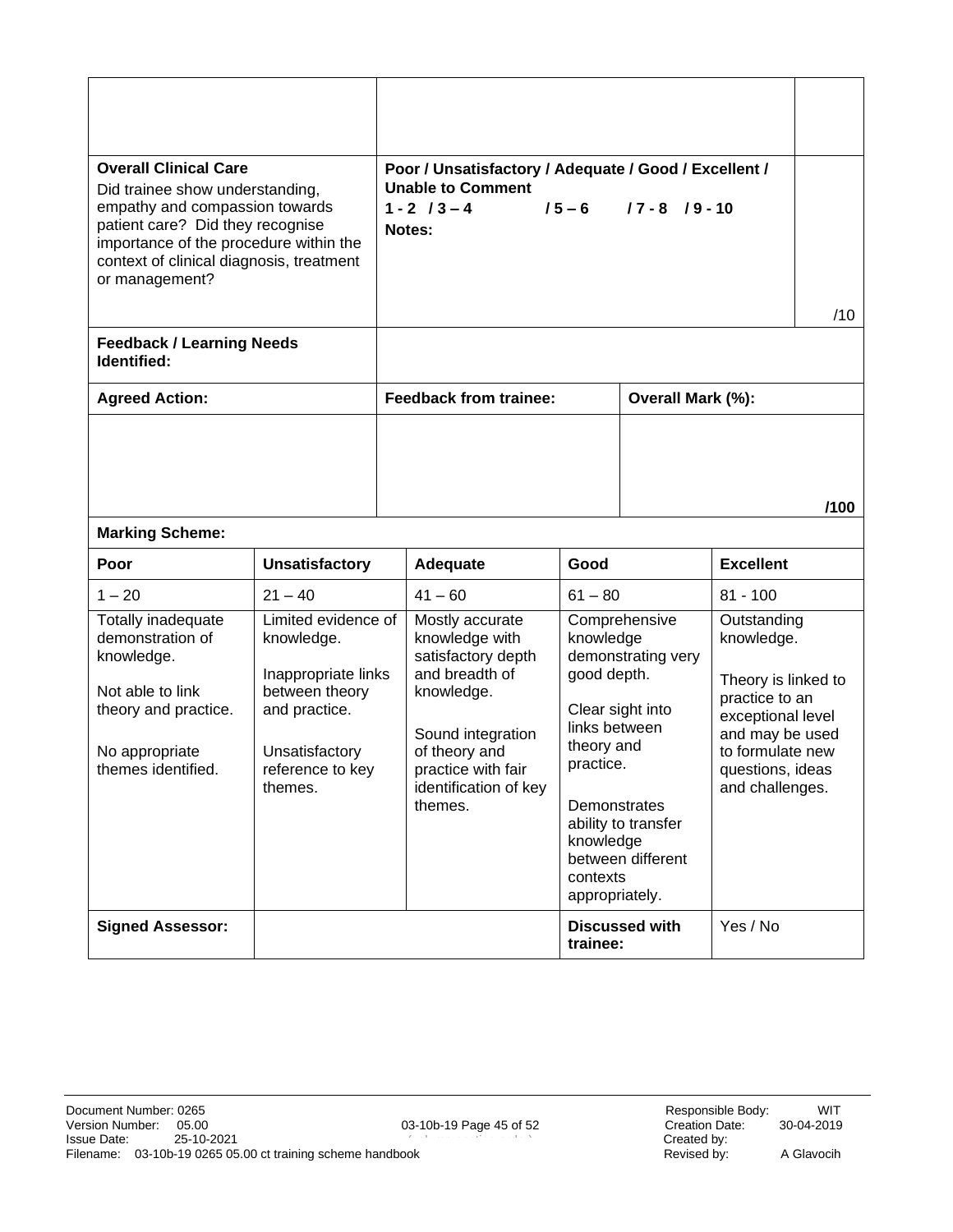<span id="page-44-0"></span>

| <b>Overall Clinical Care</b><br>Did trainee show understanding,<br>empathy and compassion towards<br>patient care? Did they recognise<br>importance of the procedure within the<br>context of clinical diagnosis, treatment<br>or management? |                                                                                                                                              |  | Poor / Unsatisfactory / Adequate / Good / Excellent /<br><b>Unable to Comment</b><br>$1 - 2$ / $3 - 4$<br>Notes:                                                                        | $15 - 6$                                                                                                                        | $17 - 8$ $19 - 10$                                                                                  |                                                                                                                                                                       | /10  |
|-----------------------------------------------------------------------------------------------------------------------------------------------------------------------------------------------------------------------------------------------|----------------------------------------------------------------------------------------------------------------------------------------------|--|-----------------------------------------------------------------------------------------------------------------------------------------------------------------------------------------|---------------------------------------------------------------------------------------------------------------------------------|-----------------------------------------------------------------------------------------------------|-----------------------------------------------------------------------------------------------------------------------------------------------------------------------|------|
| <b>Feedback / Learning Needs</b><br>Identified:                                                                                                                                                                                               |                                                                                                                                              |  |                                                                                                                                                                                         |                                                                                                                                 |                                                                                                     |                                                                                                                                                                       |      |
| <b>Agreed Action:</b>                                                                                                                                                                                                                         |                                                                                                                                              |  | <b>Feedback from trainee:</b>                                                                                                                                                           |                                                                                                                                 | Overall Mark (%):                                                                                   |                                                                                                                                                                       |      |
| <b>Marking Scheme:</b>                                                                                                                                                                                                                        |                                                                                                                                              |  |                                                                                                                                                                                         |                                                                                                                                 |                                                                                                     |                                                                                                                                                                       | /100 |
| Poor                                                                                                                                                                                                                                          | <b>Unsatisfactory</b>                                                                                                                        |  | Adequate                                                                                                                                                                                | Good                                                                                                                            |                                                                                                     | <b>Excellent</b>                                                                                                                                                      |      |
| $1 - 20$                                                                                                                                                                                                                                      | $21 - 40$                                                                                                                                    |  | $41 - 60$                                                                                                                                                                               | $61 - 80$                                                                                                                       |                                                                                                     | $81 - 100$                                                                                                                                                            |      |
| Totally inadequate<br>demonstration of<br>knowledge.<br>Not able to link<br>theory and practice.<br>No appropriate<br>themes identified.                                                                                                      | Limited evidence of<br>knowledge.<br>Inappropriate links<br>between theory<br>and practice.<br>Unsatisfactory<br>reference to key<br>themes. |  | Mostly accurate<br>knowledge with<br>satisfactory depth<br>and breadth of<br>knowledge.<br>Sound integration<br>of theory and<br>practice with fair<br>identification of key<br>themes. | knowledge<br>good depth.<br>links between<br>theory and<br>practice.<br>Demonstrates<br>knowledge<br>contexts<br>appropriately. | Comprehensive<br>demonstrating very<br>Clear sight into<br>ability to transfer<br>between different | Outstanding<br>knowledge.<br>Theory is linked to<br>practice to an<br>exceptional level<br>and may be used<br>to formulate new<br>questions, ideas<br>and challenges. |      |
| <b>Signed Assessor:</b>                                                                                                                                                                                                                       |                                                                                                                                              |  |                                                                                                                                                                                         | trainee:                                                                                                                        | <b>Discussed with</b>                                                                               | Yes / No                                                                                                                                                              |      |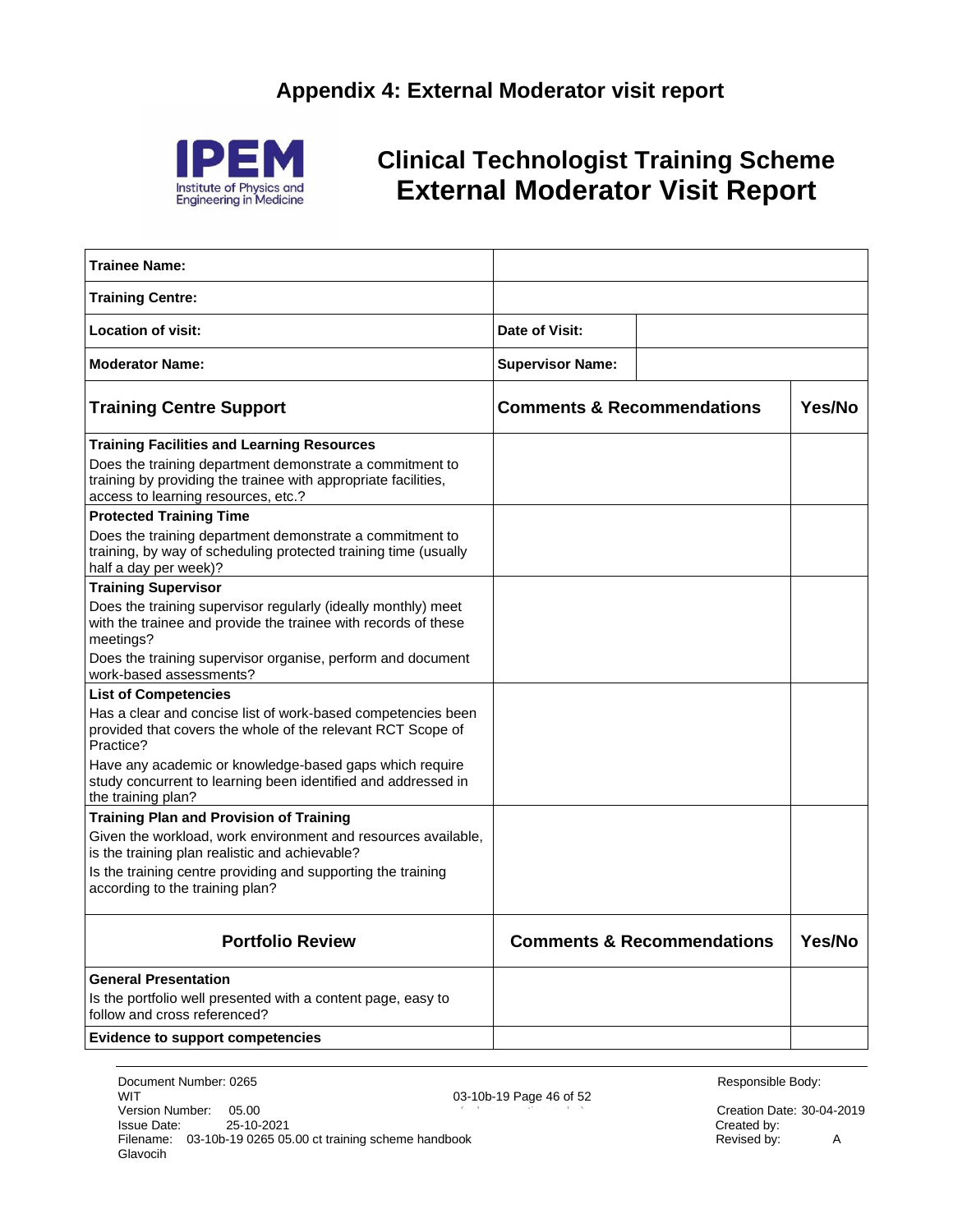<span id="page-45-0"></span>

### <span id="page-45-1"></span>**Clinical Technologist Training Scheme External Moderator Visit Report**

| <b>Trainee Name:</b>                                                                                                                                              |                                       |                                       |        |
|-------------------------------------------------------------------------------------------------------------------------------------------------------------------|---------------------------------------|---------------------------------------|--------|
| <b>Training Centre:</b>                                                                                                                                           |                                       |                                       |        |
| Location of visit:                                                                                                                                                | Date of Visit:                        |                                       |        |
| <b>Moderator Name:</b>                                                                                                                                            | <b>Supervisor Name:</b>               |                                       |        |
| <b>Training Centre Support</b>                                                                                                                                    | <b>Comments &amp; Recommendations</b> |                                       | Yes/No |
| Training Facilities and Learning Resources                                                                                                                        |                                       |                                       |        |
| Does the training department demonstrate a commitment to<br>training by providing the trainee with appropriate facilities,<br>access to learning resources, etc.? |                                       |                                       |        |
| <b>Protected Training Time</b>                                                                                                                                    |                                       |                                       |        |
| Does the training department demonstrate a commitment to<br>training, by way of scheduling protected training time (usually<br>half a day per week)?              |                                       |                                       |        |
| <b>Training Supervisor</b>                                                                                                                                        |                                       |                                       |        |
| Does the training supervisor regularly (ideally monthly) meet<br>with the trainee and provide the trainee with records of these<br>meetings?                      |                                       |                                       |        |
| Does the training supervisor organise, perform and document<br>work-based assessments?                                                                            |                                       |                                       |        |
| <b>List of Competencies</b>                                                                                                                                       |                                       |                                       |        |
| Has a clear and concise list of work-based competencies been<br>provided that covers the whole of the relevant RCT Scope of<br>Practice?                          |                                       |                                       |        |
| Have any academic or knowledge-based gaps which require<br>study concurrent to learning been identified and addressed in<br>the training plan?                    |                                       |                                       |        |
| Training Plan and Provision of Training                                                                                                                           |                                       |                                       |        |
| Given the workload, work environment and resources available,<br>is the training plan realistic and achievable?                                                   |                                       |                                       |        |
| Is the training centre providing and supporting the training<br>according to the training plan?                                                                   |                                       |                                       |        |
| <b>Portfolio Review</b>                                                                                                                                           |                                       | <b>Comments &amp; Recommendations</b> | Yes/No |
| <b>General Presentation</b>                                                                                                                                       |                                       |                                       |        |
| Is the portfolio well presented with a content page, easy to<br>follow and cross referenced?                                                                      |                                       |                                       |        |
| <b>Evidence to support competencies</b>                                                                                                                           |                                       |                                       |        |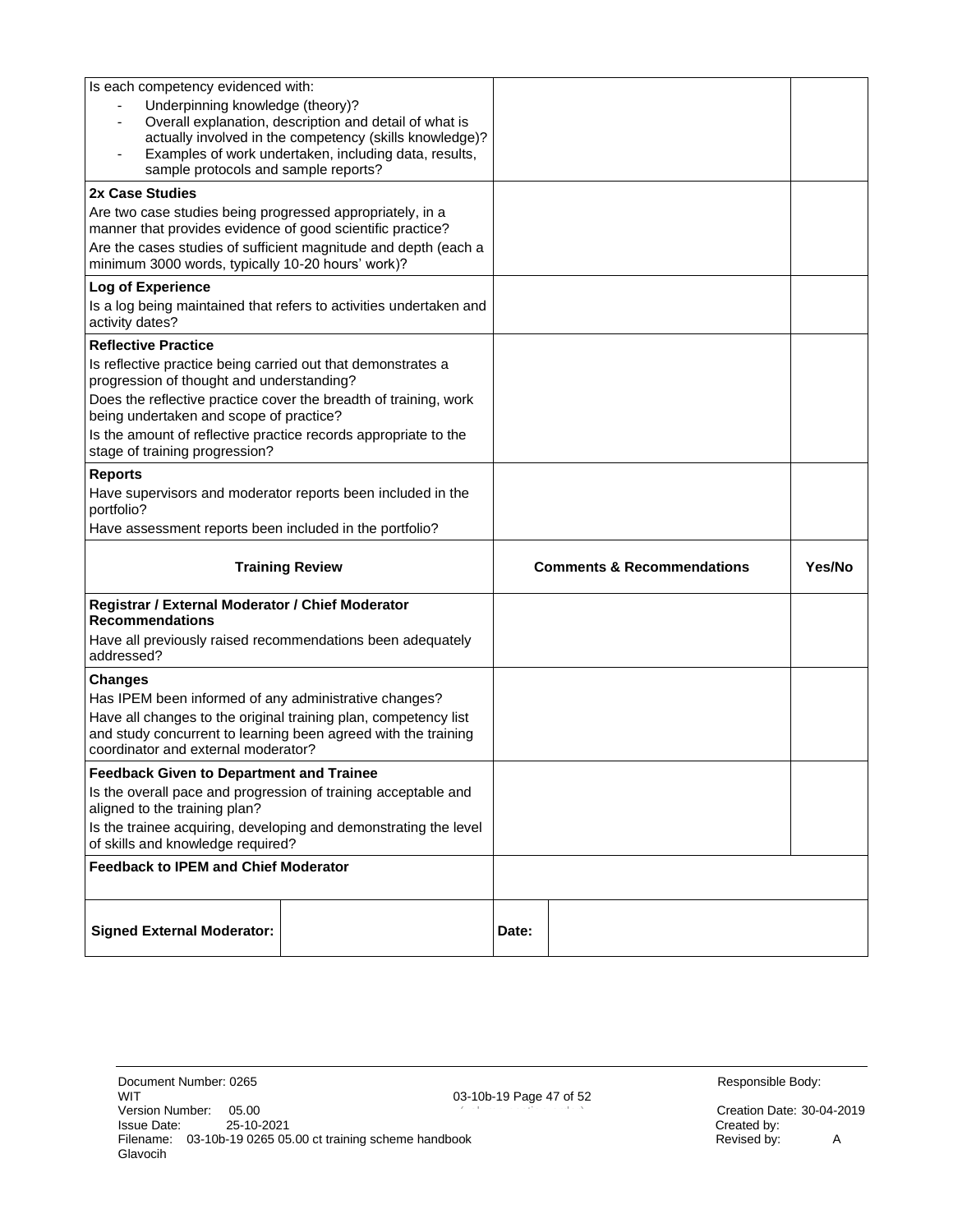| Is each competency evidenced with:                                                                                   |                                                 |  |
|----------------------------------------------------------------------------------------------------------------------|-------------------------------------------------|--|
| Underpinning knowledge (theory)?                                                                                     |                                                 |  |
| Overall explanation, description and detail of what is                                                               |                                                 |  |
| actually involved in the competency (skills knowledge)?<br>Examples of work undertaken, including data, results,     |                                                 |  |
| sample protocols and sample reports?                                                                                 |                                                 |  |
| 2x Case Studies                                                                                                      |                                                 |  |
| Are two case studies being progressed appropriately, in a                                                            |                                                 |  |
| manner that provides evidence of good scientific practice?                                                           |                                                 |  |
| Are the cases studies of sufficient magnitude and depth (each a<br>minimum 3000 words, typically 10-20 hours' work)? |                                                 |  |
| Log of Experience                                                                                                    |                                                 |  |
| Is a log being maintained that refers to activities undertaken and<br>activity dates?                                |                                                 |  |
| <b>Reflective Practice</b>                                                                                           |                                                 |  |
| Is reflective practice being carried out that demonstrates a                                                         |                                                 |  |
| progression of thought and understanding?                                                                            |                                                 |  |
| Does the reflective practice cover the breadth of training, work<br>being undertaken and scope of practice?          |                                                 |  |
| Is the amount of reflective practice records appropriate to the                                                      |                                                 |  |
| stage of training progression?                                                                                       |                                                 |  |
| <b>Reports</b>                                                                                                       |                                                 |  |
| Have supervisors and moderator reports been included in the<br>portfolio?                                            |                                                 |  |
|                                                                                                                      |                                                 |  |
| Have assessment reports been included in the portfolio?                                                              |                                                 |  |
| <b>Training Review</b>                                                                                               | <b>Comments &amp; Recommendations</b><br>Yes/No |  |
| Registrar / External Moderator / Chief Moderator<br><b>Recommendations</b>                                           |                                                 |  |
| Have all previously raised recommendations been adequately<br>addressed?                                             |                                                 |  |
| <b>Changes</b>                                                                                                       |                                                 |  |
| Has IPEM been informed of any administrative changes?                                                                |                                                 |  |
| Have all changes to the original training plan, competency list                                                      |                                                 |  |
| and study concurrent to learning been agreed with the training<br>coordinator and external moderator?                |                                                 |  |
| <b>Feedback Given to Department and Trainee</b>                                                                      |                                                 |  |
| Is the overall pace and progression of training acceptable and                                                       |                                                 |  |
| aligned to the training plan?<br>Is the trainee acquiring, developing and demonstrating the level                    |                                                 |  |
| of skills and knowledge required?                                                                                    |                                                 |  |
| <b>Feedback to IPEM and Chief Moderator</b>                                                                          |                                                 |  |
|                                                                                                                      |                                                 |  |

Creation Date: 30-04-2019<br>Created by: <br>Revised by: <br>A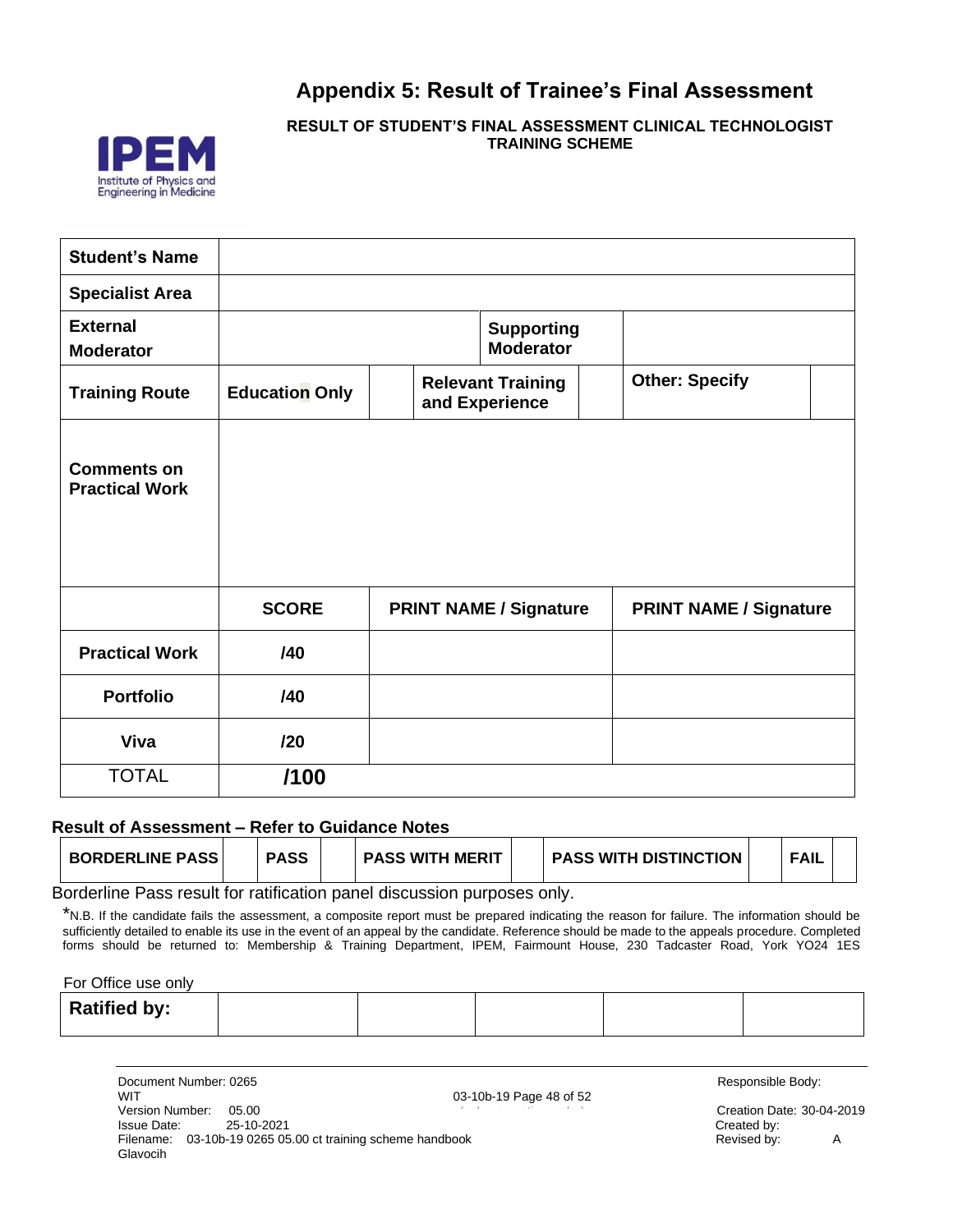### **Appendix 5: Result of Trainee's Final Assessment**

<span id="page-47-0"></span>

**RESULT OF STUDENT'S FINAL ASSESSMENT CLINICAL TECHNOLOGIST TRAINING SCHEME**

| <b>Student's Name</b>                       |                       |                                            |                               |  |
|---------------------------------------------|-----------------------|--------------------------------------------|-------------------------------|--|
| <b>Specialist Area</b>                      |                       |                                            |                               |  |
| <b>External</b><br><b>Moderator</b>         |                       | <b>Supporting</b><br><b>Moderator</b>      |                               |  |
| <b>Training Route</b>                       | <b>Education Only</b> | <b>Relevant Training</b><br>and Experience | <b>Other: Specify</b>         |  |
| <b>Comments on</b><br><b>Practical Work</b> |                       |                                            |                               |  |
|                                             | <b>SCORE</b>          | <b>PRINT NAME / Signature</b>              | <b>PRINT NAME / Signature</b> |  |
| <b>Practical Work</b>                       | /40                   |                                            |                               |  |
| <b>Portfolio</b>                            | /40                   |                                            |                               |  |
| Viva                                        | /20                   |                                            |                               |  |
| <b>TOTAL</b>                                | /100                  |                                            |                               |  |

#### **Result of Assessment – Refer to Guidance Notes**

| <b>BORDERLINE PASS</b> | <b>PASS</b> | <b>PASS WITH MERIT</b> | <b>PASS WITH DISTINCTION</b> | <b>FAIL</b> |  |
|------------------------|-------------|------------------------|------------------------------|-------------|--|
| . .                    | .           |                        |                              |             |  |

Borderline Pass result for ratification panel discussion purposes only.

\*N.B. If the candidate fails the assessment, a composite report must be prepared indicating the reason for failure. The information should be sufficiently detailed to enable its use in the event of an appeal by the candidate. Reference should be made to the appeals procedure. Completed forms should be returned to: Membership & Training Department, IPEM, Fairmount House, 230 Tadcaster Road, York YO24 1ES

For Office use only

|  | <b>Ratified by:</b> |  |  |  |  |  |
|--|---------------------|--|--|--|--|--|
|--|---------------------|--|--|--|--|--|

| Document Number: 0265                                                     |                         | Responsible Body:      |   |
|---------------------------------------------------------------------------|-------------------------|------------------------|---|
| WIT                                                                       | 03-10b-19 Page 48 of 52 |                        |   |
| Version Number:<br>05.00                                                  |                         | Creation Date: 30-04-2 |   |
| 25-10-2021<br>Issue Date:                                                 |                         | Created by:            |   |
| 03-10b-19 0265 05.00 ct training scheme handbook<br>Filename:<br>Glavocih |                         | Revised by:            | A |

Responsible Body:

Creation Date: 30-04-2019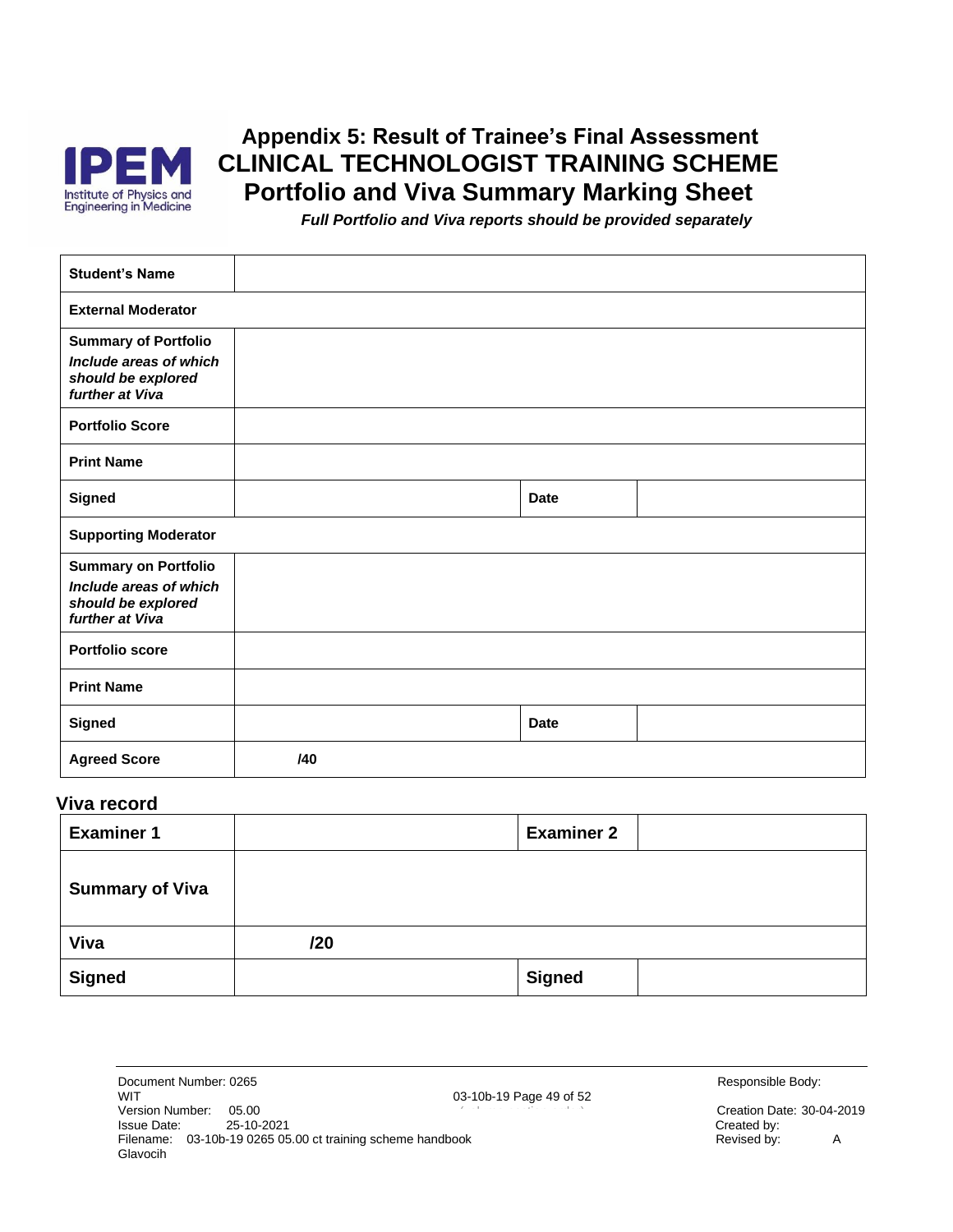

### **Appendix 5: Result of Trainee's Final Assessment CLINICAL TECHNOLOGIST TRAINING SCHEME Portfolio and Viva Summary Marking Sheet**

*Full Portfolio and Viva reports should be provided separately*

<span id="page-48-0"></span>

| <b>Student's Name</b>                                                                          |     |             |  |
|------------------------------------------------------------------------------------------------|-----|-------------|--|
| <b>External Moderator</b>                                                                      |     |             |  |
| <b>Summary of Portfolio</b><br>Include areas of which<br>should be explored<br>further at Viva |     |             |  |
| <b>Portfolio Score</b>                                                                         |     |             |  |
| <b>Print Name</b>                                                                              |     |             |  |
| <b>Signed</b>                                                                                  |     | <b>Date</b> |  |
| <b>Supporting Moderator</b>                                                                    |     |             |  |
| <b>Summary on Portfolio</b><br>Include areas of which<br>should be explored<br>further at Viva |     |             |  |
| <b>Portfolio score</b>                                                                         |     |             |  |
| <b>Print Name</b>                                                                              |     |             |  |
| Signed                                                                                         |     | <b>Date</b> |  |
| <b>Agreed Score</b>                                                                            | /40 |             |  |

#### **Viva record**

| <b>Examiner 1</b>      |     | <b>Examiner 2</b> |  |
|------------------------|-----|-------------------|--|
| <b>Summary of Viva</b> |     |                   |  |
| Viva                   | 120 |                   |  |
| <b>Signed</b>          |     | <b>Signed</b>     |  |

| Creation Date: 30-04-2019 |   |
|---------------------------|---|
| Created by:               |   |
| Revised by:               | A |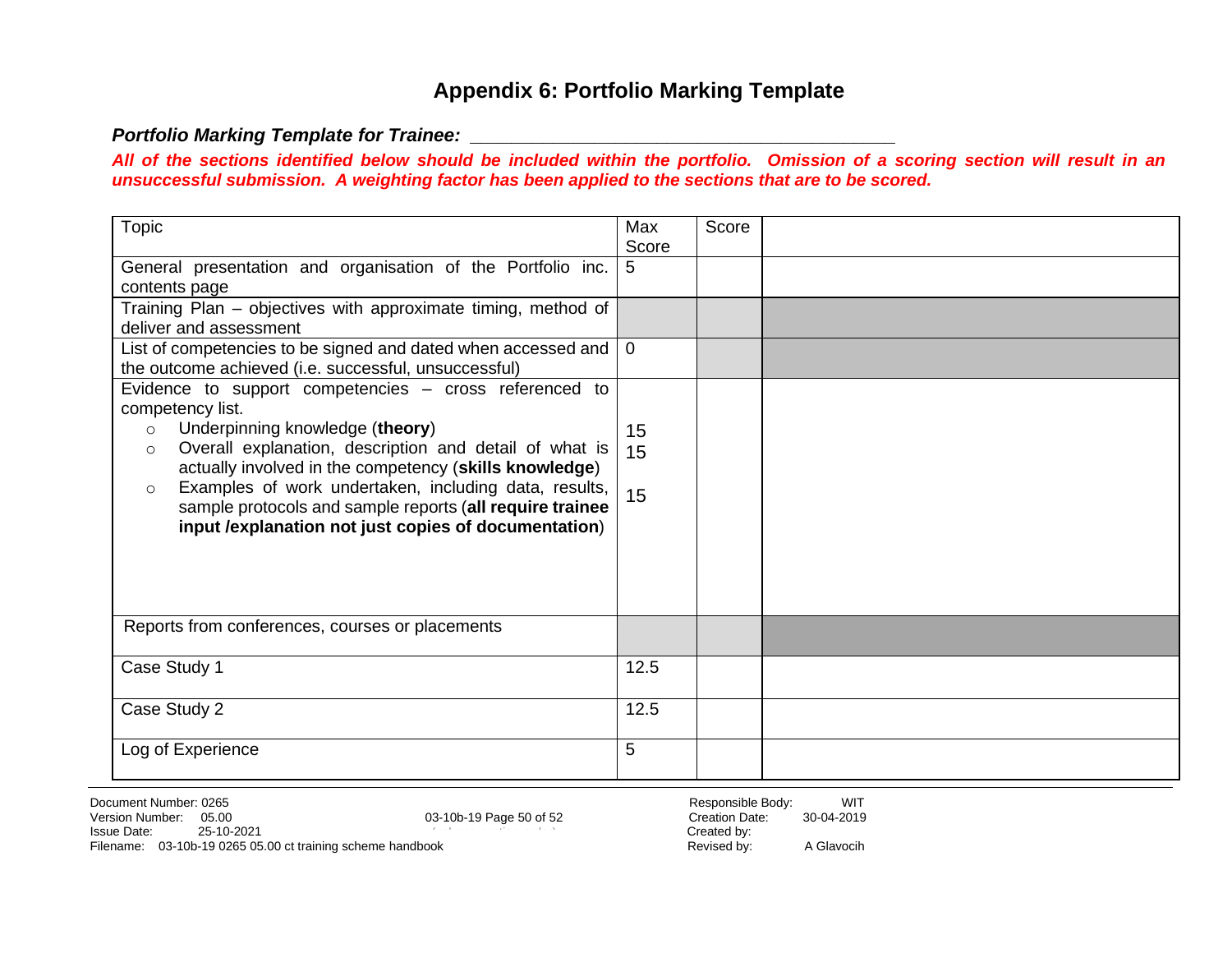### **Appendix 6: Portfolio Marking Template**

#### <span id="page-49-3"></span>*Portfolio Marking Template for Trainee: \_\_\_\_\_\_\_\_\_\_\_\_\_\_\_\_\_\_\_\_\_\_\_\_\_\_\_\_\_\_\_\_\_\_\_\_\_\_\_\_\_*

*All of the sections identified below should be included within the portfolio. Omission of a scoring section will result in an unsuccessful submission. A weighting factor has been applied to the sections that are to be scored.*

<span id="page-49-2"></span><span id="page-49-1"></span><span id="page-49-0"></span>

| <b>Topic</b><br>Score<br>Max<br>Score<br>General presentation and organisation of the Portfolio inc.<br>5<br>contents page<br>Training Plan - objectives with approximate timing, method of<br>deliver and assessment<br>List of competencies to be signed and dated when accessed and<br>$\overline{0}$<br>the outcome achieved (i.e. successful, unsuccessful)<br>Evidence to support competencies - cross referenced to<br>competency list.<br>Underpinning knowledge (theory)<br>$\circ$<br>15<br>Overall explanation, description and detail of what is<br>15<br>$\circ$<br>actually involved in the competency (skills knowledge)<br>Examples of work undertaken, including data, results,<br>$\circ$<br>15<br>sample protocols and sample reports (all require trainee<br>input / explanation not just copies of documentation)<br>Reports from conferences, courses or placements<br>Case Study 1<br>12.5<br>Case Study 2<br>12.5<br>5<br>Log of Experience |  |  |  |
|---------------------------------------------------------------------------------------------------------------------------------------------------------------------------------------------------------------------------------------------------------------------------------------------------------------------------------------------------------------------------------------------------------------------------------------------------------------------------------------------------------------------------------------------------------------------------------------------------------------------------------------------------------------------------------------------------------------------------------------------------------------------------------------------------------------------------------------------------------------------------------------------------------------------------------------------------------------------|--|--|--|
|                                                                                                                                                                                                                                                                                                                                                                                                                                                                                                                                                                                                                                                                                                                                                                                                                                                                                                                                                                     |  |  |  |
|                                                                                                                                                                                                                                                                                                                                                                                                                                                                                                                                                                                                                                                                                                                                                                                                                                                                                                                                                                     |  |  |  |
|                                                                                                                                                                                                                                                                                                                                                                                                                                                                                                                                                                                                                                                                                                                                                                                                                                                                                                                                                                     |  |  |  |
|                                                                                                                                                                                                                                                                                                                                                                                                                                                                                                                                                                                                                                                                                                                                                                                                                                                                                                                                                                     |  |  |  |
|                                                                                                                                                                                                                                                                                                                                                                                                                                                                                                                                                                                                                                                                                                                                                                                                                                                                                                                                                                     |  |  |  |
|                                                                                                                                                                                                                                                                                                                                                                                                                                                                                                                                                                                                                                                                                                                                                                                                                                                                                                                                                                     |  |  |  |
|                                                                                                                                                                                                                                                                                                                                                                                                                                                                                                                                                                                                                                                                                                                                                                                                                                                                                                                                                                     |  |  |  |
|                                                                                                                                                                                                                                                                                                                                                                                                                                                                                                                                                                                                                                                                                                                                                                                                                                                                                                                                                                     |  |  |  |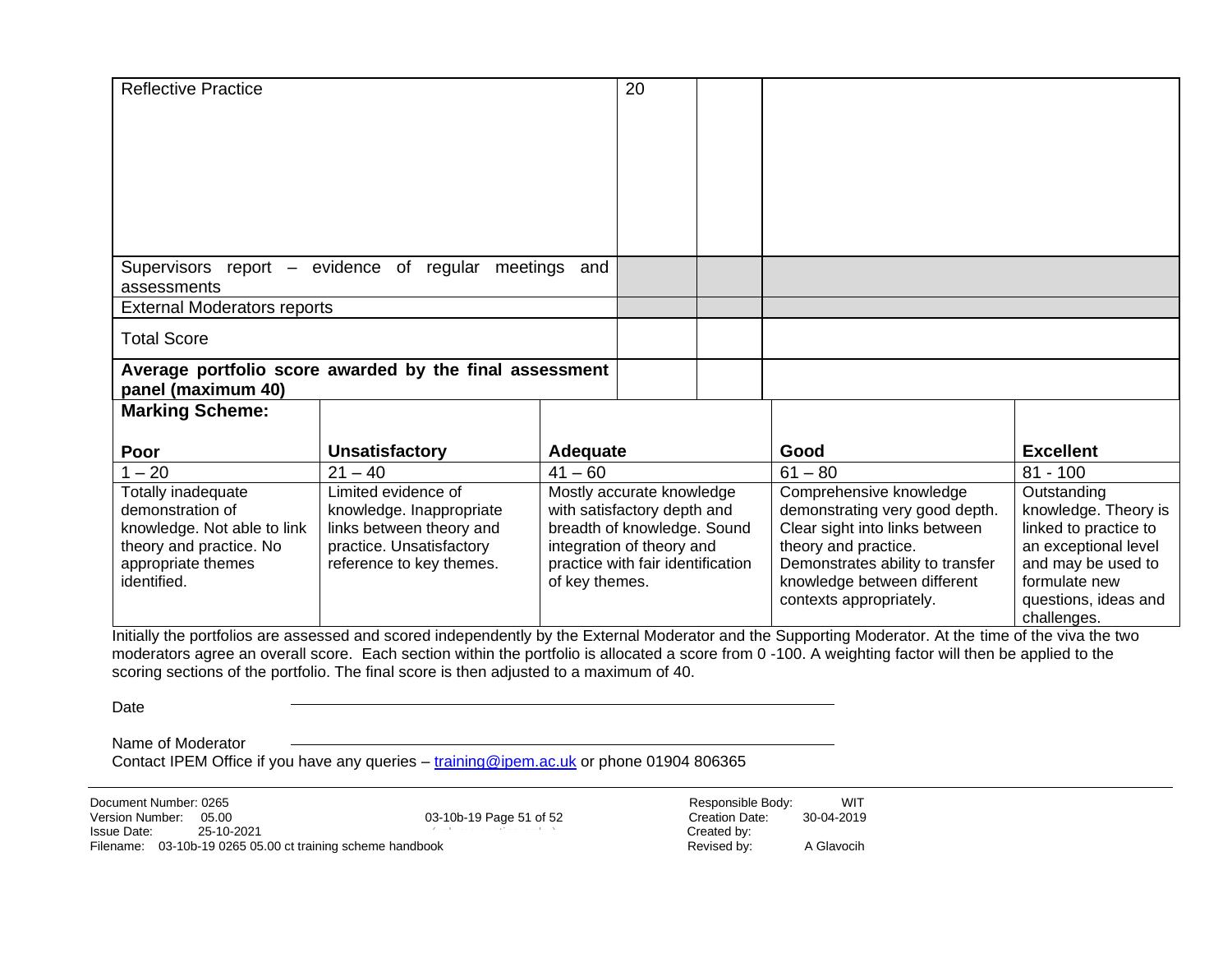| <b>Reflective Practice</b>                               |                          |                             | 20                                |  |                                                                                                                                                        |                       |
|----------------------------------------------------------|--------------------------|-----------------------------|-----------------------------------|--|--------------------------------------------------------------------------------------------------------------------------------------------------------|-----------------------|
|                                                          |                          |                             |                                   |  |                                                                                                                                                        |                       |
|                                                          |                          |                             |                                   |  |                                                                                                                                                        |                       |
|                                                          |                          |                             |                                   |  |                                                                                                                                                        |                       |
|                                                          |                          |                             |                                   |  |                                                                                                                                                        |                       |
|                                                          |                          |                             |                                   |  |                                                                                                                                                        |                       |
|                                                          |                          |                             |                                   |  |                                                                                                                                                        |                       |
|                                                          |                          |                             |                                   |  |                                                                                                                                                        |                       |
| Supervisors report – evidence of regular meetings<br>and |                          |                             |                                   |  |                                                                                                                                                        |                       |
| assessments                                              |                          |                             |                                   |  |                                                                                                                                                        |                       |
| <b>External Moderators reports</b>                       |                          |                             |                                   |  |                                                                                                                                                        |                       |
| <b>Total Score</b>                                       |                          |                             |                                   |  |                                                                                                                                                        |                       |
|                                                          |                          |                             |                                   |  |                                                                                                                                                        |                       |
| Average portfolio score awarded by the final assessment  |                          |                             |                                   |  |                                                                                                                                                        |                       |
| panel (maximum 40)<br><b>Marking Scheme:</b>             |                          |                             |                                   |  |                                                                                                                                                        |                       |
|                                                          |                          |                             |                                   |  |                                                                                                                                                        |                       |
| Poor                                                     | <b>Unsatisfactory</b>    | Adequate                    |                                   |  | Good                                                                                                                                                   | <b>Excellent</b>      |
| $-20$                                                    | $21 - 40$                | $41 - 60$                   |                                   |  | $61 - 80$                                                                                                                                              | $81 - 100$            |
| Totally inadequate                                       | Limited evidence of      | Mostly accurate knowledge   |                                   |  | Comprehensive knowledge                                                                                                                                | Outstanding           |
| demonstration of                                         | knowledge. Inappropriate | with satisfactory depth and |                                   |  | demonstrating very good depth.                                                                                                                         | knowledge. Theory is  |
| knowledge. Not able to link                              | links between theory and | breadth of knowledge. Sound |                                   |  | Clear sight into links between                                                                                                                         | linked to practice to |
| theory and practice. No                                  | practice. Unsatisfactory | integration of theory and   |                                   |  | theory and practice.                                                                                                                                   | an exceptional level  |
| appropriate themes                                       | reference to key themes. |                             | practice with fair identification |  | Demonstrates ability to transfer                                                                                                                       | and may be used to    |
| identified.                                              |                          | of key themes.              |                                   |  | knowledge between different                                                                                                                            | formulate new         |
|                                                          |                          |                             |                                   |  | contexts appropriately.                                                                                                                                | questions, ideas and  |
|                                                          |                          |                             |                                   |  | Initially the portfolios are assessed and scored independently by the External Moderator and the Supporting Moderator. At the time of the vive the two | challenges.           |

Initially the portfolios are assessed and scored independently by the External Moderator and the Supporting Moderator. At the time of the viva the two moderators agree an overall score. Each section within the portfolio is allocated a score from 0 -100. A weighting factor will then be applied to the scoring sections of the portfolio. The final score is then adjusted to a maximum of 40.

Date

Name of Moderator

Contact IPEM Office if you have any queries - [training@ipem.ac.uk](mailto:training@ipem.ac.uk) or phone 01904 806365

03-10b-19 Page 51 of 52 Version Number: 05.00 Creation Date: 30-04-2019 (volume-section-order) Document Number: 0265 <br>Version Number: 05.00 (03-10b-19 Page 51 of 52 (2019) Responsible Body: WIT Issue Date: 25-10-2021 Created by: Filename: 03-10b-19 0265 05.00 ct training scheme handbook Revised by: A Glavocih